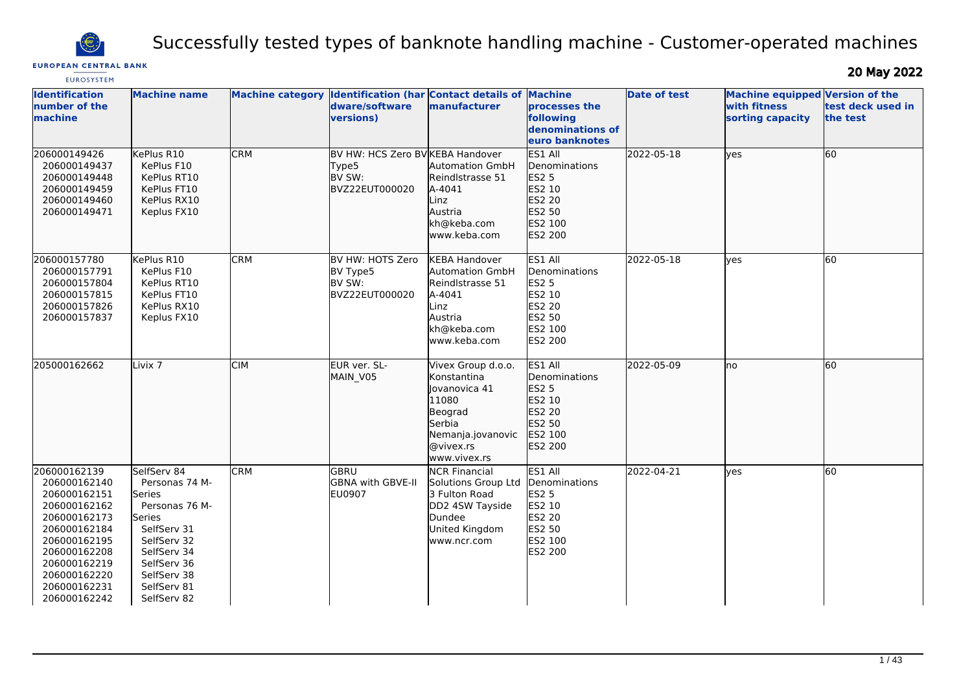

# Successfully tested types of banknote handling machine - Customer-operated machines

# **EUROPEAN CENTRAL BANK**

20 May 2022

| <b>EUROSYSTEM</b>                                                                                                                                                                            |                                                                                                                                                                              |                         |                                                                                      |                                                                                                                                    |                                                                                                                   |                     |                                                                     |                               |
|----------------------------------------------------------------------------------------------------------------------------------------------------------------------------------------------|------------------------------------------------------------------------------------------------------------------------------------------------------------------------------|-------------------------|--------------------------------------------------------------------------------------|------------------------------------------------------------------------------------------------------------------------------------|-------------------------------------------------------------------------------------------------------------------|---------------------|---------------------------------------------------------------------|-------------------------------|
| <b>Identification</b><br>number of the<br>machine                                                                                                                                            | <b>Machine name</b>                                                                                                                                                          | <b>Machine category</b> | <b>Identification (har Contact details of Machine</b><br>dware/software<br>versions) | manufacturer                                                                                                                       | processes the<br>following<br>denominations of<br>leuro banknotes                                                 | <b>Date of test</b> | Machine equipped Version of the<br>with fitness<br>sorting capacity | test deck used in<br>the test |
| 206000149426<br>206000149437<br>206000149448<br>206000149459<br>206000149460<br>206000149471                                                                                                 | KePlus R10<br>KePlus F10<br>KePlus RT10<br>KePlus FT10<br>KePlus RX10<br>Keplus FX10                                                                                         | <b>CRM</b>              | BV HW: HCS Zero BV KEBA Handover<br>Type5<br><b>IBV SW:</b><br>BVZ22EUT000020        | <b>Automation GmbH</b><br>Reindlstrasse 51<br>A-4041<br>Linz<br>Austria<br>kh@keba.com<br>www.keba.com                             | ES1 All<br>Denominations<br>ES2 5<br>ES2 10<br>ES2 20<br>ES2 50<br>ES2 100<br>ES2 200                             | 2022-05-18          | lyes                                                                | 60                            |
| 206000157780<br>206000157791<br>206000157804<br>206000157815<br>206000157826<br>206000157837                                                                                                 | KePlus R10<br>KePlus F10<br>KePlus RT10<br>KePlus FT10<br>KePlus RX10<br>Keplus FX10                                                                                         | <b>CRM</b>              | BV HW: HOTS Zero<br>BV Type5<br>BV SW:<br>BVZ22EUT000020                             | <b>KEBA Handover</b><br><b>Automation GmbH</b><br>Reindlstrasse 51<br>A-4041<br>Linz<br>Austria<br>kh@keba.com<br>www.keba.com     | ES1 All<br>Denominations<br><b>ES2 5</b><br>ES2 10<br><b>ES2 20</b><br><b>ES2 50</b><br>ES2 100<br><b>ES2 200</b> | 2022-05-18          | <b>ves</b>                                                          | 60                            |
| 205000162662                                                                                                                                                                                 | Livix <sub>7</sub>                                                                                                                                                           | <b>CIM</b>              | EUR ver. SL-<br>MAIN_V05                                                             | Vivex Group d.o.o.<br>Konstantina<br>lovanovica 41<br>11080<br>Beograd<br>Serbia<br>Nemanja.jovanovic<br>@vivex.rs<br>www.vivex.rs | ES1 All<br>Denominations<br><b>ES2 5</b><br>ES2 10<br>ES2 20<br>ES2 50<br><b>IES2 100</b><br>ES2 200              | 2022-05-09          | lno                                                                 | 60                            |
| 206000162139<br>206000162140<br>206000162151<br>206000162162<br>206000162173<br>206000162184<br>206000162195<br>206000162208<br>206000162219<br>206000162220<br>206000162231<br>206000162242 | SelfServ 84<br>Personas 74 M-<br>Series<br>Personas 76 M-<br>Series<br>SelfServ 31<br>SelfServ 32<br>SelfServ 34<br>SelfServ 36<br>SelfServ 38<br>SelfServ 81<br>SelfServ 82 | <b>CRM</b>              | GBRU<br>GBNA with GBVE-II<br>EU0907                                                  | <b>NCR Financial</b><br>Solutions Group Ltd<br>3 Fulton Road<br>DD2 4SW Tayside<br>Dundee<br>United Kingdom<br>www.ncr.com         | ES1 All<br>Denominations<br><b>ES2 5</b><br>ES2 10<br><b>ES2 20</b><br><b>ES2 50</b><br>ES2 100<br><b>ES2 200</b> | 2022-04-21          | yes                                                                 | $\overline{60}$               |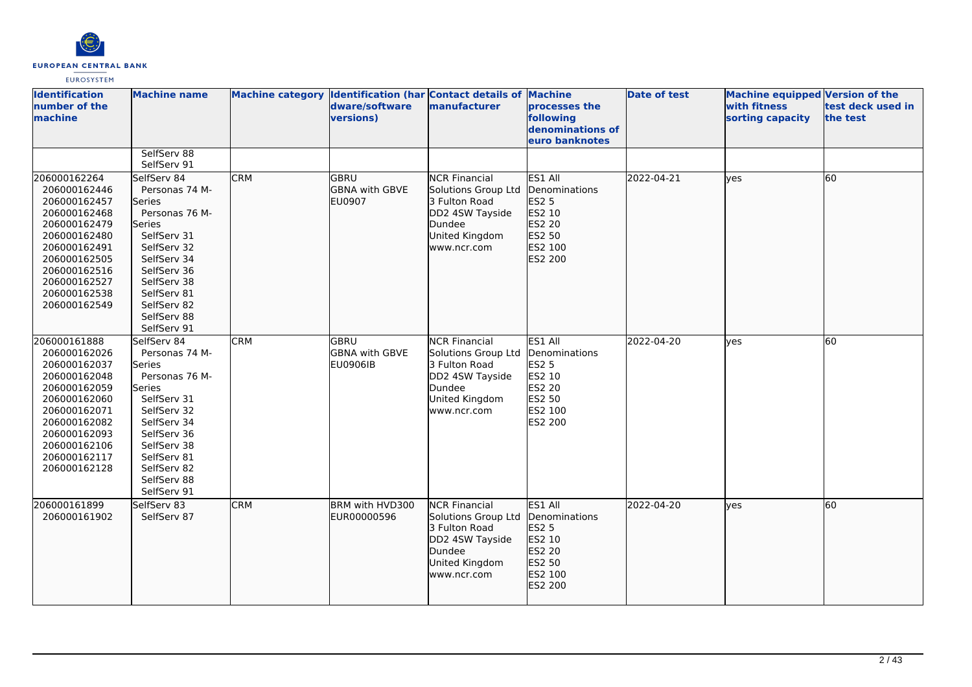

| <b>Identification</b><br>number of the<br>machine                                                                                                                                            | <b>Machine name</b>                                                                                                                                                                                               |            | dware/software<br>versions)                       | Machine category Identification (har Contact details of Machine<br>manufacturer                                            | processes the<br>following<br>denominations of<br>euro banknotes                             | <b>Date of test</b> | <b>Machine equipped Version of the</b><br>with fitness<br>sorting capacity | test deck used in<br>the test |
|----------------------------------------------------------------------------------------------------------------------------------------------------------------------------------------------|-------------------------------------------------------------------------------------------------------------------------------------------------------------------------------------------------------------------|------------|---------------------------------------------------|----------------------------------------------------------------------------------------------------------------------------|----------------------------------------------------------------------------------------------|---------------------|----------------------------------------------------------------------------|-------------------------------|
|                                                                                                                                                                                              | SelfServ 88<br>SelfServ 91                                                                                                                                                                                        |            |                                                   |                                                                                                                            |                                                                                              |                     |                                                                            |                               |
| 206000162264<br>206000162446<br>206000162457<br>206000162468<br>206000162479<br>206000162480<br>206000162491<br>206000162505<br>206000162516<br>206000162527<br>206000162538<br>206000162549 | SelfServ 84<br>Personas 74 M-<br><b>Series</b><br>Personas 76 M-<br>Series<br>SelfServ 31<br>SelfServ 32<br>SelfServ 34<br>SelfServ 36<br>SelfServ 38<br>SelfServ 81<br>SelfServ 82<br>SelfServ 88<br>SelfServ 91 | <b>CRM</b> | lgbru<br><b>GBNA with GBVE</b><br><b>EU0907</b>   | <b>NCR Financial</b><br>Solutions Group Ltd<br>3 Fulton Road<br>DD2 4SW Tayside<br>Dundee<br>United Kingdom<br>www.ncr.com | ES1 All<br>Denominations<br>ES2 5<br>ES2 10<br>ES2 20<br>ES2 50<br>ES2 100<br><b>ES2 200</b> | 2022-04-21          | ves                                                                        | 60                            |
| 206000161888<br>206000162026<br>206000162037<br>206000162048<br>206000162059<br>206000162060<br>206000162071<br>206000162082<br>206000162093<br>206000162106<br>206000162117<br>206000162128 | SelfServ 84<br>Personas 74 M-<br><b>Series</b><br>Personas 76 M-<br>Series<br>SelfServ 31<br>SelfServ 32<br>SelfServ 34<br>SelfServ 36<br>SelfServ 38<br>SelfServ 81<br>SelfServ 82<br>SelfServ 88<br>SelfServ 91 | <b>CRM</b> | lgbru<br><b>GBNA</b> with GBVE<br><b>EU0906IB</b> | <b>NCR Financial</b><br>Solutions Group Ltd<br>3 Fulton Road<br>DD2 4SW Tayside<br>Dundee<br>United Kingdom<br>www.ncr.com | ES1 All<br>Denominations<br>ES2 5<br>ES2 10<br>ES2 20<br>ES2 50<br>ES2 100<br>ES2 200        | 2022-04-20          | lves                                                                       | 60                            |
| 206000161899<br>206000161902                                                                                                                                                                 | SelfServ 83<br>SelfServ 87                                                                                                                                                                                        | <b>CRM</b> | BRM with HVD300<br>EUR00000596                    | <b>NCR Financial</b><br>Solutions Group Ltd<br>3 Fulton Road<br>DD2 4SW Tayside<br>Dundee<br>United Kingdom<br>www.ncr.com | ES1 All<br>Denominations<br>ES2 5<br>ES2 10<br>ES2 20<br>ES2 50<br>ES2 100<br>ES2 200        | 2022-04-20          | ves                                                                        | 60                            |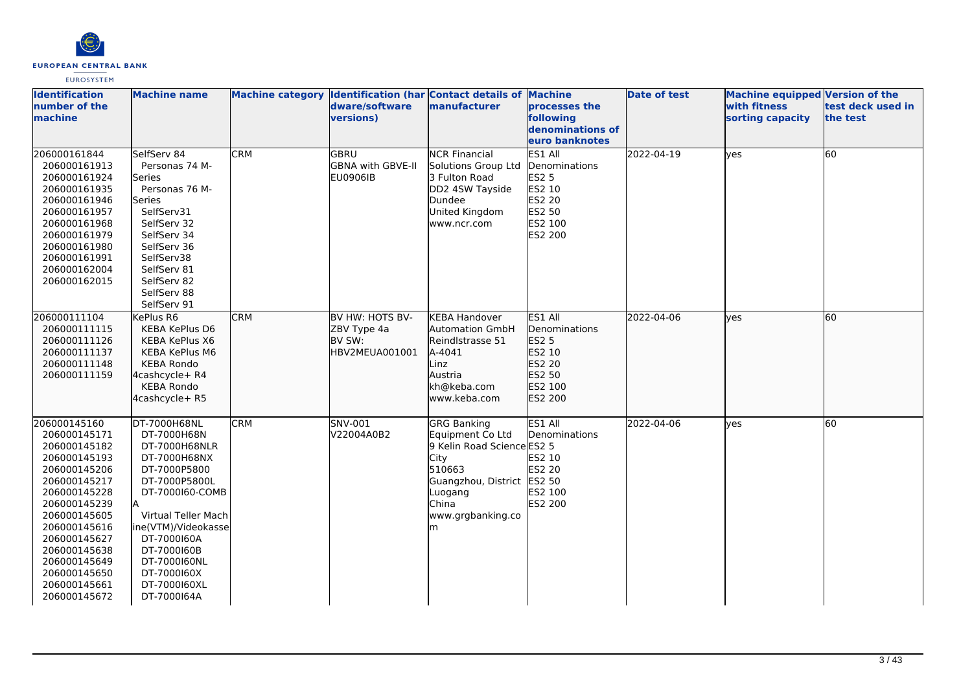

| <b>Identification</b><br>number of the<br>machine                                                                                                                                                                                                            | <b>Machine name</b>                                                                                                                                                                                                                                        |            | dware/software<br>versions)                                | Machine category Identification (har Contact details of Machine<br>manufacturer                                                                                    | processes the<br>following<br>denominations of<br>euro banknotes                             | <b>Date of test</b> | <b>Machine equipped Version of the</b><br>with fitness<br>sorting capacity | test deck used in<br>the test |
|--------------------------------------------------------------------------------------------------------------------------------------------------------------------------------------------------------------------------------------------------------------|------------------------------------------------------------------------------------------------------------------------------------------------------------------------------------------------------------------------------------------------------------|------------|------------------------------------------------------------|--------------------------------------------------------------------------------------------------------------------------------------------------------------------|----------------------------------------------------------------------------------------------|---------------------|----------------------------------------------------------------------------|-------------------------------|
| 206000161844<br>206000161913<br>206000161924<br>206000161935<br>206000161946<br>206000161957<br>206000161968<br>206000161979<br>206000161980<br>206000161991<br>206000162004<br>206000162015                                                                 | SelfServ 84<br>Personas 74 M-<br>Series<br>Personas 76 M-<br>Series<br>SelfServ31<br>SelfServ 32<br>SelfServ 34<br>SelfServ 36<br>SelfServ38<br>SelfServ 81<br>SelfServ 82<br>SelfServ 88<br>SelfServ 91                                                   | <b>CRM</b> | GBRU<br><b>GBNA with GBVE-II</b><br><b>EU0906IB</b>        | <b>NCR Financial</b><br>Solutions Group Ltd<br>3 Fulton Road<br>DD2 4SW Tayside<br>Dundee<br>United Kingdom<br>www.ncr.com                                         | ES1 All<br>Denominations<br><b>ES2 5</b><br>ES2 10<br>ES2 20<br>ES2 50<br>ES2 100<br>ES2 200 | 2022-04-19          | <b>yes</b>                                                                 | 60                            |
| 206000111104<br>206000111115<br>206000111126<br>206000111137<br>206000111148<br>206000111159                                                                                                                                                                 | KePlus R6<br><b>KEBA KePlus D6</b><br><b>KEBA KePlus X6</b><br><b>KEBA KePlus M6</b><br><b>KEBA Rondo</b><br>4cashcycle+ R4<br><b>KEBA Rondo</b><br>4cashcycle+ R5                                                                                         | CRM        | BV HW: HOTS BV-<br>ZBV Type 4a<br>BV SW:<br>HBV2MEUA001001 | <b>KEBA Handover</b><br><b>Automation GmbH</b><br>Reindlstrasse 51<br>A-4041<br>Linz<br>Austria<br>kh@keba.com<br>www.keba.com                                     | ES1 All<br>Denominations<br>ES2 5<br>ES2 10<br>ES2 20<br>ES2 50<br>ES2 100<br>ES2 200        | 2022-04-06          | lves                                                                       | 60                            |
| 206000145160<br>206000145171<br>206000145182<br>206000145193<br>206000145206<br>206000145217<br>206000145228<br>206000145239<br>206000145605<br>206000145616<br>206000145627<br>206000145638<br>206000145649<br>206000145650<br>206000145661<br>206000145672 | DT-7000H68NL<br>DT-7000H68N<br>DT-7000H68NLR<br>DT-7000H68NX<br>DT-7000P5800<br>DT-7000P5800L<br>DT-7000160-COMB<br>Virtual Teller Mach<br>ine(VTM)/Videokasse<br>DT-7000160A<br>DT-7000160B<br>DT-7000160NL<br>DT-7000160X<br>DT-7000160XL<br>DT-7000164A | <b>CRM</b> | SNV-001<br>V22004A0B2                                      | <b>GRG Banking</b><br>Equipment Co Ltd<br>9 Kelin Road Science ES2 5<br>City<br>510663<br>Guangzhou, District ES2 50<br>Luogang<br>China<br>www.grgbanking.co<br>m | ES1 All<br>Denominations<br>ES2 10<br><b>ES2 20</b><br>ES2 100<br>ES2 200                    | 2022-04-06          | <b>ves</b>                                                                 | <b>60</b>                     |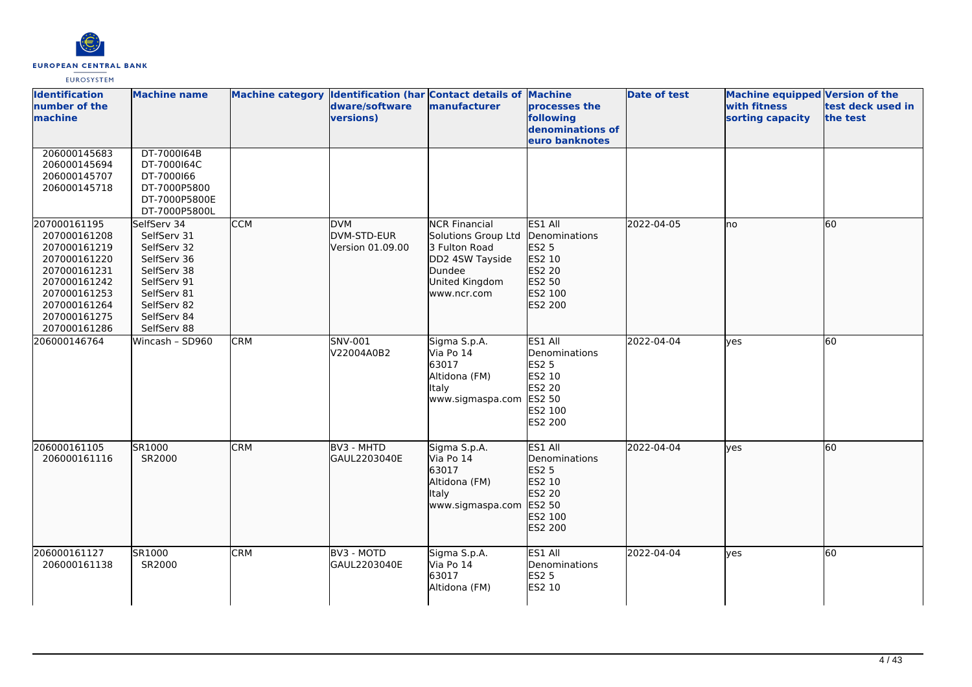

| <b>Identification</b><br>number of the<br>machine                                                                                                            | <b>Machine name</b>                                                                                                                                |            | dware/software<br>versions)                   | Machine category Identification (har Contact details of Machine<br>manufacturer                                            | processes the<br>following<br>denominations of<br>euro banknotes                              | <b>Date of test</b> | Machine equipped Version of the<br>with fitness<br>sorting capacity | test deck used in<br>the test |
|--------------------------------------------------------------------------------------------------------------------------------------------------------------|----------------------------------------------------------------------------------------------------------------------------------------------------|------------|-----------------------------------------------|----------------------------------------------------------------------------------------------------------------------------|-----------------------------------------------------------------------------------------------|---------------------|---------------------------------------------------------------------|-------------------------------|
| 206000145683<br>206000145694<br>206000145707<br>206000145718                                                                                                 | DT-7000164B<br>DT-7000164C<br>DT-7000166<br>DT-7000P5800<br>DT-7000P5800E<br>DT-7000P5800L                                                         |            |                                               |                                                                                                                            |                                                                                               |                     |                                                                     |                               |
| 207000161195<br>207000161208<br>207000161219<br>207000161220<br>207000161231<br>207000161242<br>207000161253<br>207000161264<br>207000161275<br>207000161286 | SelfServ 34<br>SelfServ 31<br>SelfServ 32<br>SelfServ 36<br>SelfServ 38<br>SelfServ 91<br>SelfServ 81<br>SelfServ 82<br>SelfServ 84<br>SelfServ 88 | <b>CCM</b> | <b>DVM</b><br>DVM-STD-EUR<br>Version 01.09.00 | <b>NCR Financial</b><br>Solutions Group Ltd<br>3 Fulton Road<br>DD2 4SW Tayside<br>Dundee<br>United Kingdom<br>www.ncr.com | ES1 All<br>Denominations<br>ES2 5<br>ES2 10<br>ES2 20<br>ES2 50<br>ES2 100<br>ES2 200         | 2022-04-05          | lno                                                                 | 60                            |
| 206000146764                                                                                                                                                 | Wincash - SD960                                                                                                                                    | <b>CRM</b> | SNV-001<br>V22004A0B2                         | Sigma S.p.A.<br>Via Po 14<br>63017<br>Altidona (FM)<br><b>Italy</b><br>www.sigmaspa.com                                    | ES1 All<br>Denominations<br><b>ES2 5</b><br>ES2 10<br>ES2 20<br>ES2 50<br>ES2 100<br>ES2 200  | 2022-04-04          | lyes                                                                | 60                            |
| 206000161105<br>206000161116                                                                                                                                 | SR1000<br>SR2000                                                                                                                                   | <b>CRM</b> | BV3 - MHTD<br>GAUL2203040E                    | Sigma S.p.A.<br>Via Po 14<br>63017<br>Altidona (FM)<br>Italy<br>www.sigmaspa.com                                           | ES1 All<br><b>IDenominations</b><br>ES2 5<br>ES2 10<br>ES2 20<br>ES2 50<br>ES2 100<br>ES2 200 | 2022-04-04          | lves                                                                | 60                            |
| 206000161127<br>206000161138                                                                                                                                 | SR1000<br>SR2000                                                                                                                                   | <b>CRM</b> | BV3 - MOTD<br>GAUL2203040E                    | Sigma S.p.A.<br>Via Po 14<br>63017<br>Altidona (FM)                                                                        | ES1 All<br>Denominations<br><b>ES2 5</b><br>ES2 10                                            | 2022-04-04          | ves                                                                 | 60                            |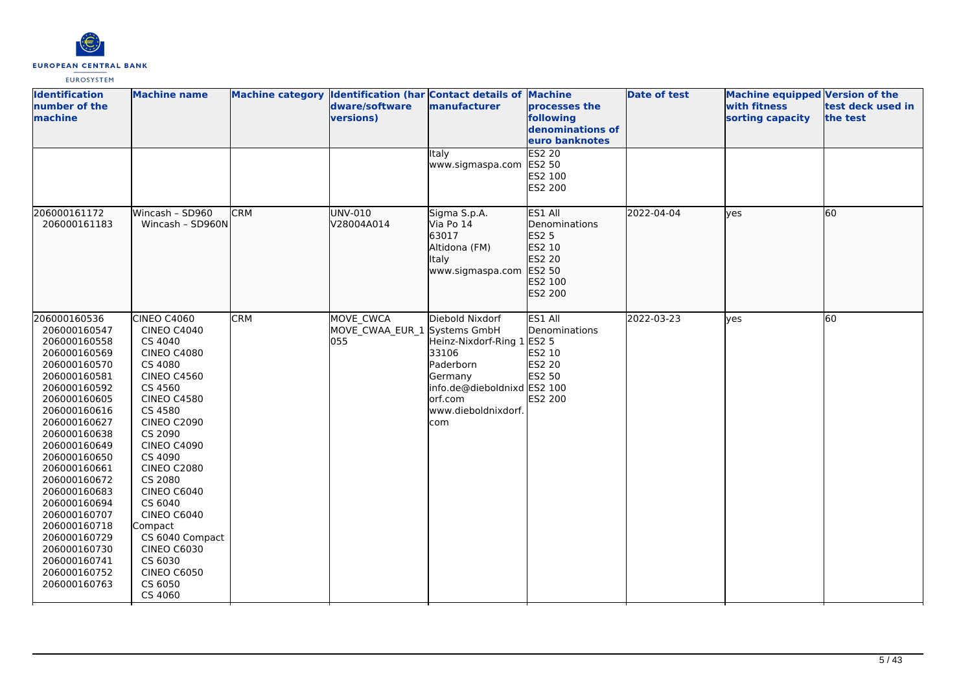

| <b>Identification</b><br>number of the<br>machine                                                                                                                                                                                                                                                                                                                                            | <b>Machine name</b>                                                                                                                                                                                                                                                                                                                                                                                           |            | Machine category Identification (har Contact details of Machine<br>dware/software<br>versions) | manufacturer                                                                                                                                           | processes the<br>following<br>denominations of<br>euro banknotes                      | <b>Date of test</b> | <b>Machine equipped Version of the</b><br>with fitness<br>sorting capacity | test deck used in<br>the test |
|----------------------------------------------------------------------------------------------------------------------------------------------------------------------------------------------------------------------------------------------------------------------------------------------------------------------------------------------------------------------------------------------|---------------------------------------------------------------------------------------------------------------------------------------------------------------------------------------------------------------------------------------------------------------------------------------------------------------------------------------------------------------------------------------------------------------|------------|------------------------------------------------------------------------------------------------|--------------------------------------------------------------------------------------------------------------------------------------------------------|---------------------------------------------------------------------------------------|---------------------|----------------------------------------------------------------------------|-------------------------------|
|                                                                                                                                                                                                                                                                                                                                                                                              |                                                                                                                                                                                                                                                                                                                                                                                                               |            |                                                                                                | Italy<br>www.sigmaspa.com                                                                                                                              | <b>ES2 20</b><br>ES2 50<br>ES2 100<br>ES2 200                                         |                     |                                                                            |                               |
| 206000161172<br>206000161183                                                                                                                                                                                                                                                                                                                                                                 | Wincash - SD960<br>Wincash - SD960N                                                                                                                                                                                                                                                                                                                                                                           | <b>CRM</b> | UNV-010<br>V28004A014                                                                          | Sigma S.p.A.<br>Via Po 14<br>63017<br>Altidona (FM)<br>Italy<br>www.sigmaspa.com                                                                       | ES1 All<br>Denominations<br>ES2 5<br>ES2 10<br>ES2 20<br>ES2 50<br>ES2 100<br>ES2 200 | 2022-04-04          | ves                                                                        | 60                            |
| 206000160536<br>206000160547<br>206000160558<br>206000160569<br>206000160570<br>206000160581<br>206000160592<br>206000160605<br>206000160616<br>206000160627<br>206000160638<br>206000160649<br>206000160650<br>206000160661<br>206000160672<br>206000160683<br>206000160694<br>206000160707<br>206000160718<br>206000160729<br>206000160730<br>206000160741<br>206000160752<br>206000160763 | CINEO C4060<br><b>CINEO C4040</b><br>CS 4040<br><b>CINEO C4080</b><br>CS 4080<br><b>CINEO C4560</b><br>CS 4560<br><b>CINEO C4580</b><br>CS 4580<br><b>CINEO C2090</b><br>CS 2090<br><b>CINEO C4090</b><br>CS 4090<br><b>CINEO C2080</b><br>CS 2080<br>CINEO C6040<br>CS 6040<br><b>CINEO C6040</b><br>Compact<br>CS 6040 Compact<br><b>CINEO C6030</b><br>CS 6030<br><b>CINEO C6050</b><br>CS 6050<br>CS 4060 | <b>CRM</b> | MOVE CWCA<br>MOVE CWAA EUR 1 Systems GmbH<br>055                                               | Diebold Nixdorf<br>Heinz-Nixdorf-Ring 1 ES2 5<br>33106<br>Paderborn<br>Germany<br>info.de@dieboldnixd ES2 100<br>orf.com<br>www.dieboldnixdorf.<br>com | ES1 All<br>Denominations<br>ES2 10<br>ES2 20<br>ES2 50<br>ES2 200                     | 2022-03-23          | ves                                                                        | 60                            |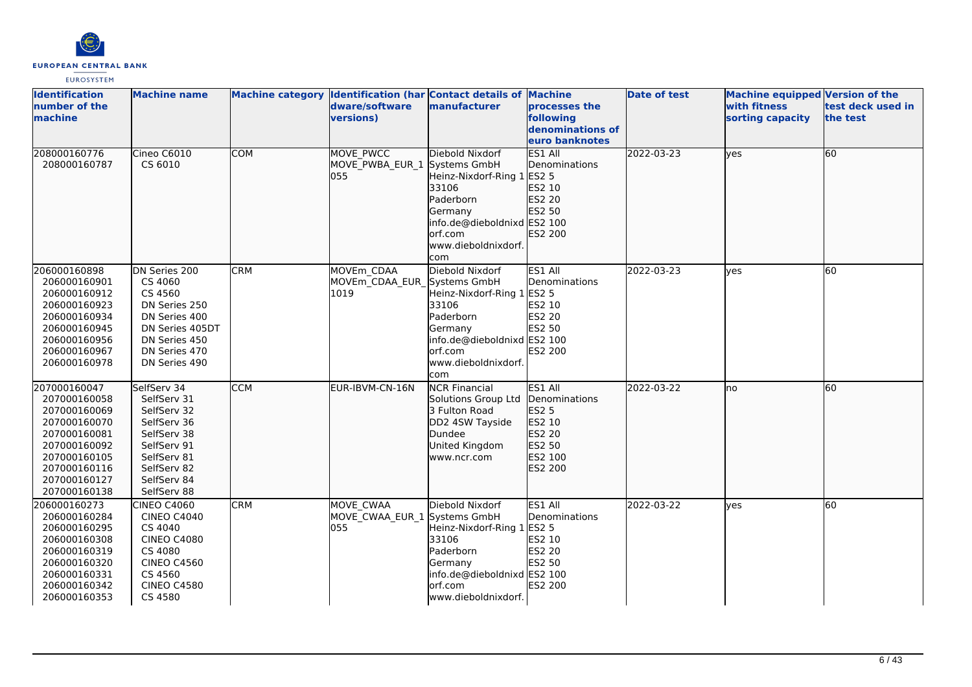

| <b>Identification</b><br>number of the<br>machine                                                                                                            | <b>Machine name</b>                                                                                                                                |            | dware/software<br>versions)                      | Machine category  Identification (har Contact details of Machine<br>manufacturer                                                                                       | processes the<br>following<br>denominations of                                               | <b>Date of test</b> | <b>Machine equipped Version of the</b><br>with fitness<br>sorting capacity | test deck used in<br>the test |
|--------------------------------------------------------------------------------------------------------------------------------------------------------------|----------------------------------------------------------------------------------------------------------------------------------------------------|------------|--------------------------------------------------|------------------------------------------------------------------------------------------------------------------------------------------------------------------------|----------------------------------------------------------------------------------------------|---------------------|----------------------------------------------------------------------------|-------------------------------|
|                                                                                                                                                              |                                                                                                                                                    |            |                                                  |                                                                                                                                                                        | euro banknotes                                                                               |                     |                                                                            |                               |
| 208000160776<br>208000160787                                                                                                                                 | Cineo C6010<br>CS 6010                                                                                                                             | <b>COM</b> | <b>MOVE PWCC</b><br>MOVE PWBA EUR 1<br>055       | Diebold Nixdorf<br>Systems GmbH<br>Heinz-Nixdorf-Ring 1 ES2 5<br>33106<br>Paderborn<br>Germany<br>info.de@dieboldnixd ES2 100<br>orf.com<br>www.dieboldnixdorf.<br>com | ES1 All<br>Denominations<br>ES2 10<br>ES2 20<br>ES2 50<br>ES2 200                            | 2022-03-23          | lyes                                                                       | 60                            |
| 206000160898<br>206000160901<br>206000160912<br>206000160923<br>206000160934<br>206000160945<br>206000160956<br>206000160967<br>206000160978                 | DN Series 200<br>CS 4060<br>CS 4560<br>DN Series 250<br>DN Series 400<br>DN Series 405DT<br>DN Series 450<br>DN Series 470<br>DN Series 490        | <b>CRM</b> | MOVEm CDAA<br>MOVEm CDAA EUR<br>1019             | Diebold Nixdorf<br>Systems GmbH<br>Heinz-Nixdorf-Ring 1 ES2 5<br>33106<br>Paderborn<br>Germany<br>info.de@dieboldnixd ES2 100<br>orf.com<br>www.dieboldnixdorf.<br>com | ES1 All<br>Denominations<br>ES2 10<br><b>ES2 20</b><br>ES2 50<br><b>ES2 200</b>              | 2022-03-23          | lves                                                                       | 60                            |
| 207000160047<br>207000160058<br>207000160069<br>207000160070<br>207000160081<br>207000160092<br>207000160105<br>207000160116<br>207000160127<br>207000160138 | SelfServ 34<br>SelfServ 31<br>SelfServ 32<br>SelfServ 36<br>SelfServ 38<br>SelfServ 91<br>SelfServ 81<br>SelfServ 82<br>SelfServ 84<br>SelfServ 88 | <b>CCM</b> | EUR-IBVM-CN-16N                                  | <b>NCR Financial</b><br>Solutions Group Ltd<br>3 Fulton Road<br>DD2 4SW Tayside<br>Dundee<br>United Kingdom<br>www.ncr.com                                             | ES1 All<br>Denominations<br><b>ES2 5</b><br>ES2 10<br>ES2 20<br>ES2 50<br>ES2 100<br>ES2 200 | 2022-03-22          | lno                                                                        | 60                            |
| 206000160273<br>206000160284<br>206000160295<br>206000160308<br>206000160319<br>206000160320<br>206000160331<br>206000160342<br>206000160353                 | CINEO C4060<br><b>CINEO C4040</b><br>CS 4040<br><b>CINEO C4080</b><br>CS 4080<br><b>CINEO C4560</b><br>CS 4560<br><b>CINEO C4580</b><br>CS 4580    | <b>CRM</b> | MOVE CWAA<br>MOVE CWAA EUR 1 Systems GmbH<br>055 | Diebold Nixdorf<br>Heinz-Nixdorf-Ring 1 ES2 5<br>33106<br>Paderborn<br>Germany<br>info.de@dieboldnixd ES2 100<br>orf.com<br>www.dieboldnixdorf.                        | ES1 All<br>Denominations<br>ES2 10<br><b>ES2 20</b><br>ES2 50<br>ES2 200                     | 2022-03-22          | lves                                                                       | 60                            |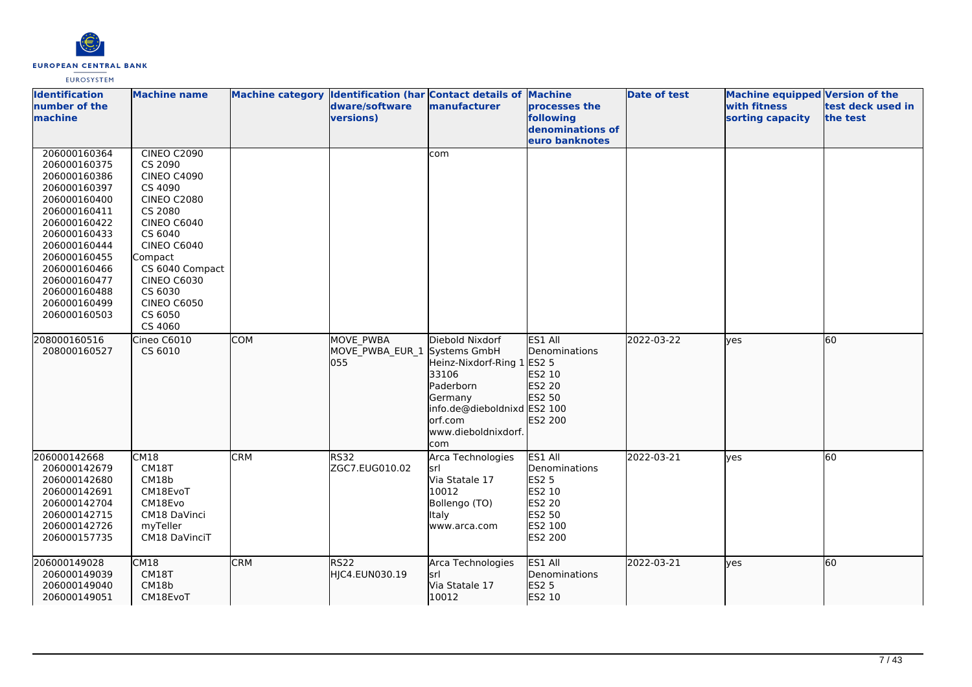

| <b>Identification</b><br>number of the<br>machine                                                                                                                                                                                            | <b>Machine name</b>                                                                                                                                                                                                                                               |            | dware/software<br>versions)         | Machine category Identification (har Contact details of Machine<br>manufacturer                                                                                        | processes the<br>following<br>denominations of<br>euro banknotes                                    | <b>Date of test</b> | <b>Machine equipped Version of the</b><br>with fitness<br>sorting capacity | test deck used in<br>the test |
|----------------------------------------------------------------------------------------------------------------------------------------------------------------------------------------------------------------------------------------------|-------------------------------------------------------------------------------------------------------------------------------------------------------------------------------------------------------------------------------------------------------------------|------------|-------------------------------------|------------------------------------------------------------------------------------------------------------------------------------------------------------------------|-----------------------------------------------------------------------------------------------------|---------------------|----------------------------------------------------------------------------|-------------------------------|
| 206000160364<br>206000160375<br>206000160386<br>206000160397<br>206000160400<br>206000160411<br>206000160422<br>206000160433<br>206000160444<br>206000160455<br>206000160466<br>206000160477<br>206000160488<br>206000160499<br>206000160503 | <b>CINEO C2090</b><br>CS 2090<br><b>CINEO C4090</b><br>CS 4090<br><b>CINEO C2080</b><br>CS 2080<br><b>CINEO C6040</b><br>CS 6040<br><b>CINEO C6040</b><br>Compact<br>CS 6040 Compact<br><b>CINEO C6030</b><br>CS 6030<br><b>CINEO C6050</b><br>CS 6050<br>CS 4060 |            |                                     | com                                                                                                                                                                    |                                                                                                     |                     |                                                                            |                               |
| 208000160516<br>208000160527                                                                                                                                                                                                                 | Cineo C6010<br>CS 6010                                                                                                                                                                                                                                            | <b>COM</b> | MOVE PWBA<br>MOVE_PWBA_EUR_1<br>055 | Diebold Nixdorf<br>Systems GmbH<br>Heinz-Nixdorf-Ring 1 ES2 5<br>33106<br>Paderborn<br>Germany<br>info.de@dieboldnixd ES2 100<br>orf.com<br>www.dieboldnixdorf.<br>com | ES1 All<br>Denominations<br>ES2 10<br>ES2 20<br>ES2 50<br>ES2 200                                   | 2022-03-22          | lyes                                                                       | 60                            |
| 206000142668<br>206000142679<br>206000142680<br>206000142691<br>206000142704<br>206000142715<br>206000142726<br>206000157735                                                                                                                 | <b>CM18</b><br>CM18T<br>CM18b<br>CM18EvoT<br>CM18Evo<br>CM18 DaVinci<br>myTeller<br>CM18 DaVinciT                                                                                                                                                                 | <b>CRM</b> | RS32<br>ZGC7.EUG010.02              | Arca Technologies<br>lsrl<br>Via Statale 17<br>10012<br>Bollengo (TO)<br><b>Italy</b><br>www.arca.com                                                                  | ES1 All<br>Denominations<br><b>ES2 5</b><br>ES2 10<br><b>ES2 20</b><br>ES2 50<br>ES2 100<br>ES2 200 | 2022-03-21          | lyes                                                                       | 60                            |
| 206000149028<br>206000149039<br>206000149040<br>206000149051                                                                                                                                                                                 | CM18<br>CM18T<br>CM18b<br>CM18EvoT                                                                                                                                                                                                                                | <b>CRM</b> | RS <sub>22</sub><br>HJC4.EUN030.19  | Arca Technologies<br><b>srl</b><br>Via Statale 17<br>10012                                                                                                             | ES1 All<br>Denominations<br><b>ES2 5</b><br>ES2 10                                                  | 2022-03-21          | lyes                                                                       | 60                            |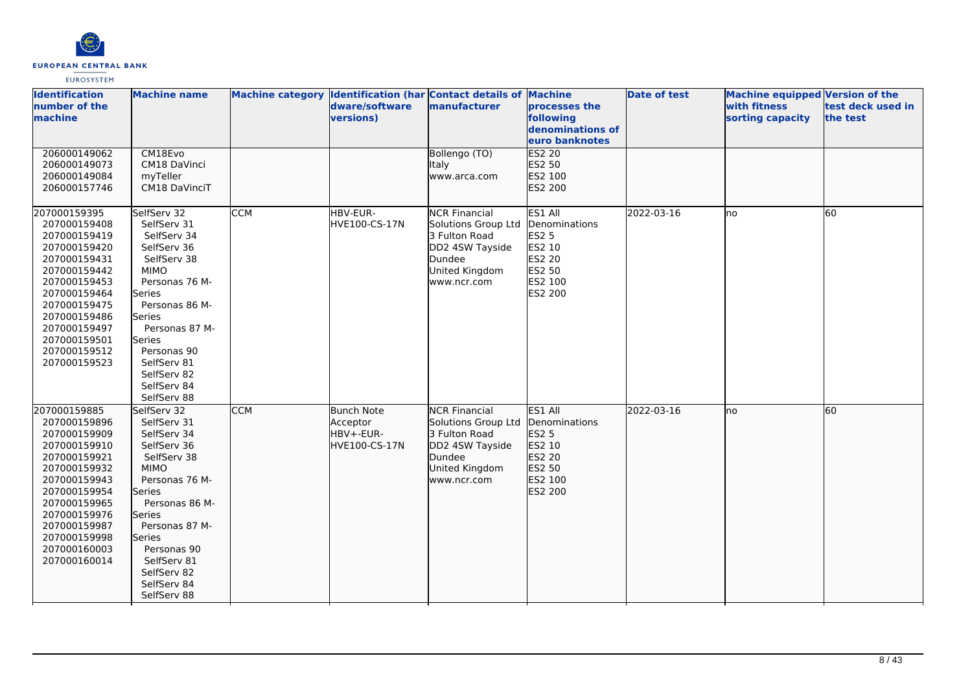

| <b>Identification</b><br>number of the<br>machine                                                                                                                                                                            | <b>Machine name</b>                                                                                                                                                                                                                                                  |            | Machine category Identification (har Contact details of Machine<br>dware/software<br>versions) | manufacturer                                                                                                               | processes the<br>following<br>denominations of<br>euro banknotes                             | <b>Date of test</b> | <b>Machine equipped Version of the</b><br>with fitness<br>sorting capacity | test deck used in<br>the test |
|------------------------------------------------------------------------------------------------------------------------------------------------------------------------------------------------------------------------------|----------------------------------------------------------------------------------------------------------------------------------------------------------------------------------------------------------------------------------------------------------------------|------------|------------------------------------------------------------------------------------------------|----------------------------------------------------------------------------------------------------------------------------|----------------------------------------------------------------------------------------------|---------------------|----------------------------------------------------------------------------|-------------------------------|
| 206000149062<br>206000149073<br>206000149084<br>206000157746                                                                                                                                                                 | CM18Evo<br>CM18 DaVinci<br>myTeller<br>CM18 DaVinciT                                                                                                                                                                                                                 |            |                                                                                                | Bollengo (TO)<br>Italy<br>www.arca.com                                                                                     | ES2 20<br>ES2 50<br>ES2 100<br>ES2 200                                                       |                     |                                                                            |                               |
| 207000159395<br>207000159408<br>207000159419<br>207000159420<br>207000159431<br>207000159442<br>207000159453<br>207000159464<br>207000159475<br>207000159486<br>207000159497<br>207000159501<br>207000159512<br>207000159523 | SelfServ 32<br>SelfServ 31<br>SelfServ 34<br>SelfServ 36<br>SelfServ 38<br><b>MIMO</b><br>Personas 76 M-<br>Series<br>Personas 86 M-<br><b>Series</b><br>Personas 87 M-<br>Series<br>Personas 90<br>SelfServ 81<br>SelfServ 82<br>SelfServ 84<br>SelfServ 88         | <b>CCM</b> | HBV-EUR-<br>HVE100-CS-17N                                                                      | <b>NCR Financial</b><br>Solutions Group Ltd<br>3 Fulton Road<br>DD2 4SW Tayside<br>Dundee<br>United Kingdom<br>www.ncr.com | ES1 All<br>Denominations<br><b>ES2 5</b><br>ES2 10<br>ES2 20<br>ES2 50<br>ES2 100<br>ES2 200 | 2022-03-16          | lno                                                                        | 60                            |
| 207000159885<br>207000159896<br>207000159909<br>207000159910<br>207000159921<br>207000159932<br>207000159943<br>207000159954<br>207000159965<br>207000159976<br>207000159987<br>207000159998<br>207000160003<br>207000160014 | SelfServ 32<br>SelfServ 31<br>SelfServ 34<br>SelfServ 36<br>SelfServ 38<br><b>MIMO</b><br>Personas 76 M-<br>lSeries<br>Personas 86 M-<br><b>Series</b><br>Personas 87 M-<br><b>Series</b><br>Personas 90<br>SelfServ 81<br>SelfServ 82<br>SelfServ 84<br>SelfServ 88 | <b>CCM</b> | <b>Bunch Note</b><br>Acceptor<br>HBV+-EUR-<br>HVE100-CS-17N                                    | <b>NCR</b> Financial<br>Solutions Group Ltd<br>3 Fulton Road<br>DD2 4SW Tayside<br>Dundee<br>United Kingdom<br>www.ncr.com | ES1 All<br>Denominations<br>ES2 5<br>ES2 10<br>ES2 20<br>ES2 50<br>ES2 100<br>ES2 200        | 2022-03-16          | lno                                                                        | 60                            |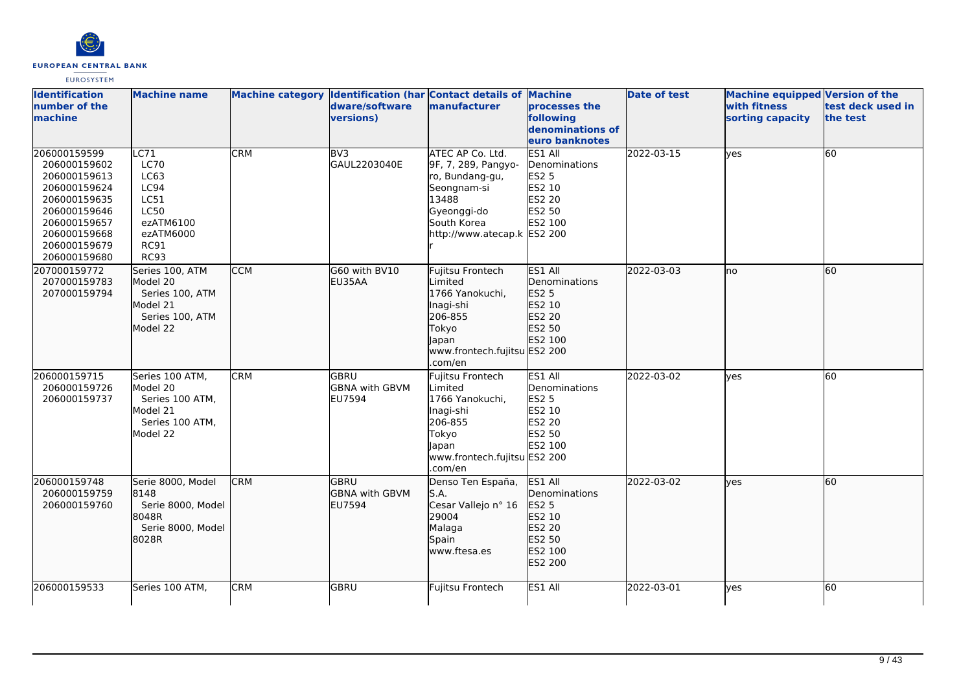

| <b>Identification</b><br>number of the<br>machine                                                                                                            | <b>Machine name</b>                                                                                                |            | dware/software<br><b>versions)</b>                    | Machine category Identification (har Contact details of Machine<br>manufacturer                                                                 | processes the<br>following<br>denominations of                                        | <b>Date of test</b> | <b>Machine equipped Version of the</b><br>with fitness<br>sorting capacity | test deck used in<br>the test |
|--------------------------------------------------------------------------------------------------------------------------------------------------------------|--------------------------------------------------------------------------------------------------------------------|------------|-------------------------------------------------------|-------------------------------------------------------------------------------------------------------------------------------------------------|---------------------------------------------------------------------------------------|---------------------|----------------------------------------------------------------------------|-------------------------------|
|                                                                                                                                                              |                                                                                                                    |            |                                                       |                                                                                                                                                 | euro banknotes                                                                        |                     |                                                                            |                               |
| 206000159599<br>206000159602<br>206000159613<br>206000159624<br>206000159635<br>206000159646<br>206000159657<br>206000159668<br>206000159679<br>206000159680 | LC71<br><b>LC70</b><br>LC63<br>LC94<br>LC51<br><b>LC50</b><br>ezATM6100<br>ezATM6000<br><b>RC91</b><br><b>RC93</b> | <b>CRM</b> | BV3<br>GAUL2203040E                                   | ATEC AP Co. Ltd.<br>9F, 7, 289, Pangyo-<br>ro, Bundang-gu,<br>Seongnam-si<br>13488<br>Gyeonggi-do<br>South Korea<br>http://www.atecap.k ES2 200 | ES1 All<br>Denominations<br>ES2 5<br>ES2 10<br><b>ES2 20</b><br>ES2 50<br>ES2 100     | 2022-03-15          | yes                                                                        | 60                            |
| 207000159772<br>207000159783<br>207000159794                                                                                                                 | Series 100, ATM<br>Model 20<br>Series 100, ATM<br>Model 21<br>Series 100, ATM<br>Model 22                          | <b>CCM</b> | G60 with BV10<br>EU35AA                               | Fujitsu Frontech<br>Limited<br>1766 Yanokuchi,<br>Inagi-shi<br>206-855<br>Tokyo<br>Japan<br>www.frontech.fujitsu ES2 200<br>.com/en             | ES1 All<br>Denominations<br><b>ES2 5</b><br>ES2 10<br>ES2 20<br>ES2 50<br>ES2 100     | 2022-03-03          | lno                                                                        | 60                            |
| 206000159715<br>206000159726<br>206000159737                                                                                                                 | Series 100 ATM,<br>Model 20<br>Series 100 ATM,<br>Model 21<br>Series 100 ATM,<br>Model 22                          | <b>CRM</b> | lgbru<br><b>GBNA with GBVM</b><br>EU7594              | Fujitsu Frontech<br>Limited<br>1766 Yanokuchi,<br>Inagi-shi<br>206-855<br>Tokyo<br>lapan<br>www.frontech.fujitsu ES2 200<br>.com/en             | ES1 All<br>Denominations<br><b>ES2 5</b><br>ES2 10<br>ES2 20<br>ES2 50<br>ES2 100     | 2022-03-02          | ves                                                                        | 60                            |
| 206000159748<br>206000159759<br>206000159760                                                                                                                 | Serie 8000, Model<br>8148<br>Serie 8000, Model<br>18048R<br>Serie 8000, Model<br>8028R                             | <b>CRM</b> | <b>GBRU</b><br><b>GBNA with GBVM</b><br><b>EU7594</b> | Denso Ten España,<br>S.A.<br>Cesar Vallejo nº 16<br>29004<br>Malaga<br>Spain<br>www.ftesa.es                                                    | ES1 All<br>Denominations<br>ES2 5<br>ES2 10<br>ES2 20<br>ES2 50<br>ES2 100<br>ES2 200 | 2022-03-02          | ves                                                                        | 60                            |
| 206000159533                                                                                                                                                 | Series 100 ATM,                                                                                                    | <b>CRM</b> | GBRU                                                  | Fujitsu Frontech                                                                                                                                | ES1 All                                                                               | 2022-03-01          | yes                                                                        | 60                            |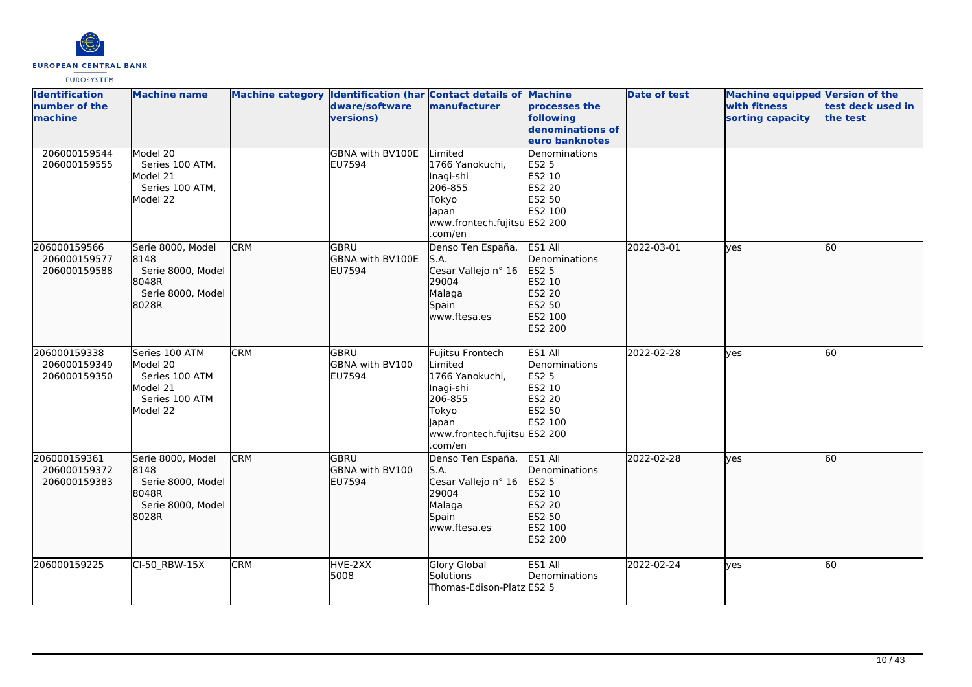

| <b>Identification</b><br>number of the<br><b>Imachine</b> | <b>Machine name</b>                                                                    |            | dware/software<br>versions)                      | Machine category Identification (har Contact details of Machine<br>manufacturer                                                     | processes the<br>following<br>denominations of<br>euro banknotes                      | <b>Date of test</b> | <b>Machine equipped Version of the</b><br>with fitness<br>sorting capacity | test deck used in<br>the test |
|-----------------------------------------------------------|----------------------------------------------------------------------------------------|------------|--------------------------------------------------|-------------------------------------------------------------------------------------------------------------------------------------|---------------------------------------------------------------------------------------|---------------------|----------------------------------------------------------------------------|-------------------------------|
| 206000159544<br>206000159555                              | Model 20<br>Series 100 ATM,<br>Model 21<br>Series 100 ATM,<br>Model 22                 |            | <b>GBNA with BV100E</b><br>EU7594                | Limited<br>1766 Yanokuchi,<br>Inagi-shi<br>206-855<br>Tokyo<br>Japan<br>www.frontech.fujitsu ES2 200<br>com/en                      | Denominations<br><b>ES2 5</b><br>ES2 10<br><b>ES2 20</b><br>ES2 50<br>ES2 100         |                     |                                                                            |                               |
| 206000159566<br>206000159577<br>206000159588              | Serie 8000, Model<br>8148<br>Serie 8000, Model<br>18048R<br>Serie 8000, Model<br>8028R | <b>CRM</b> | GBRU<br><b>GBNA with BV100E</b><br><b>EU7594</b> | Denso Ten España,<br>S.A.<br>Cesar Vallejo nº 16<br>29004<br>Malaga<br>Spain<br>www.ftesa.es                                        | ES1 All<br>Denominations<br>ES2 5<br>ES2 10<br>ES2 20<br>ES2 50<br>ES2 100<br>ES2 200 | 2022-03-01          | lves                                                                       | 60                            |
| 206000159338<br>206000159349<br>206000159350              | Series 100 ATM<br>Model 20<br>Series 100 ATM<br>Model 21<br>Series 100 ATM<br>Model 22 | <b>CRM</b> | lgbru<br>GBNA with BV100<br><b>EU7594</b>        | Fujitsu Frontech<br>Limited<br>1766 Yanokuchi,<br>Inagi-shi<br>206-855<br>Tokyo<br>Japan<br>www.frontech.fujitsu ES2 200<br>.com/en | ES1 All<br>Denominations<br>ES2 5<br>ES2 10<br><b>ES2 20</b><br>ES2 50<br>ES2 100     | 2022-02-28          | lves                                                                       | 60                            |
| 206000159361<br>206000159372<br>206000159383              | Serie 8000, Model<br>8148<br>Serie 8000, Model<br>18048R<br>Serie 8000, Model<br>8028R | <b>CRM</b> | GBRU<br>GBNA with BV100<br>EU7594                | Denso Ten España,<br>S.A.<br>Cesar Vallejo nº 16<br>29004<br>Malaga<br>Spain<br>www.ftesa.es                                        | ES1 All<br>Denominations<br>ES2 5<br>ES2 10<br>ES2 20<br>ES2 50<br>ES2 100<br>ES2 200 | 2022-02-28          | lyes                                                                       | 60                            |
| 206000159225                                              | CI-50_RBW-15X                                                                          | <b>CRM</b> | HVE-2XX<br>5008                                  | Glory Global<br>Solutions<br>Thomas-Edison-Platz ES2 5                                                                              | ES1 All<br>Denominations                                                              | 2022-02-24          | lyes                                                                       | 60                            |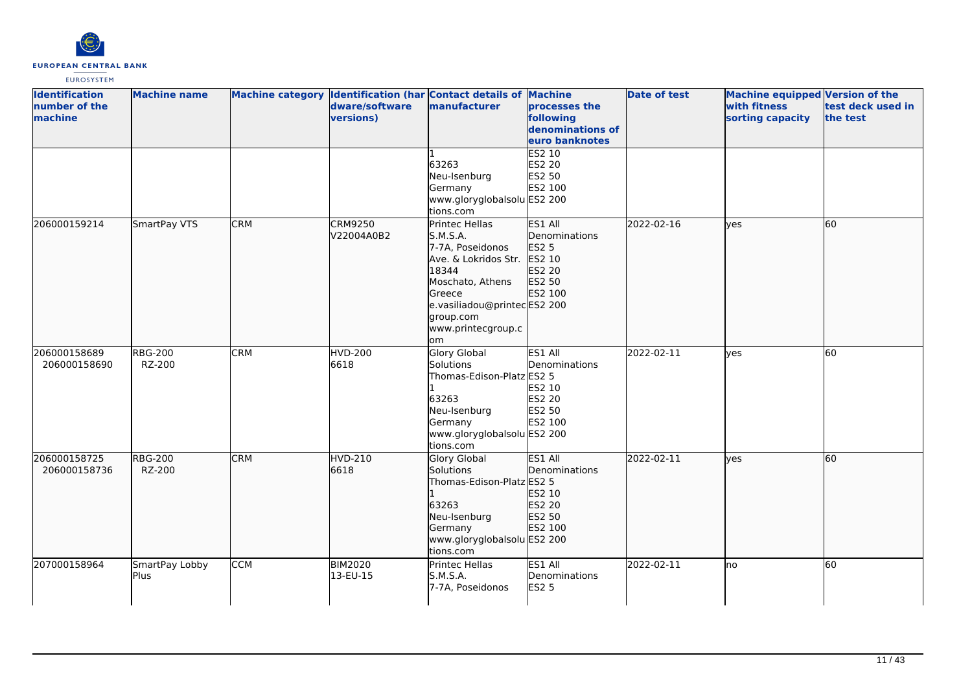

| <b>Identification</b><br>number of the<br>machine | <b>Machine name</b>      |            | dware/software<br>versions)  | Machine category Identification (har Contact details of Machine<br>manufacturer                                                                                                       | processes the<br>following<br>denominations of<br>euro banknotes           | <b>Date of test</b> | <b>Machine equipped Version of the</b><br>with fitness<br>sorting capacity | test deck used in<br>the test |
|---------------------------------------------------|--------------------------|------------|------------------------------|---------------------------------------------------------------------------------------------------------------------------------------------------------------------------------------|----------------------------------------------------------------------------|---------------------|----------------------------------------------------------------------------|-------------------------------|
|                                                   |                          |            |                              | 63263<br>Neu-Isenburg<br>Germany<br>www.gloryglobalsolu ES2 200<br>tions.com                                                                                                          | <b>ES2 10</b><br>ES2 20<br>ES2 50<br>ES2 100                               |                     |                                                                            |                               |
| 206000159214                                      | SmartPay VTS             | <b>CRM</b> | <b>CRM9250</b><br>V22004A0B2 | Printec Hellas<br>S.M.S.A.<br>7-7A, Poseidonos<br>Ave. & Lokridos Str.<br>18344<br>Moschato, Athens<br>Greece<br>e.vasiliadou@printecES2 200<br>group.com<br>www.printecgroup.c<br>om | ES1 All<br>Denominations<br>ES2 5<br>ES2 10<br>ES2 20<br>ES2 50<br>ES2 100 | 2022-02-16          | lyes                                                                       | 60                            |
| 206000158689<br>206000158690                      | <b>RBG-200</b><br>RZ-200 | <b>CRM</b> | <b>HVD-200</b><br>6618       | <b>Glory Global</b><br>Solutions<br>Thomas-Edison-Platz ES2 5<br>63263<br>Neu-Isenburg<br>Germany<br>www.gloryglobalsolu ES2 200<br>tions.com                                         | ES1 All<br>Denominations<br>ES2 10<br>ES2 20<br>ES2 50<br>ES2 100          | 2022-02-11          | lyes                                                                       | 60                            |
| 206000158725<br>206000158736                      | <b>RBG-200</b><br>RZ-200 | <b>CRM</b> | HVD-210<br>6618              | <b>Glory Global</b><br>Solutions<br>Thomas-Edison-Platz ES2 5<br>63263<br>Neu-Isenburg<br>Germany<br>www.gloryglobalsolu ES2 200<br>tions.com                                         | ES1 All<br>Denominations<br>ES2 10<br>ES2 20<br>ES2 50<br>ES2 100          | 2022-02-11          | lyes                                                                       | 60                            |
| 207000158964                                      | SmartPay Lobby<br>Plus   | <b>CCM</b> | <b>BIM2020</b><br>13-EU-15   | <b>Printec Hellas</b><br>S.M.S.A.<br>7-7A, Poseidonos                                                                                                                                 | ES1 All<br>Denominations<br><b>ES2 5</b>                                   | 2022-02-11          | lno                                                                        | 60                            |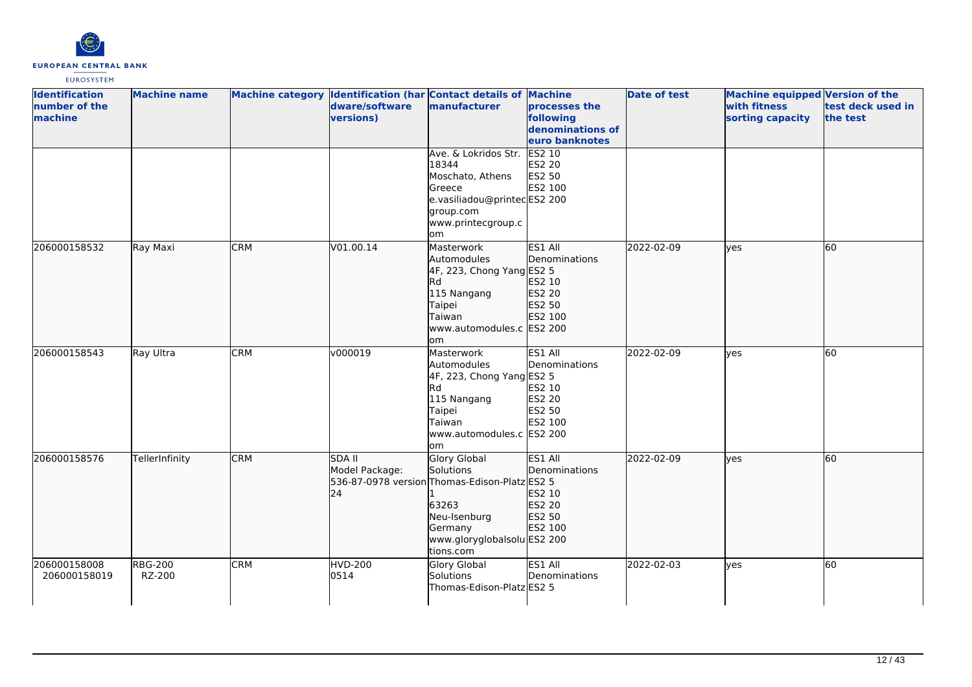

| <b>Identification</b><br>number of the<br>machine | <b>Machine name</b>      |            | dware/software<br>versions)           | Machine category Identification (har Contact details of Machine<br>manufacturer                                                                            | processes the<br>following<br>denominations of<br>euro banknotes  | <b>Date of test</b> | Machine equipped Version of the<br>with fitness<br>sorting capacity | test deck used in<br>the test |
|---------------------------------------------------|--------------------------|------------|---------------------------------------|------------------------------------------------------------------------------------------------------------------------------------------------------------|-------------------------------------------------------------------|---------------------|---------------------------------------------------------------------|-------------------------------|
|                                                   |                          |            |                                       | Ave. & Lokridos Str.<br>18344<br>Moschato, Athens<br>Greece<br>e.vasiliadou@printecES2 200<br>group.com<br>www.printecgroup.c<br>om                        | ES2 10<br><b>ES2 20</b><br>ES2 50<br>ES2 100                      |                     |                                                                     |                               |
| 206000158532                                      | Ray Maxi                 | <b>CRM</b> | V01.00.14                             | Masterwork<br>Automodules<br>4F, 223, Chong Yang ES2 5<br>Rd<br>115 Nangang<br>Taipei<br>Taiwan<br>www.automodules.c ES2 200<br>om                         | ES1 All<br>Denominations<br>ES2 10<br>ES2 20<br>ES2 50<br>ES2 100 | 2022-02-09          | ves                                                                 | 60                            |
| 206000158543                                      | Ray Ultra                | <b>CRM</b> | v000019                               | Masterwork<br>Automodules<br>4F, 223, Chong Yang ES2 5<br><b>Rd</b><br>115 Nangang<br>Taipei<br><b>Taiwan</b><br>www.automodules.c ES2 200<br>lom          | ES1 All<br>Denominations<br>ES2 10<br>ES2 20<br>ES2 50<br>ES2 100 | 2022-02-09          | lyes                                                                | 60                            |
| 206000158576                                      | TellerInfinity           | <b>CRM</b> | <b>SDA II</b><br>Model Package:<br>24 | Glory Global<br>Solutions<br>536-87-0978 version Thomas-Edison-Platz ES2 5<br>63263<br>Neu-Isenburg<br>Germany<br>www.gloryglobalsolu ES2 200<br>tions.com | ES1 All<br>Denominations<br>ES2 10<br>ES2 20<br>ES2 50<br>ES2 100 | 2022-02-09          | lyes                                                                | 60                            |
| 206000158008<br>206000158019                      | <b>RBG-200</b><br>RZ-200 | <b>CRM</b> | <b>HVD-200</b><br>0514                | Glory Global<br>Solutions<br>Thomas-Edison-Platz ES2 5                                                                                                     | ES1 All<br>Denominations                                          | 2022-02-03          | lyes                                                                | 60                            |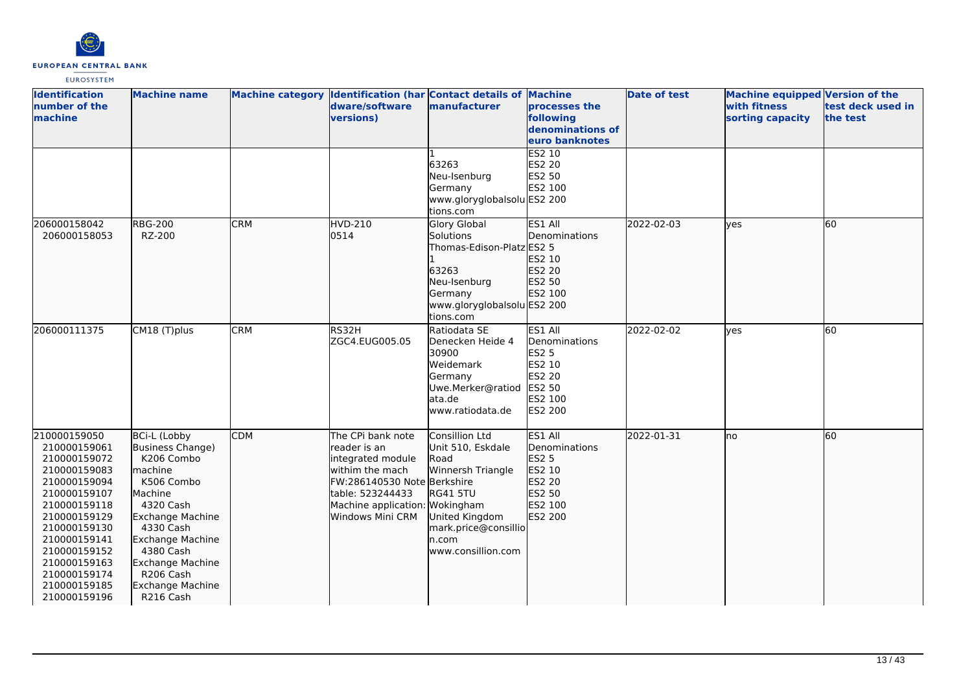

| <b>Identification</b><br>number of the<br>machine                                                                                                                                                                                            | <b>Machine name</b>                                                                                                                                                                                                                        |            | dware/software<br>versions)                                                                                                                                                         | Machine category Identification (har Contact details of Machine<br>manufacturer                                                                                      | processes the<br>following<br>denominations of<br>euro banknotes                             | <b>Date of test</b> | <b>Machine equipped Version of the</b><br>with fitness<br>sorting capacity | test deck used in<br>the test |
|----------------------------------------------------------------------------------------------------------------------------------------------------------------------------------------------------------------------------------------------|--------------------------------------------------------------------------------------------------------------------------------------------------------------------------------------------------------------------------------------------|------------|-------------------------------------------------------------------------------------------------------------------------------------------------------------------------------------|----------------------------------------------------------------------------------------------------------------------------------------------------------------------|----------------------------------------------------------------------------------------------|---------------------|----------------------------------------------------------------------------|-------------------------------|
|                                                                                                                                                                                                                                              |                                                                                                                                                                                                                                            |            |                                                                                                                                                                                     | 63263<br>Neu-Isenburg<br>Germany<br>www.gloryglobalsolu ES2 200<br>tions.com                                                                                         | ES2 10<br><b>ES2 20</b><br>ES2 50<br>ES2 100                                                 |                     |                                                                            |                               |
| 206000158042<br>206000158053                                                                                                                                                                                                                 | <b>RBG-200</b><br>RZ-200                                                                                                                                                                                                                   | <b>CRM</b> | HVD-210<br>0514                                                                                                                                                                     | <b>Glory Global</b><br>Solutions<br>Thomas-Edison-Platz ES2 5<br>63263<br>Neu-Isenburg<br>Germany<br>www.gloryglobalsolu ES2 200<br>tions.com                        | ES1 All<br>Denominations<br>ES2 10<br>ES2 20<br>ES2 50<br>ES2 100                            | 2022-02-03          | lves                                                                       | 60                            |
| 206000111375                                                                                                                                                                                                                                 | CM18 (T)plus                                                                                                                                                                                                                               | <b>CRM</b> | RS32H<br>ZGC4.EUG005.05                                                                                                                                                             | Ratiodata SE<br>Denecken Heide 4<br>30900<br>Weidemark<br>Germany<br>Uwe.Merker@ratiod<br>lata.de<br>www.ratiodata.de                                                | ES1 All<br>Denominations<br><b>ES2 5</b><br>ES2 10<br>ES2 20<br>ES2 50<br>ES2 100<br>ES2 200 | 2022-02-02          | ves                                                                        | 60                            |
| 210000159050<br>210000159061<br>210000159072<br>210000159083<br>210000159094<br>210000159107<br>210000159118<br>210000159129<br>210000159130<br>210000159141<br>210000159152<br>210000159163<br>210000159174<br>210000159185<br>210000159196 | BCi-L (Lobby<br>Business Change)<br>K206 Combo<br>machine<br>K506 Combo<br>Machine<br>4320 Cash<br>Exchange Machine<br>4330 Cash<br><b>Exchange Machine</b><br>4380 Cash<br>Exchange Machine<br>R206 Cash<br>Exchange Machine<br>R216 Cash | <b>CDM</b> | The CPi bank note<br>lreader is an<br>integrated module<br>withim the mach<br>FW:286140530 Note Berkshire<br>table: 523244433<br>Machine application: Wokingham<br>Windows Mini CRM | <b>Consillion Ltd</b><br>Unit 510, Eskdale<br>Road<br>Winnersh Triangle<br><b>RG41 5TU</b><br>United Kingdom<br>mark.price@consillio<br>ln.com<br>www.consillion.com | ES1 All<br>Denominations<br>ES2 5<br>ES2 10<br>ES2 20<br>ES2 50<br>ES2 100<br>ES2 200        | 2022-01-31          | no                                                                         | 60                            |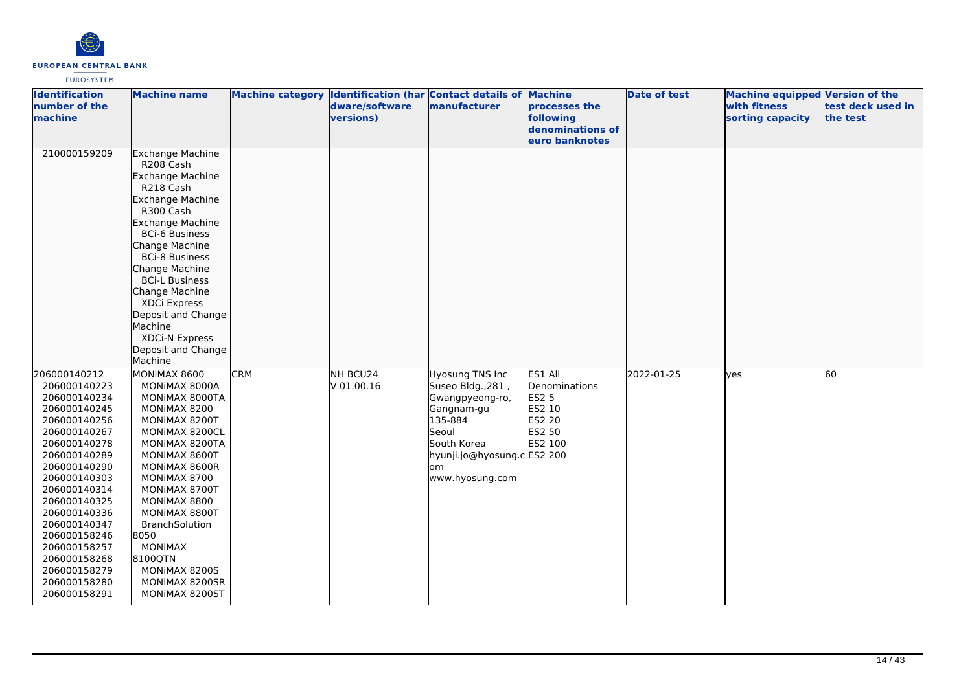

| <b>Identification</b><br>number of the<br>machine                                                                                                                                                                                                                                                                            | <b>Machine name</b>                                                                                                                                                                                                                                                                                                                                                    |            | Machine category Identification (har Contact details of Machine<br>dware/software<br>versions) | manufacturer                                                                                                                                                      | processes the<br>following<br>denominations of<br>euro banknotes           | <b>Date of test</b> | <b>Machine equipped Version of the</b><br>with fitness<br>sorting capacity | test deck used in<br>the test |
|------------------------------------------------------------------------------------------------------------------------------------------------------------------------------------------------------------------------------------------------------------------------------------------------------------------------------|------------------------------------------------------------------------------------------------------------------------------------------------------------------------------------------------------------------------------------------------------------------------------------------------------------------------------------------------------------------------|------------|------------------------------------------------------------------------------------------------|-------------------------------------------------------------------------------------------------------------------------------------------------------------------|----------------------------------------------------------------------------|---------------------|----------------------------------------------------------------------------|-------------------------------|
| 210000159209                                                                                                                                                                                                                                                                                                                 | <b>Exchange Machine</b><br>R208 Cash<br>Exchange Machine<br>R218 Cash<br>Exchange Machine<br>R300 Cash<br><b>Exchange Machine</b><br><b>BCi-6 Business</b><br>Change Machine<br><b>BCi-8 Business</b><br>Change Machine<br><b>BCi-L Business</b><br>Change Machine<br>XDCi Express<br>Deposit and Change<br>Machine<br>XDCi-N Express<br>Deposit and Change<br>Machine |            |                                                                                                |                                                                                                                                                                   |                                                                            |                     |                                                                            |                               |
| 206000140212<br>206000140223<br>206000140234<br>206000140245<br>206000140256<br>206000140267<br>206000140278<br>206000140289<br>206000140290<br>206000140303<br>206000140314<br>206000140325<br>206000140336<br>206000140347<br>206000158246<br>206000158257<br>206000158268<br>206000158279<br>206000158280<br>206000158291 | MONIMAX 8600<br>MONIMAX 8000A<br>MONIMAX 8000TA<br>MONIMAX 8200<br>MONIMAX 8200T<br>MONIMAX 8200CL<br>MONIMAX 8200TA<br>MONIMAX 8600T<br>MONIMAX 8600R<br>MONIMAX 8700<br>MONIMAX 8700T<br>MONIMAX 8800<br>MONIMAX 8800T<br>BranchSolution<br>8050<br><b>MONIMAX</b><br>8100QTN<br>MONIMAX 8200S<br>MONIMAX 8200SR<br>MONIMAX 8200ST                                   | <b>CRM</b> | NH BCU24<br>$V$ 01.00.16                                                                       | Hyosung TNS Inc<br>Suseo Bldg., 281,<br>Gwangpyeong-ro,<br>Gangnam-gu<br>135-884<br>Seoul<br>South Korea<br>hyunji.jo@hyosung.c ES2 200<br>lom<br>www.hyosung.com | ES1 All<br>Denominations<br>ES2 5<br>ES2 10<br>ES2 20<br>ES2 50<br>ES2 100 | 2022-01-25          | lves                                                                       | 60                            |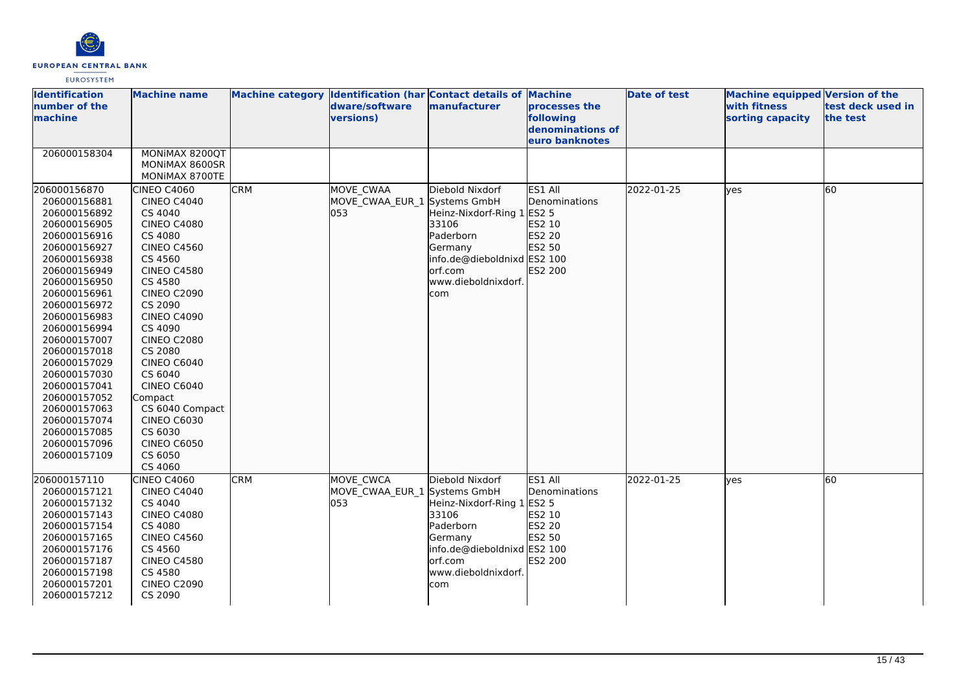

| <b>Identification</b><br>number of the<br>machine                                                                                                                                                                                                                                                                                                                                            | <b>Machine name</b>                                                                                                                                                                                                                                                                                                                                                                                                  |            | Machine category  Identification (har Contact details of Machine<br>dware/software<br>versions) | manufacturer                                                                                                                                           | processes the<br>following<br>denominations of<br>euro banknotes  | <b>Date of test</b> | <b>Machine equipped Version of the</b><br>with fitness<br>sorting capacity | test deck used in<br>the test |
|----------------------------------------------------------------------------------------------------------------------------------------------------------------------------------------------------------------------------------------------------------------------------------------------------------------------------------------------------------------------------------------------|----------------------------------------------------------------------------------------------------------------------------------------------------------------------------------------------------------------------------------------------------------------------------------------------------------------------------------------------------------------------------------------------------------------------|------------|-------------------------------------------------------------------------------------------------|--------------------------------------------------------------------------------------------------------------------------------------------------------|-------------------------------------------------------------------|---------------------|----------------------------------------------------------------------------|-------------------------------|
| 206000158304                                                                                                                                                                                                                                                                                                                                                                                 | MONIMAX 8200QT<br>MONIMAX 8600SR<br>MONIMAX 8700TE                                                                                                                                                                                                                                                                                                                                                                   |            |                                                                                                 |                                                                                                                                                        |                                                                   |                     |                                                                            |                               |
| 206000156870<br>206000156881<br>206000156892<br>206000156905<br>206000156916<br>206000156927<br>206000156938<br>206000156949<br>206000156950<br>206000156961<br>206000156972<br>206000156983<br>206000156994<br>206000157007<br>206000157018<br>206000157029<br>206000157030<br>206000157041<br>206000157052<br>206000157063<br>206000157074<br>206000157085<br>206000157096<br>206000157109 | CINEO C4060<br><b>CINEO C4040</b><br>CS 4040<br><b>CINEO C4080</b><br>CS 4080<br><b>CINEO C4560</b><br>CS 4560<br><b>CINEO C4580</b><br>CS 4580<br><b>CINEO C2090</b><br>CS 2090<br><b>CINEO C4090</b><br>CS 4090<br><b>CINEO C2080</b><br>CS 2080<br><b>CINEO C6040</b><br>CS 6040<br><b>CINEO C6040</b><br>Compact<br>CS 6040 Compact<br><b>CINEO C6030</b><br>CS 6030<br><b>CINEO C6050</b><br>CS 6050<br>CS 4060 | <b>CRM</b> | MOVE CWAA<br>MOVE CWAA EUR 1 Systems GmbH<br>053                                                | Diebold Nixdorf<br>Heinz-Nixdorf-Ring 1 ES2 5<br>33106<br>Paderborn<br>Germany<br>info.de@dieboldnixd ES2 100<br>orf.com<br>www.dieboldnixdorf.<br>com | ES1 All<br>Denominations<br>ES2 10<br>ES2 20<br>ES2 50<br>ES2 200 | 2022-01-25          | lves                                                                       | 60                            |
| 206000157110<br>206000157121<br>206000157132<br>206000157143<br>206000157154<br>206000157165<br>206000157176<br>206000157187<br>206000157198<br>206000157201<br>206000157212                                                                                                                                                                                                                 | CINEO C4060<br><b>CINEO C4040</b><br>CS 4040<br><b>CINEO C4080</b><br>CS 4080<br><b>CINEO C4560</b><br>CS 4560<br><b>CINEO C4580</b><br>CS 4580<br><b>CINEO C2090</b><br>CS 2090                                                                                                                                                                                                                                     | <b>CRM</b> | <b>MOVE CWCA</b><br>MOVE CWAA EUR 1 Systems GmbH<br>053                                         | Diebold Nixdorf<br>Heinz-Nixdorf-Ring 1 ES2 5<br>33106<br>Paderborn<br>Germany<br>info.de@dieboldnixd ES2 100<br>orf.com<br>www.dieboldnixdorf.<br>com | ES1 All<br>Denominations<br>ES2 10<br>ES2 20<br>ES2 50<br>ES2 200 | 2022-01-25          | lves                                                                       | 60                            |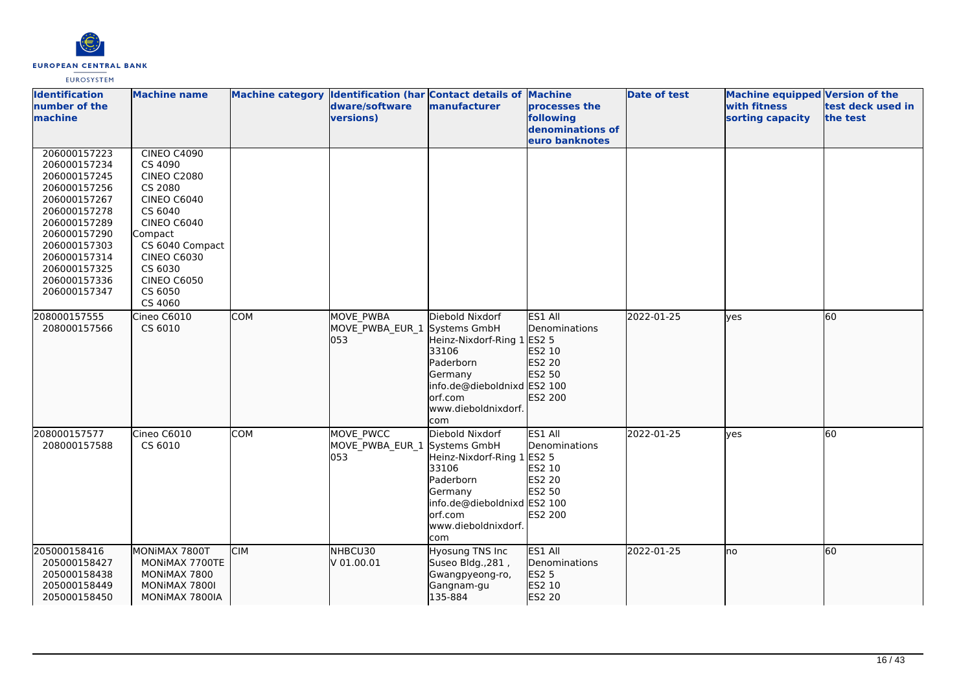

| <b>Identification</b><br>number of the<br>machine                                                                                                                                                            | <b>Machine name</b>                                                                                                                                                                                                              |            | dware/software<br>versions)                | Machine category Identification (har Contact details of Machine<br>manufacturer                                                                                        | processes the<br>following<br>denominations of<br>euro banknotes         | <b>Date of test</b> | <b>Machine equipped Version of the</b><br>with fitness<br>sorting capacity | test deck used in<br>the test |
|--------------------------------------------------------------------------------------------------------------------------------------------------------------------------------------------------------------|----------------------------------------------------------------------------------------------------------------------------------------------------------------------------------------------------------------------------------|------------|--------------------------------------------|------------------------------------------------------------------------------------------------------------------------------------------------------------------------|--------------------------------------------------------------------------|---------------------|----------------------------------------------------------------------------|-------------------------------|
| 206000157223<br>206000157234<br>206000157245<br>206000157256<br>206000157267<br>206000157278<br>206000157289<br>206000157290<br>206000157303<br>206000157314<br>206000157325<br>206000157336<br>206000157347 | <b>CINEO C4090</b><br>CS 4090<br><b>CINEO C2080</b><br>CS 2080<br><b>CINEO C6040</b><br>CS 6040<br><b>CINEO C6040</b><br>Compact<br>CS 6040 Compact<br><b>CINEO C6030</b><br>CS 6030<br><b>CINEO C6050</b><br>CS 6050<br>CS 4060 |            |                                            |                                                                                                                                                                        |                                                                          |                     |                                                                            |                               |
| 208000157555<br>208000157566                                                                                                                                                                                 | Cineo C6010<br>CS 6010                                                                                                                                                                                                           | <b>COM</b> | <b>MOVE PWBA</b><br>MOVE_PWBA_EUR_1<br>053 | Diebold Nixdorf<br>Systems GmbH<br>Heinz-Nixdorf-Ring 1 ES2 5<br>33106<br>Paderborn<br>Germany<br>info.de@dieboldnixd ES2 100<br>orf.com<br>www.dieboldnixdorf.<br>com | ES1 All<br>Denominations<br>ES2 10<br>ES2 20<br>ES2 50<br>ES2 200        | 2022-01-25          | <b>lves</b>                                                                | 60                            |
| 208000157577<br>208000157588                                                                                                                                                                                 | Cineo C6010<br>CS 6010                                                                                                                                                                                                           | COM        | MOVE PWCC<br>MOVE_PWBA_EUR_1<br>053        | Diebold Nixdorf<br>Systems GmbH<br>Heinz-Nixdorf-Ring 1 ES2 5<br>33106<br>Paderborn<br>Germany<br>info.de@dieboldnixd ES2 100<br>orf.com<br>www.dieboldnixdorf.<br>com | ES1 All<br>Denominations<br>ES2 10<br><b>ES2 20</b><br>ES2 50<br>ES2 200 | 2022-01-25          | <b>ves</b>                                                                 | 60                            |
| 205000158416<br>205000158427<br>205000158438<br>205000158449<br>205000158450                                                                                                                                 | MONIMAX 7800T<br>MONIMAX 7700TE<br>MONIMAX 7800<br>MONIMAX 7800I<br>MONIMAX 7800IA                                                                                                                                               | <b>CIM</b> | NHBCU30<br>V 01.00.01                      | Hyosung TNS Inc<br>Suseo Bldg., 281,<br>Gwangpyeong-ro,<br>Gangnam-gu<br>135-884                                                                                       | ES1 All<br>Denominations<br>ES2 5<br>ES2 10<br>ES2 20                    | 2022-01-25          | Ino                                                                        | 60                            |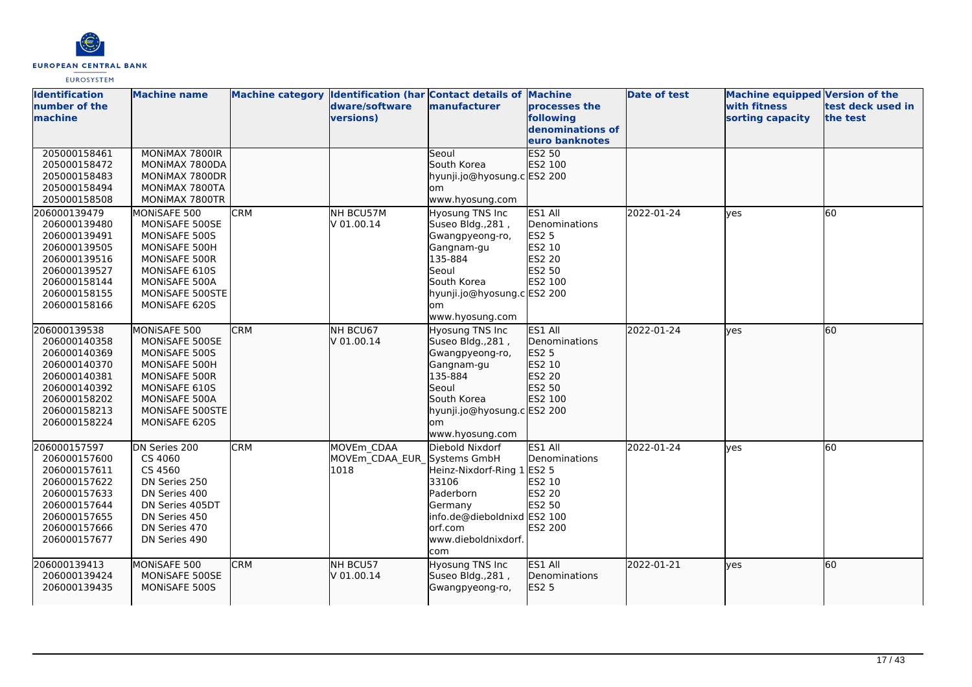

| <b>Identification</b> | <b>Machine name</b> |            |                             | Machine category  Identification (har Contact details of Machine |                  | <b>Date of test</b> | <b>Machine equipped Version of the</b> |                   |
|-----------------------|---------------------|------------|-----------------------------|------------------------------------------------------------------|------------------|---------------------|----------------------------------------|-------------------|
| number of the         |                     |            | dware/software              | <b>manufacturer</b>                                              | processes the    |                     | <b>with fitness</b>                    | test deck used in |
| machine               |                     |            | versions)                   |                                                                  | following        |                     | sorting capacity                       | the test          |
|                       |                     |            |                             |                                                                  | denominations of |                     |                                        |                   |
|                       |                     |            |                             |                                                                  | euro banknotes   |                     |                                        |                   |
| 205000158461          | MONIMAX 7800IR      |            |                             | Seoul                                                            | <b>ES2 50</b>    |                     |                                        |                   |
| 205000158472          | MONIMAX 7800DA      |            |                             | South Korea                                                      | ES2 100          |                     |                                        |                   |
| 205000158483          | MONIMAX 7800DR      |            |                             | hyunji.jo@hyosung.c ES2 200                                      |                  |                     |                                        |                   |
| 205000158494          | MONIMAX 7800TA      |            |                             | om                                                               |                  |                     |                                        |                   |
| 205000158508          | MONIMAX 7800TR      |            |                             | www.hyosung.com                                                  |                  |                     |                                        |                   |
| 206000139479          | MONISAFE 500        | <b>CRM</b> | NH BCU57M                   | Hyosung TNS Inc                                                  | ES1 All          | 2022-01-24          | lyes                                   | 60                |
| 206000139480          | MONISAFE 500SE      |            | V 01.00.14                  | Suseo Bldg., 281,                                                | Denominations    |                     |                                        |                   |
| 206000139491          | MONISAFE 500S       |            |                             | Gwangpyeong-ro,                                                  | <b>ES2 5</b>     |                     |                                        |                   |
| 206000139505          | MONISAFE 500H       |            |                             | Gangnam-gu                                                       | ES2 10           |                     |                                        |                   |
| 206000139516          | MONISAFE 500R       |            |                             | 135-884                                                          | <b>ES2 20</b>    |                     |                                        |                   |
| 206000139527          | MONISAFE 610S       |            |                             | Seoul                                                            | ES2 50           |                     |                                        |                   |
| 206000158144          | MONISAFE 500A       |            |                             | South Korea                                                      | ES2 100          |                     |                                        |                   |
| 206000158155          | MONISAFE 500STE     |            |                             | hyunji.jo@hyosung.c ES2 200                                      |                  |                     |                                        |                   |
| 206000158166          | MONISAFE 620S       |            |                             | om                                                               |                  |                     |                                        |                   |
|                       |                     |            |                             | www.hyosung.com                                                  |                  |                     |                                        |                   |
| 206000139538          | MONISAFE 500        | <b>CRM</b> | NH BCU67                    | Hyosung TNS Inc                                                  | ES1 All          | 2022-01-24          | ves                                    | 60                |
| 206000140358          | MONISAFE 500SE      |            | V 01.00.14                  | Suseo Bldg., 281,                                                | Denominations    |                     |                                        |                   |
| 206000140369          | MONISAFE 500S       |            |                             | Gwangpyeong-ro,                                                  | ES2 5            |                     |                                        |                   |
| 206000140370          | MONISAFE 500H       |            |                             | Gangnam-gu                                                       | ES2 10           |                     |                                        |                   |
| 206000140381          | MONISAFE 500R       |            |                             | 135-884                                                          | ES2 20           |                     |                                        |                   |
| 206000140392          | MONISAFE 610S       |            |                             | Seoul                                                            | ES2 50           |                     |                                        |                   |
| 206000158202          | MONISAFE 500A       |            |                             | South Korea                                                      | ES2 100          |                     |                                        |                   |
| 206000158213          | MONISAFE 500STE     |            |                             | hyunji.jo@hyosung.c ES2 200                                      |                  |                     |                                        |                   |
| 206000158224          | MONISAFE 620S       |            |                             | lom                                                              |                  |                     |                                        |                   |
|                       |                     |            |                             | www.hyosung.com                                                  |                  |                     |                                        |                   |
| 206000157597          | DN Series 200       | <b>CRM</b> | MOVEm CDAA                  | Diebold Nixdorf                                                  | ES1 All          | 2022-01-24          | lves                                   | 60                |
| 206000157600          | CS 4060             |            | MOVEm CDAA EUR Systems GmbH |                                                                  | Denominations    |                     |                                        |                   |
| 206000157611          | CS 4560             |            | 1018                        | Heinz-Nixdorf-Ring 1 ES2 5                                       |                  |                     |                                        |                   |
| 206000157622          | DN Series 250       |            |                             | 33106                                                            | ES2 10           |                     |                                        |                   |
| 206000157633          | DN Series 400       |            |                             | Paderborn                                                        | ES2 20           |                     |                                        |                   |
| 206000157644          | DN Series 405DT     |            |                             | Germany                                                          | ES2 50           |                     |                                        |                   |
| 206000157655          | DN Series 450       |            |                             | info.de@dieboldnixd ES2 100                                      |                  |                     |                                        |                   |
| 206000157666          | DN Series 470       |            |                             | orf.com                                                          | <b>ES2 200</b>   |                     |                                        |                   |
| 206000157677          | DN Series 490       |            |                             | www.dieboldnixdorf.                                              |                  |                     |                                        |                   |
|                       |                     |            |                             | com                                                              |                  |                     |                                        |                   |
| 206000139413          | MONISAFE 500        | <b>CRM</b> | NH BCU57                    | Hyosung TNS Inc                                                  | ES1 All          | 2022-01-21          | lves                                   | 60                |
| 206000139424          | MONISAFE 500SE      |            | V 01.00.14                  | Suseo Bldg., 281,                                                | Denominations    |                     |                                        |                   |
| 206000139435          | MONISAFE 500S       |            |                             | Gwangpyeong-ro,                                                  | ES2 5            |                     |                                        |                   |
|                       |                     |            |                             |                                                                  |                  |                     |                                        |                   |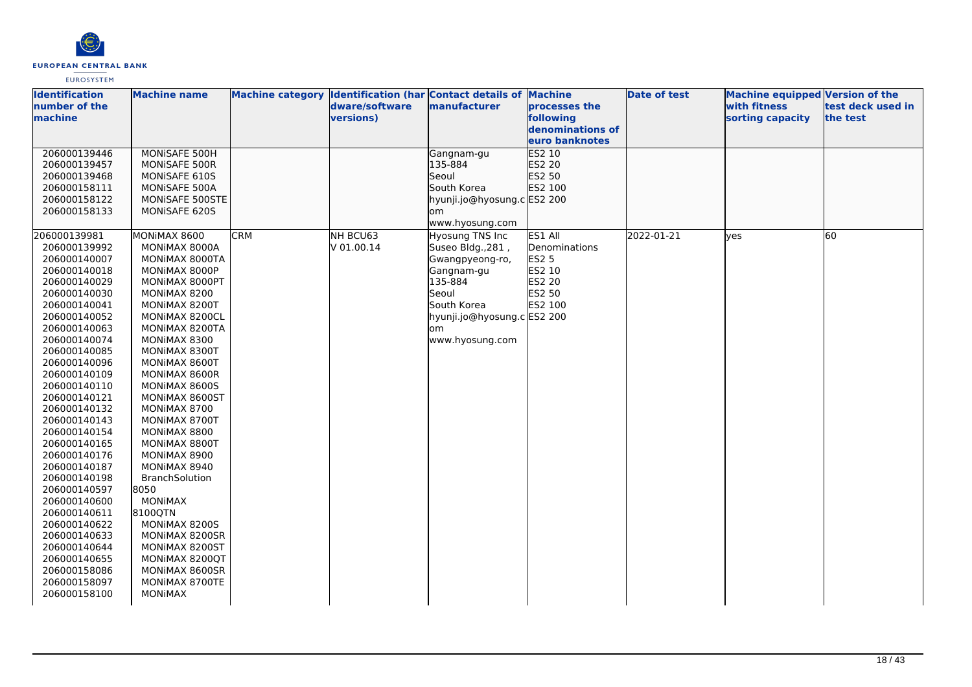

| <b>Identification</b>        | <b>Machine name</b>           |            |                | Machine category Identification (har Contact details of Machine |                  | <b>Date of test</b> | <b>Machine equipped Version of the</b> |                   |
|------------------------------|-------------------------------|------------|----------------|-----------------------------------------------------------------|------------------|---------------------|----------------------------------------|-------------------|
| number of the                |                               |            | dware/software | manufacturer                                                    | processes the    |                     | with fitness                           | test deck used in |
| machine                      |                               |            | versions)      |                                                                 | following        |                     | sorting capacity                       | the test          |
|                              |                               |            |                |                                                                 | denominations of |                     |                                        |                   |
|                              |                               |            |                |                                                                 | euro banknotes   |                     |                                        |                   |
| 206000139446                 | MONISAFE 500H                 |            |                | Gangnam-gu                                                      | ES2 10           |                     |                                        |                   |
| 206000139457                 | MONISAFE 500R                 |            |                | 135-884                                                         | ES2 20           |                     |                                        |                   |
| 206000139468                 | MONISAFE 610S                 |            |                | Seoul                                                           | ES2 50           |                     |                                        |                   |
| 206000158111                 | MONISAFE 500A                 |            |                | South Korea                                                     | ES2 100          |                     |                                        |                   |
| 206000158122                 | MONISAFE 500STE               |            |                | hyunji.jo@hyosung.c ES2 200                                     |                  |                     |                                        |                   |
| 206000158133                 | MONISAFE 620S                 |            |                | lom                                                             |                  |                     |                                        |                   |
|                              |                               |            |                | www.hyosung.com                                                 |                  |                     |                                        |                   |
| 206000139981                 | MONIMAX 8600                  | <b>CRM</b> | NH BCU63       | Hyosung TNS Inc                                                 | ES1 All          | 2022-01-21          | ves                                    | 60                |
| 206000139992                 | MONIMAX 8000A                 |            | V 01.00.14     | Suseo Bldg., 281,                                               | Denominations    |                     |                                        |                   |
| 206000140007                 | MONIMAX 8000TA                |            |                | Gwangpyeong-ro,                                                 | <b>ES2 5</b>     |                     |                                        |                   |
| 206000140018                 | MONIMAX 8000P                 |            |                | Gangnam-gu                                                      | ES2 10           |                     |                                        |                   |
| 206000140029                 | MONIMAX 8000PT                |            |                | 135-884                                                         | ES2 20           |                     |                                        |                   |
| 206000140030                 | MONIMAX 8200                  |            |                | Seoul                                                           | ES2 50           |                     |                                        |                   |
| 206000140041                 | MONIMAX 8200T                 |            |                | South Korea                                                     | ES2 100          |                     |                                        |                   |
| 206000140052                 | MONIMAX 8200CL                |            |                | hyunji.jo@hyosung.c ES2 200                                     |                  |                     |                                        |                   |
| 206000140063                 | MONIMAX 8200TA                |            |                | om                                                              |                  |                     |                                        |                   |
| 206000140074                 | MONIMAX 8300                  |            |                | www.hyosung.com                                                 |                  |                     |                                        |                   |
| 206000140085                 | MONIMAX 8300T                 |            |                |                                                                 |                  |                     |                                        |                   |
| 206000140096                 | MONIMAX 8600T                 |            |                |                                                                 |                  |                     |                                        |                   |
| 206000140109                 | MONIMAX 8600R                 |            |                |                                                                 |                  |                     |                                        |                   |
| 206000140110                 | MONIMAX 8600S                 |            |                |                                                                 |                  |                     |                                        |                   |
| 206000140121                 | MONIMAX 8600ST                |            |                |                                                                 |                  |                     |                                        |                   |
| 206000140132<br>206000140143 | MONIMAX 8700<br>MONIMAX 8700T |            |                |                                                                 |                  |                     |                                        |                   |
| 206000140154                 | MONIMAX 8800                  |            |                |                                                                 |                  |                     |                                        |                   |
| 206000140165                 | MONIMAX 8800T                 |            |                |                                                                 |                  |                     |                                        |                   |
| 206000140176                 | MONIMAX 8900                  |            |                |                                                                 |                  |                     |                                        |                   |
| 206000140187                 | MONIMAX 8940                  |            |                |                                                                 |                  |                     |                                        |                   |
| 206000140198                 | <b>BranchSolution</b>         |            |                |                                                                 |                  |                     |                                        |                   |
| 206000140597                 | 8050                          |            |                |                                                                 |                  |                     |                                        |                   |
| 206000140600                 | <b>MONIMAX</b>                |            |                |                                                                 |                  |                     |                                        |                   |
| 206000140611                 | 8100QTN                       |            |                |                                                                 |                  |                     |                                        |                   |
| 206000140622                 | MONIMAX 8200S                 |            |                |                                                                 |                  |                     |                                        |                   |
| 206000140633                 | MONIMAX 8200SR                |            |                |                                                                 |                  |                     |                                        |                   |
| 206000140644                 | MONIMAX 8200ST                |            |                |                                                                 |                  |                     |                                        |                   |
| 206000140655                 | MONIMAX 8200QT                |            |                |                                                                 |                  |                     |                                        |                   |
| 206000158086                 | MONIMAX 8600SR                |            |                |                                                                 |                  |                     |                                        |                   |
| 206000158097                 | MONIMAX 8700TE                |            |                |                                                                 |                  |                     |                                        |                   |
| 206000158100                 | <b>MONIMAX</b>                |            |                |                                                                 |                  |                     |                                        |                   |
|                              |                               |            |                |                                                                 |                  |                     |                                        |                   |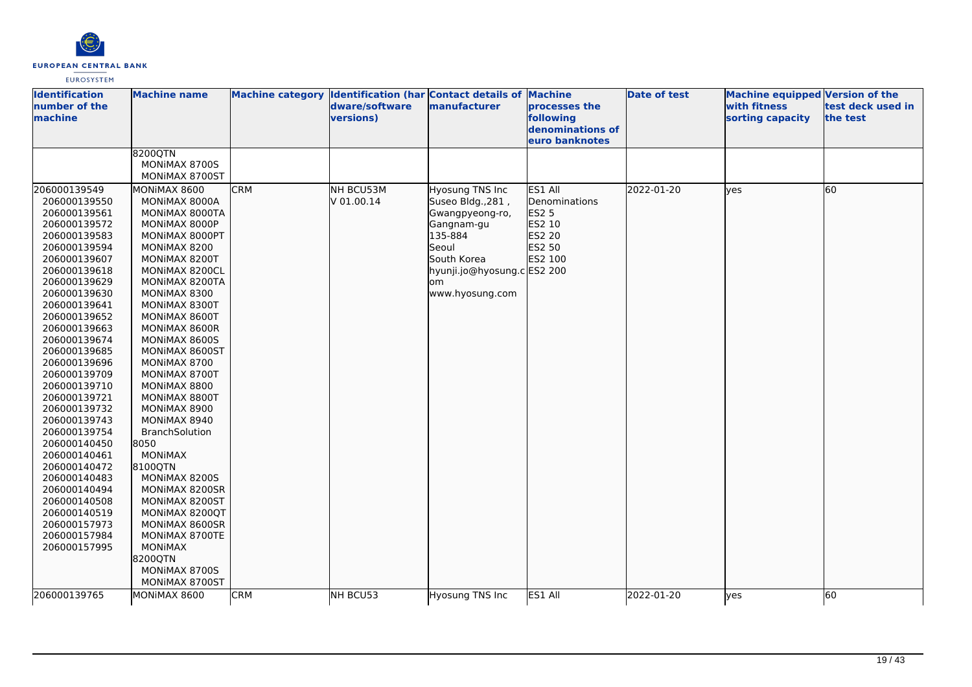

| <b>Identification</b><br>number of the<br>machine | <b>Machine name</b>      |            | dware/software<br>versions) | Machine category Identification (har Contact details of Machine<br>manufacturer | processes the<br>following<br>denominations of<br>euro banknotes | <b>Date of test</b> | Machine equipped Version of the<br>with fitness<br>sorting capacity | test deck used in<br>the test |
|---------------------------------------------------|--------------------------|------------|-----------------------------|---------------------------------------------------------------------------------|------------------------------------------------------------------|---------------------|---------------------------------------------------------------------|-------------------------------|
|                                                   | 8200QTN<br>MONIMAX 8700S |            |                             |                                                                                 |                                                                  |                     |                                                                     |                               |
|                                                   | MONIMAX 8700ST           |            |                             |                                                                                 |                                                                  |                     |                                                                     |                               |
| 206000139549                                      | MONIMAX 8600             | <b>CRM</b> | NH BCU53M                   | Hyosung TNS Inc                                                                 | ES1 All                                                          | 2022-01-20          | lyes                                                                | 60                            |
| 206000139550                                      | MONIMAX 8000A            |            | V 01.00.14                  | Suseo Bldg., 281,                                                               | Denominations                                                    |                     |                                                                     |                               |
| 206000139561                                      | MONIMAX 8000TA           |            |                             | Gwangpyeong-ro,                                                                 | ES2 5                                                            |                     |                                                                     |                               |
| 206000139572                                      | MONIMAX 8000P            |            |                             | Gangnam-gu                                                                      | ES2 10                                                           |                     |                                                                     |                               |
| 206000139583                                      | MONIMAX 8000PT           |            |                             | 135-884                                                                         | ES2 20                                                           |                     |                                                                     |                               |
| 206000139594                                      | MONIMAX 8200             |            |                             | Seoul                                                                           | ES2 50                                                           |                     |                                                                     |                               |
| 206000139607                                      | MONIMAX 8200T            |            |                             | South Korea                                                                     | ES2 100                                                          |                     |                                                                     |                               |
| 206000139618                                      | MONIMAX 8200CL           |            |                             | hyunji.jo@hyosung.c ES2 200                                                     |                                                                  |                     |                                                                     |                               |
| 206000139629                                      | MONIMAX 8200TA           |            |                             | lom.                                                                            |                                                                  |                     |                                                                     |                               |
| 206000139630                                      | MONIMAX 8300             |            |                             | www.hyosung.com                                                                 |                                                                  |                     |                                                                     |                               |
| 206000139641                                      | MONIMAX 8300T            |            |                             |                                                                                 |                                                                  |                     |                                                                     |                               |
| 206000139652                                      | MONIMAX 8600T            |            |                             |                                                                                 |                                                                  |                     |                                                                     |                               |
| 206000139663                                      | MONIMAX 8600R            |            |                             |                                                                                 |                                                                  |                     |                                                                     |                               |
| 206000139674                                      | MONIMAX 8600S            |            |                             |                                                                                 |                                                                  |                     |                                                                     |                               |
| 206000139685                                      | MONIMAX 8600ST           |            |                             |                                                                                 |                                                                  |                     |                                                                     |                               |
| 206000139696                                      | MONIMAX 8700             |            |                             |                                                                                 |                                                                  |                     |                                                                     |                               |
| 206000139709                                      | MONIMAX 8700T            |            |                             |                                                                                 |                                                                  |                     |                                                                     |                               |
| 206000139710                                      | MONIMAX 8800             |            |                             |                                                                                 |                                                                  |                     |                                                                     |                               |
| 206000139721                                      | MONIMAX 8800T            |            |                             |                                                                                 |                                                                  |                     |                                                                     |                               |
| 206000139732                                      | MONIMAX 8900             |            |                             |                                                                                 |                                                                  |                     |                                                                     |                               |
| 206000139743                                      | MONIMAX 8940             |            |                             |                                                                                 |                                                                  |                     |                                                                     |                               |
| 206000139754                                      | <b>BranchSolution</b>    |            |                             |                                                                                 |                                                                  |                     |                                                                     |                               |
| 206000140450                                      | 8050                     |            |                             |                                                                                 |                                                                  |                     |                                                                     |                               |
| 206000140461                                      | <b>MONIMAX</b>           |            |                             |                                                                                 |                                                                  |                     |                                                                     |                               |
| 206000140472                                      | 8100QTN                  |            |                             |                                                                                 |                                                                  |                     |                                                                     |                               |
| 206000140483                                      | MONIMAX 8200S            |            |                             |                                                                                 |                                                                  |                     |                                                                     |                               |
| 206000140494                                      | MONIMAX 8200SR           |            |                             |                                                                                 |                                                                  |                     |                                                                     |                               |
| 206000140508                                      | MONIMAX 8200ST           |            |                             |                                                                                 |                                                                  |                     |                                                                     |                               |
| 206000140519                                      | MONIMAX 8200QT           |            |                             |                                                                                 |                                                                  |                     |                                                                     |                               |
| 206000157973                                      | MONIMAX 8600SR           |            |                             |                                                                                 |                                                                  |                     |                                                                     |                               |
| 206000157984                                      | MONIMAX 8700TE           |            |                             |                                                                                 |                                                                  |                     |                                                                     |                               |
| 206000157995                                      | <b>MONIMAX</b>           |            |                             |                                                                                 |                                                                  |                     |                                                                     |                               |
|                                                   | 8200QTN                  |            |                             |                                                                                 |                                                                  |                     |                                                                     |                               |
|                                                   | MONIMAX 8700S            |            |                             |                                                                                 |                                                                  |                     |                                                                     |                               |
|                                                   | MONIMAX 8700ST           |            |                             |                                                                                 |                                                                  |                     |                                                                     |                               |
| 206000139765                                      | MONIMAX 8600             | CRM        | NH BCU53                    | Hyosung TNS Inc                                                                 | ES1 All                                                          | 2022-01-20          | lyes                                                                | 60                            |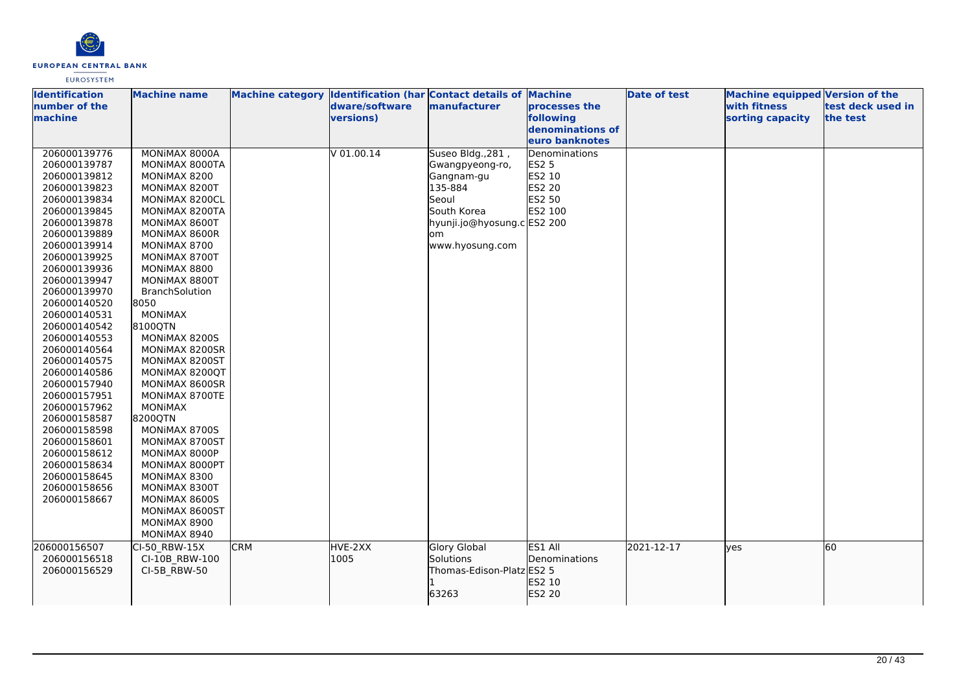

| <b>Identification</b> | <b>Machine name</b>   |            |                  | Machine category Identification (har Contact details of Machine |                  | <b>Date of test</b> | Machine equipped Version of the |                   |
|-----------------------|-----------------------|------------|------------------|-----------------------------------------------------------------|------------------|---------------------|---------------------------------|-------------------|
| number of the         |                       |            | dware/software   | manufacturer                                                    | processes the    |                     | with fitness                    | test deck used in |
| machine               |                       |            | <b>versions)</b> |                                                                 | following        |                     | sorting capacity                | the test          |
|                       |                       |            |                  |                                                                 | denominations of |                     |                                 |                   |
|                       |                       |            |                  |                                                                 | euro banknotes   |                     |                                 |                   |
| 206000139776          | MONIMAX 8000A         |            | V 01.00.14       | Suseo Bldg., 281,                                               | Denominations    |                     |                                 |                   |
| 206000139787          | MONIMAX 8000TA        |            |                  | Gwangpyeong-ro,                                                 | <b>ES2 5</b>     |                     |                                 |                   |
| 206000139812          | MONIMAX 8200          |            |                  | Gangnam-gu                                                      | ES2 10           |                     |                                 |                   |
| 206000139823          | MONIMAX 8200T         |            |                  | 135-884                                                         | <b>ES2 20</b>    |                     |                                 |                   |
| 206000139834          | MONIMAX 8200CL        |            |                  | Seoul                                                           | ES2 50           |                     |                                 |                   |
| 206000139845          | MONIMAX 8200TA        |            |                  | South Korea                                                     | ES2 100          |                     |                                 |                   |
| 206000139878          | MONIMAX 8600T         |            |                  | hyunji.jo@hyosung.c ES2 200                                     |                  |                     |                                 |                   |
| 206000139889          | MONIMAX 8600R         |            |                  | lom                                                             |                  |                     |                                 |                   |
| 206000139914          | MONIMAX 8700          |            |                  | www.hyosung.com                                                 |                  |                     |                                 |                   |
| 206000139925          | MONIMAX 8700T         |            |                  |                                                                 |                  |                     |                                 |                   |
| 206000139936          | MONIMAX 8800          |            |                  |                                                                 |                  |                     |                                 |                   |
| 206000139947          | MONIMAX 8800T         |            |                  |                                                                 |                  |                     |                                 |                   |
| 206000139970          | <b>BranchSolution</b> |            |                  |                                                                 |                  |                     |                                 |                   |
| 206000140520          | 8050                  |            |                  |                                                                 |                  |                     |                                 |                   |
| 206000140531          | <b>MONIMAX</b>        |            |                  |                                                                 |                  |                     |                                 |                   |
| 206000140542          | 8100QTN               |            |                  |                                                                 |                  |                     |                                 |                   |
| 206000140553          | MONIMAX 8200S         |            |                  |                                                                 |                  |                     |                                 |                   |
| 206000140564          | MONIMAX 8200SR        |            |                  |                                                                 |                  |                     |                                 |                   |
| 206000140575          | MONIMAX 8200ST        |            |                  |                                                                 |                  |                     |                                 |                   |
| 206000140586          | MONIMAX 8200QT        |            |                  |                                                                 |                  |                     |                                 |                   |
| 206000157940          | MONIMAX 8600SR        |            |                  |                                                                 |                  |                     |                                 |                   |
| 206000157951          | MONIMAX 8700TE        |            |                  |                                                                 |                  |                     |                                 |                   |
| 206000157962          | MONIMAX               |            |                  |                                                                 |                  |                     |                                 |                   |
| 206000158587          | 8200QTN               |            |                  |                                                                 |                  |                     |                                 |                   |
| 206000158598          | MONIMAX 8700S         |            |                  |                                                                 |                  |                     |                                 |                   |
| 206000158601          | MONIMAX 8700ST        |            |                  |                                                                 |                  |                     |                                 |                   |
| 206000158612          | MONIMAX 8000P         |            |                  |                                                                 |                  |                     |                                 |                   |
| 206000158634          | MONIMAX 8000PT        |            |                  |                                                                 |                  |                     |                                 |                   |
| 206000158645          | MONIMAX 8300          |            |                  |                                                                 |                  |                     |                                 |                   |
| 206000158656          | MONIMAX 8300T         |            |                  |                                                                 |                  |                     |                                 |                   |
| 206000158667          | MONIMAX 8600S         |            |                  |                                                                 |                  |                     |                                 |                   |
|                       | MONIMAX 8600ST        |            |                  |                                                                 |                  |                     |                                 |                   |
|                       | MONIMAX 8900          |            |                  |                                                                 |                  |                     |                                 |                   |
|                       | MONIMAX 8940          |            |                  |                                                                 |                  |                     |                                 |                   |
| 206000156507          | CI-50 RBW-15X         | <b>CRM</b> | HVE-2XX          | <b>Glory Global</b>                                             | ES1 All          | 2021-12-17          | lyes                            | 60                |
| 206000156518          | CI-10B RBW-100        |            | 1005             | Solutions                                                       | Denominations    |                     |                                 |                   |
| 206000156529          | CI-5B RBW-50          |            |                  | Thomas-Edison-Platz ES2 5                                       |                  |                     |                                 |                   |
|                       |                       |            |                  |                                                                 | ES2 10           |                     |                                 |                   |
|                       |                       |            |                  | 63263                                                           | ES2 20           |                     |                                 |                   |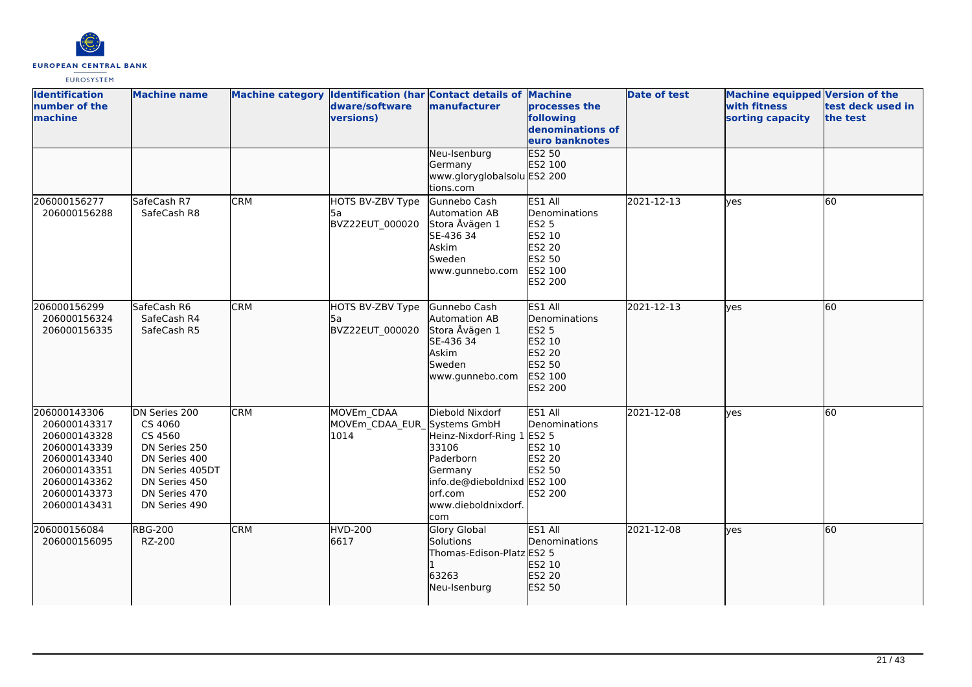

| <b>Identification</b><br>number of the<br>machine                                                                                            | <b>Machine name</b>                                                                                                                         |            | dware/software<br>versions)                       | Machine category Identification (har Contact details of Machine<br>manufacturer                                                                        | processes the<br>following<br>denominations of<br>euro banknotes                                    | <b>Date of test</b> | <b>Machine equipped Version of the</b><br>with fitness<br>sorting capacity | test deck used in<br>the test |
|----------------------------------------------------------------------------------------------------------------------------------------------|---------------------------------------------------------------------------------------------------------------------------------------------|------------|---------------------------------------------------|--------------------------------------------------------------------------------------------------------------------------------------------------------|-----------------------------------------------------------------------------------------------------|---------------------|----------------------------------------------------------------------------|-------------------------------|
|                                                                                                                                              |                                                                                                                                             |            |                                                   | Neu-Isenburg<br>Germany<br>www.gloryglobalsolu ES2 200<br>tions.com                                                                                    | ES2 50<br>ES2 100                                                                                   |                     |                                                                            |                               |
| 206000156277<br>206000156288                                                                                                                 | SafeCash R7<br>SafeCash R8                                                                                                                  | <b>CRM</b> | HOTS BV-ZBV Type<br>5a<br>BVZ22EUT 000020         | Gunnebo Cash<br>Automation AB<br>Stora Åvägen 1<br>SE-436 34<br>Askim<br>Sweden<br>www.gunnebo.com                                                     | ES1 All<br>Denominations<br><b>ES2 5</b><br>ES2 10<br>ES2 20<br>ES2 50<br>ES2 100<br><b>ES2 200</b> | 2021-12-13          | ves                                                                        | 60                            |
| 206000156299<br>206000156324<br>206000156335                                                                                                 | SafeCash R6<br>SafeCash R4<br>SafeCash R5                                                                                                   | <b>CRM</b> | HOTS BV-ZBV Type<br>l5a<br>BVZ22EUT 000020        | Gunnebo Cash<br>Automation AB<br>Stora Åvägen 1<br>SE-436 34<br>Askim<br>Sweden<br>www.gunnebo.com                                                     | ES1 All<br>Denominations<br><b>ES2 5</b><br>ES2 10<br>ES2 20<br>ES2 50<br>ES2 100<br>ES2 200        | 2021-12-13          | lves                                                                       | 60                            |
| 206000143306<br>206000143317<br>206000143328<br>206000143339<br>206000143340<br>206000143351<br>206000143362<br>206000143373<br>206000143431 | DN Series 200<br>CS 4060<br>CS 4560<br>DN Series 250<br>DN Series 400<br>DN Series 405DT<br>DN Series 450<br>DN Series 470<br>DN Series 490 | <b>CRM</b> | MOVEm CDAA<br>MOVEm_CDAA_EUR_Systems GmbH<br>1014 | Diebold Nixdorf<br>Heinz-Nixdorf-Ring 1 ES2 5<br>33106<br>Paderborn<br>Germany<br>info.de@dieboldnixd ES2 100<br>orf.com<br>www.dieboldnixdorf.<br>com | ES1 All<br>Denominations<br>ES2 10<br><b>ES2 20</b><br>ES2 50<br>ES2 200                            | 2021-12-08          | ves                                                                        | 60                            |
| 206000156084<br>206000156095                                                                                                                 | <b>RBG-200</b><br>RZ-200                                                                                                                    | <b>CRM</b> | <b>HVD-200</b><br>6617                            | <b>Glory Global</b><br>Solutions<br>Thomas-Edison-Platz ES2 5<br>63263<br>Neu-Isenburg                                                                 | ES1 All<br>Denominations<br>ES2 10<br>ES2 20<br>ES2 50                                              | 2021-12-08          | ves                                                                        | 60                            |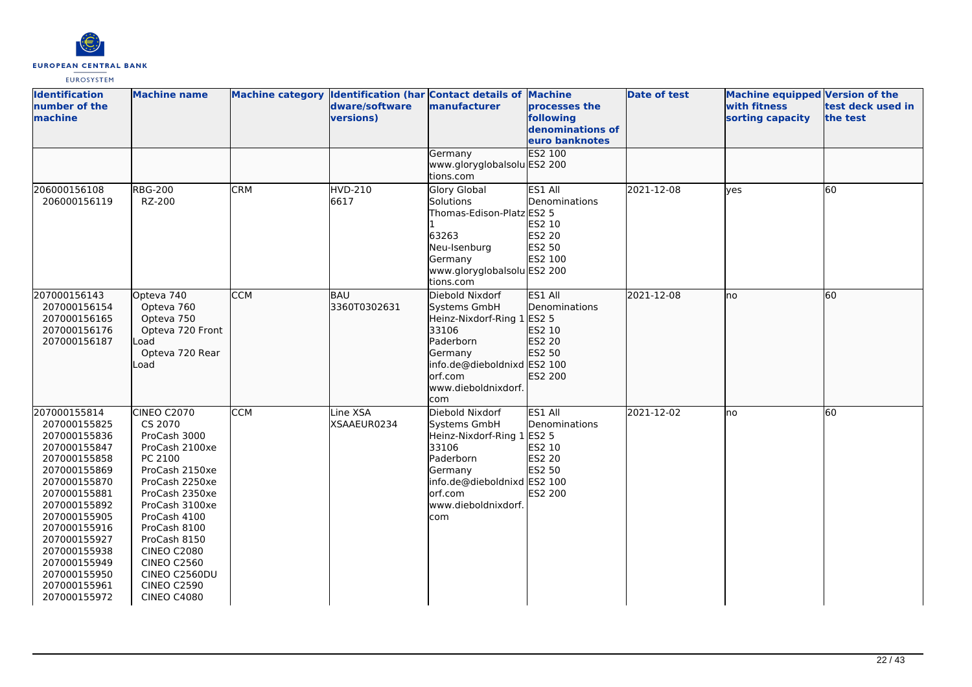

| <b>Identification</b><br>number of the<br>machine                                                                                                                                                                                                                            | <b>Machine name</b>                                                                                                                                                                                                                                                                                  |            | dware/software<br>versions) | Machine category Identification (har Contact details of Machine<br>manufacturer                                                                                        | processes the<br>following<br>denominations of<br>euro banknotes  | <b>Date of test</b> | Machine equipped Version of the<br>with fitness<br>sorting capacity | test deck used in<br>the test |
|------------------------------------------------------------------------------------------------------------------------------------------------------------------------------------------------------------------------------------------------------------------------------|------------------------------------------------------------------------------------------------------------------------------------------------------------------------------------------------------------------------------------------------------------------------------------------------------|------------|-----------------------------|------------------------------------------------------------------------------------------------------------------------------------------------------------------------|-------------------------------------------------------------------|---------------------|---------------------------------------------------------------------|-------------------------------|
|                                                                                                                                                                                                                                                                              |                                                                                                                                                                                                                                                                                                      |            |                             | Germany<br>www.gloryglobalsolu ES2 200<br>tions.com                                                                                                                    | <b>ES2 100</b>                                                    |                     |                                                                     |                               |
| 206000156108<br>206000156119                                                                                                                                                                                                                                                 | <b>RBG-200</b><br>RZ-200                                                                                                                                                                                                                                                                             | <b>CRM</b> | $HVD-210$<br>6617           | <b>Glory Global</b><br>Solutions<br>Thomas-Edison-Platz ES2 5<br>63263<br>Neu-Isenburg<br>Germany<br>www.gloryglobalsolu ES2 200<br>tions.com                          | ES1 All<br>Denominations<br>ES2 10<br>ES2 20<br>ES2 50<br>ES2 100 | 2021-12-08          | lves                                                                | 60                            |
| 207000156143<br>207000156154<br>207000156165<br>207000156176<br>207000156187                                                                                                                                                                                                 | Opteva 740<br>Opteva 760<br>Opteva 750<br>Opteva 720 Front<br>Load<br>Opteva 720 Rear<br>Load                                                                                                                                                                                                        | <b>CCM</b> | BAU<br>3360T0302631         | Diebold Nixdorf<br>Systems GmbH<br>Heinz-Nixdorf-Ring 1 ES2 5<br>33106<br>Paderborn<br>Germany<br>info.de@dieboldnixd ES2 100<br>orf.com<br>www.dieboldnixdorf.<br>com | ES1 All<br>Denominations<br>ES2 10<br>ES2 20<br>ES2 50<br>ES2 200 | 2021-12-08          | lno                                                                 | 60                            |
| 207000155814<br>207000155825<br>207000155836<br>207000155847<br>207000155858<br>207000155869<br>207000155870<br>207000155881<br>207000155892<br>207000155905<br>207000155916<br>207000155927<br>207000155938<br>207000155949<br>207000155950<br>207000155961<br>207000155972 | CINEO C2070<br>CS 2070<br>ProCash 3000<br>ProCash 2100xe<br>PC 2100<br>ProCash 2150xe<br>ProCash 2250xe<br>ProCash 2350xe<br>ProCash 3100xe<br>ProCash 4100<br>ProCash 8100<br>ProCash 8150<br><b>CINEO C2080</b><br><b>CINEO C2560</b><br>CINEO C2560DU<br><b>CINEO C2590</b><br><b>CINEO C4080</b> | <b>CCM</b> | Line XSA<br>XSAAEUR0234     | Diebold Nixdorf<br>Systems GmbH<br>Heinz-Nixdorf-Ring 1 ES2 5<br>33106<br>Paderborn<br>Germany<br>info.de@dieboldnixd ES2 100<br>orf.com<br>www.dieboldnixdorf.<br>com | ES1 All<br>Denominations<br>ES2 10<br>ES2 20<br>ES2 50<br>ES2 200 | 2021-12-02          | lno                                                                 | 60                            |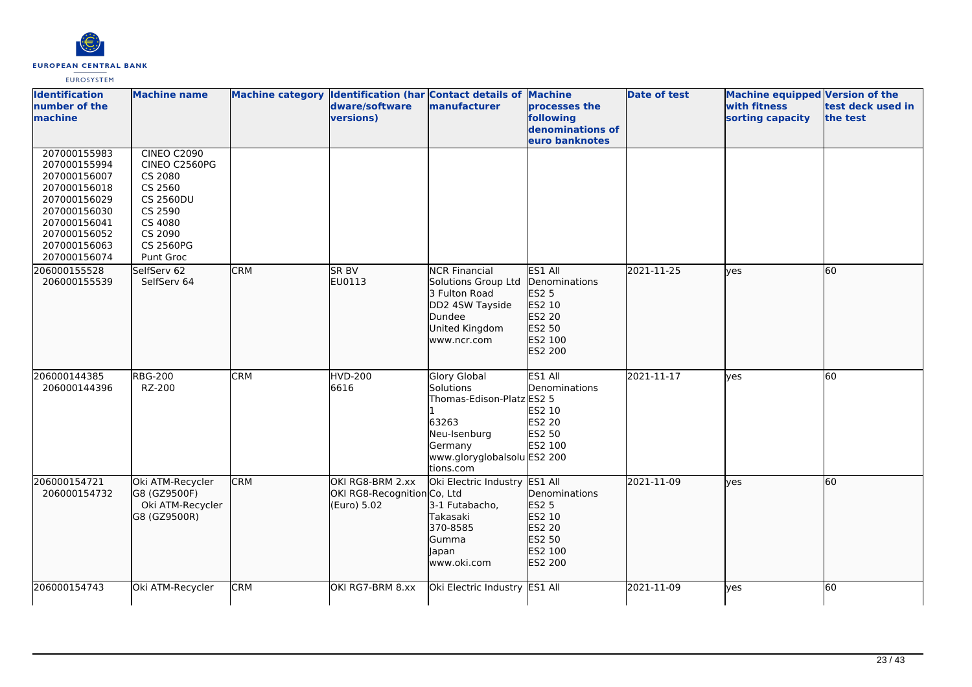

| <b>Identification</b><br>number of the<br>machine                                                                                                            | <b>Machine name</b>                                                                                                                             |            | Machine category Identification (har Contact details of Machine<br>dware/software<br>versions) | manufacturer                                                                                                                                  | processes the<br>following                                                            | <b>Date of test</b> | <b>Machine equipped Version of the</b><br><b>with fitness</b><br>sorting capacity | test deck used in<br>the test |
|--------------------------------------------------------------------------------------------------------------------------------------------------------------|-------------------------------------------------------------------------------------------------------------------------------------------------|------------|------------------------------------------------------------------------------------------------|-----------------------------------------------------------------------------------------------------------------------------------------------|---------------------------------------------------------------------------------------|---------------------|-----------------------------------------------------------------------------------|-------------------------------|
|                                                                                                                                                              |                                                                                                                                                 |            |                                                                                                |                                                                                                                                               | denominations of<br>euro banknotes                                                    |                     |                                                                                   |                               |
| 207000155983<br>207000155994<br>207000156007<br>207000156018<br>207000156029<br>207000156030<br>207000156041<br>207000156052<br>207000156063<br>207000156074 | <b>CINEO C2090</b><br>CINEO C2560PG<br>CS 2080<br>CS 2560<br><b>CS 2560DU</b><br>CS 2590<br>CS 4080<br>CS 2090<br><b>CS 2560PG</b><br>Punt Groc |            |                                                                                                |                                                                                                                                               |                                                                                       |                     |                                                                                   |                               |
| 206000155528<br>206000155539                                                                                                                                 | SelfServ 62<br>SelfServ 64                                                                                                                      | <b>CRM</b> | SR BV<br>EU0113                                                                                | <b>NCR Financial</b><br>Solutions Group Ltd<br>3 Fulton Road<br>DD2 4SW Tayside<br>Dundee<br>United Kingdom<br>www.ncr.com                    | ES1 All<br>Denominations<br>ES2 5<br>ES2 10<br>ES2 20<br>ES2 50<br>ES2 100<br>ES2 200 | 2021-11-25          | lyes                                                                              | 60                            |
| 206000144385<br>206000144396                                                                                                                                 | <b>RBG-200</b><br>RZ-200                                                                                                                        | <b>CRM</b> | <b>HVD-200</b><br>6616                                                                         | <b>Glory Global</b><br>Solutions<br>Thomas-Edison-Platz ES2 5<br>63263<br>Neu-Isenburg<br>Germany<br>www.gloryglobalsolu ES2 200<br>tions.com | ES1 All<br>Denominations<br>ES2 10<br>ES2 20<br>ES2 50<br>ES2 100                     | 2021-11-17          | lves                                                                              | 60                            |
| 206000154721<br>206000154732                                                                                                                                 | Oki ATM-Recycler<br>G8 (GZ9500F)<br>Oki ATM-Recycler<br>G8 (GZ9500R)                                                                            | <b>CRM</b> | OKI RG8-BRM 2.xx<br>OKI RG8-Recognition Co, Ltd<br>(Euro) 5.02                                 | Oki Electric Industry ES1 All<br>3-1 Futabacho,<br>Takasaki<br>370-8585<br>Gumma<br>Japan<br>www.oki.com                                      | Denominations<br>ES2 5<br>ES2 10<br>ES2 20<br>ES2 50<br>ES2 100<br>ES2 200            | 2021-11-09          | lves                                                                              | 60                            |
| 206000154743                                                                                                                                                 | Oki ATM-Recycler                                                                                                                                | <b>CRM</b> | OKI RG7-BRM 8.xx                                                                               | Oki Electric Industry ES1 All                                                                                                                 |                                                                                       | 2021-11-09          | ves                                                                               | 60                            |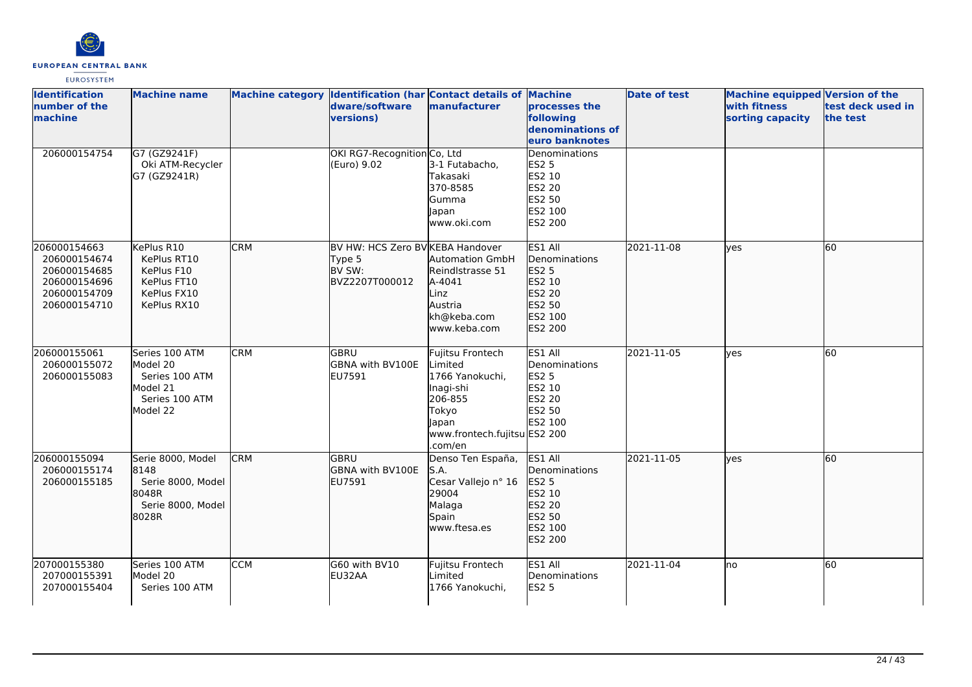

| <b>Identification</b><br>number of the<br>machine                                            | <b>Machine name</b>                                                                    |            | dware/software<br>versions)                                            | Machine category Identification (har Contact details of Machine<br>manufacturer                                                     | processes the<br>following<br>denominations of<br>euro banknotes                             | <b>Date of test</b> | <b>Machine equipped Version of the</b><br>with fitness<br>sorting capacity | test deck used in<br>the test |
|----------------------------------------------------------------------------------------------|----------------------------------------------------------------------------------------|------------|------------------------------------------------------------------------|-------------------------------------------------------------------------------------------------------------------------------------|----------------------------------------------------------------------------------------------|---------------------|----------------------------------------------------------------------------|-------------------------------|
| 206000154754                                                                                 | G7 (GZ9241F)<br>Oki ATM-Recycler<br>G7 (GZ9241R)                                       |            | OKI RG7-Recognition Co, Ltd<br>(Euro) 9.02                             | 3-1 Futabacho,<br>Takasaki<br>370-8585<br>Gumma<br>Japan<br>www.oki.com                                                             | Denominations<br><b>ES2 5</b><br>ES2 10<br>ES2 20<br>ES2 50<br>ES2 100<br>ES2 200            |                     |                                                                            |                               |
| 206000154663<br>206000154674<br>206000154685<br>206000154696<br>206000154709<br>206000154710 | KePlus R10<br>KePlus RT10<br>KePlus F10<br>KePlus FT10<br>KePlus FX10<br>KePlus RX10   | <b>CRM</b> | BV HW: HCS Zero BV KEBA Handover<br>Type 5<br>BV SW:<br>BVZ2207T000012 | <b>Automation GmbH</b><br>Reindlstrasse 51<br>A-4041<br>Linz<br>Austria<br>kh@keba.com<br>www.keba.com                              | ES1 All<br>Denominations<br><b>ES2 5</b><br>ES2 10<br>ES2 20<br>ES2 50<br>ES2 100<br>ES2 200 | 2021-11-08          | ves                                                                        | 60                            |
| 206000155061<br>206000155072<br>206000155083                                                 | Series 100 ATM<br>Model 20<br>Series 100 ATM<br>Model 21<br>Series 100 ATM<br>Model 22 | <b>CRM</b> | lgbru<br>GBNA with BV100E<br>EU7591                                    | Fujitsu Frontech<br>Limited<br>1766 Yanokuchi,<br>Inagi-shi<br>206-855<br>Tokyo<br>Japan<br>www.frontech.fujitsu ES2 200<br>.com/en | ES1 All<br>Denominations<br><b>ES2 5</b><br>ES2 10<br>ES2 20<br>ES2 50<br>ES2 100            | 2021-11-05          | lves                                                                       | 60                            |
| 206000155094<br>206000155174<br>206000155185                                                 | Serie 8000, Model<br>8148<br>Serie 8000, Model<br>8048R<br>Serie 8000, Model<br>8028R  | <b>CRM</b> | <b>GBRU</b><br>GBNA with BV100E<br>EU7591                              | Denso Ten España,<br>S.A.<br>Cesar Vallejo nº 16<br>29004<br>Malaga<br>Spain<br>www.ftesa.es                                        | ES1 All<br>Denominations<br>ES2 5<br>ES2 10<br>ES2 20<br>ES2 50<br>ES2 100<br>ES2 200        | 2021-11-05          | lves                                                                       | 60                            |
| 207000155380<br>207000155391<br>207000155404                                                 | Series 100 ATM<br>Model 20<br>Series 100 ATM                                           | <b>CCM</b> | G60 with BV10<br>EU32AA                                                | Fujitsu Frontech<br>Limited<br>1766 Yanokuchi,                                                                                      | ES1 All<br>Denominations<br><b>ES2 5</b>                                                     | 2021-11-04          | lno                                                                        | 60                            |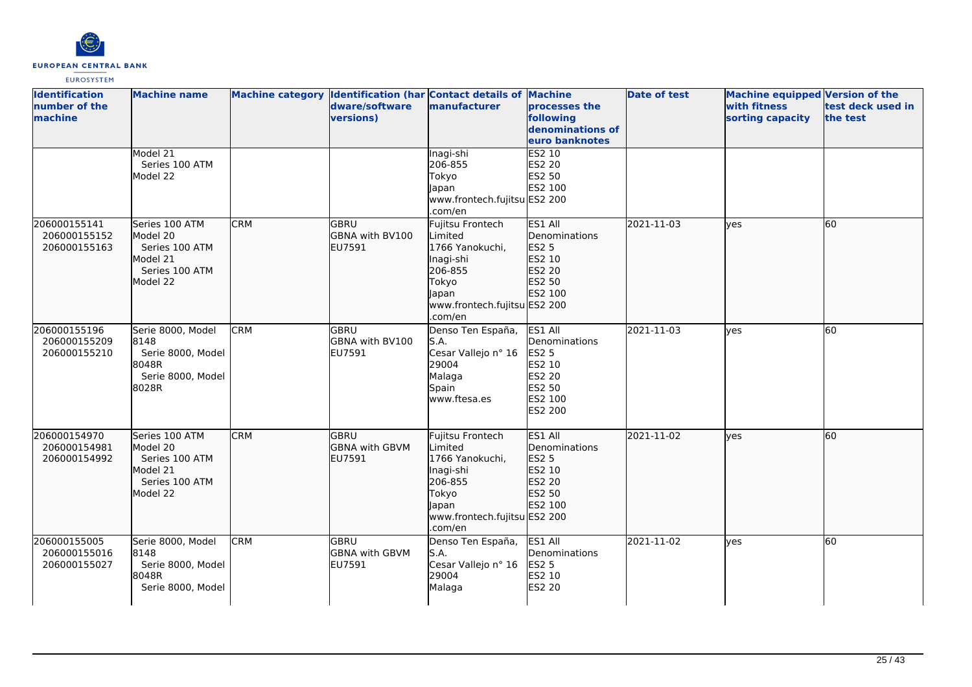

| <b>Identification</b><br>number of the<br>machine | <b>Machine name</b>                                                                    |            | dware/software<br>versions)                     | Machine category Identification (har Contact details of Machine<br>manufacturer                                                     | processes the<br>following<br>denominations of<br>euro banknotes                                    | <b>Date of test</b> | <b>Machine equipped Version of the</b><br>with fitness<br>sorting capacity | test deck used in<br>the test |
|---------------------------------------------------|----------------------------------------------------------------------------------------|------------|-------------------------------------------------|-------------------------------------------------------------------------------------------------------------------------------------|-----------------------------------------------------------------------------------------------------|---------------------|----------------------------------------------------------------------------|-------------------------------|
|                                                   | Model 21<br>Series 100 ATM<br>Model 22                                                 |            |                                                 | Inagi-shi<br>206-855<br>Tokyo<br>Japan<br>www.frontech.fujitsu ES2 200<br>.com/en                                                   | <b>ES2 10</b><br>ES2 20<br>ES2 50<br>ES2 100                                                        |                     |                                                                            |                               |
| 206000155141<br>206000155152<br>206000155163      | Series 100 ATM<br>Model 20<br>Series 100 ATM<br>Model 21<br>Series 100 ATM<br>Model 22 | <b>CRM</b> | <b>GBRU</b><br><b>GBNA with BV100</b><br>EU7591 | Fujitsu Frontech<br>Limited<br>1766 Yanokuchi,<br>Inagi-shi<br>206-855<br>Tokyo<br>Japan<br>www.frontech.fujitsu ES2 200<br>.com/en | ES1 All<br>Denominations<br><b>ES2 5</b><br>ES2 10<br>ES2 20<br>ES2 50<br>ES2 100                   | 2021-11-03          | lves                                                                       | 60                            |
| 206000155196<br>206000155209<br>206000155210      | Serie 8000, Model<br>8148<br>Serie 8000, Model<br>8048R<br>Serie 8000, Model<br>8028R  | <b>CRM</b> | <b>GBRU</b><br><b>GBNA with BV100</b><br>EU7591 | Denso Ten España,<br>S.A.<br>Cesar Vallejo nº 16<br>29004<br>Malaga<br>Spain<br>www.ftesa.es                                        | ES1 All<br>Denominations<br><b>ES2 5</b><br>ES2 10<br><b>ES2 20</b><br>ES2 50<br>ES2 100<br>ES2 200 | 2021-11-03          | lves                                                                       | 60                            |
| 206000154970<br>206000154981<br>206000154992      | Series 100 ATM<br>Model 20<br>Series 100 ATM<br>Model 21<br>Series 100 ATM<br>Model 22 | <b>CRM</b> | GBRU<br><b>GBNA with GBVM</b><br>EU7591         | Fujitsu Frontech<br>Limited<br>1766 Yanokuchi,<br>Inagi-shi<br>206-855<br>Tokyo<br>Japan<br>www.frontech.fujitsu ES2 200<br>.com/en | ES1 All<br>Denominations<br>ES2 5<br>ES2 10<br>ES2 20<br>ES2 50<br>ES2 100                          | 2021-11-02          | ves                                                                        | 60                            |
| 206000155005<br>206000155016<br>206000155027      | Serie 8000, Model<br>8148<br>Serie 8000, Model<br>8048R<br>Serie 8000, Model           | <b>CRM</b> | <b>GBRU</b><br><b>GBNA with GBVM</b><br>EU7591  | Denso Ten España,<br>S.A.<br>Cesar Vallejo nº 16<br>29004<br>Malaga                                                                 | ES1 All<br>Denominations<br><b>ES2 5</b><br>ES2 10<br><b>ES2 20</b>                                 | 2021-11-02          | yes                                                                        | 60                            |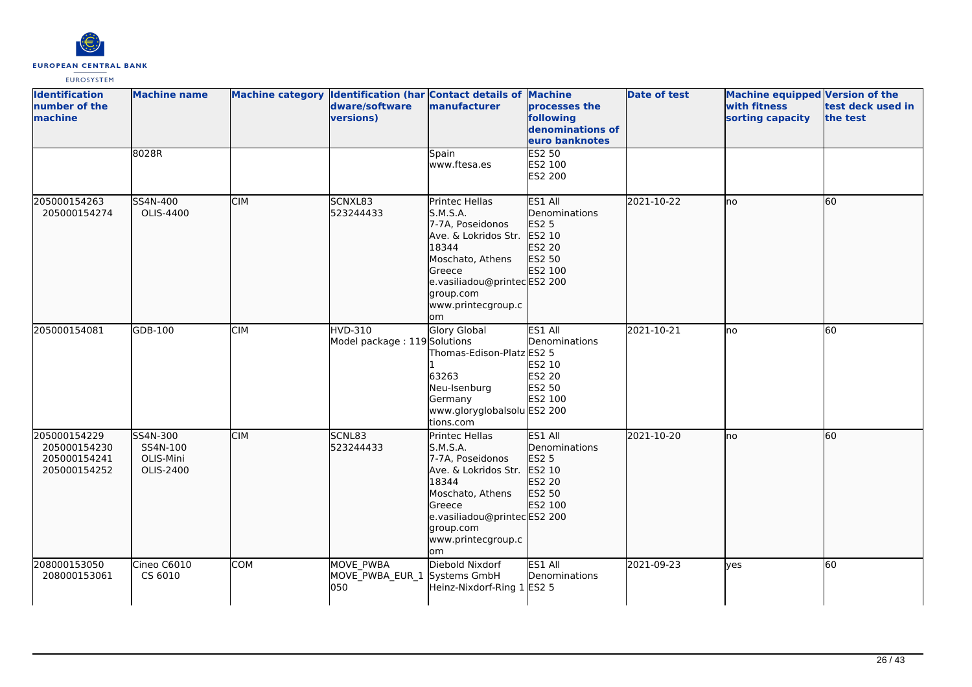

| <b>Identification</b><br>number of the<br>machine            | <b>Machine name</b>                            |            | dware/software<br>versions)                      | Machine category Identification (har Contact details of Machine<br>manufacturer                                                                                                       | <b>processes the</b><br>following<br>denominations of<br>euro banknotes    | <b>Date of test</b> | <b>Machine equipped Version of the</b><br>with fitness<br>sorting capacity | test deck used in<br>the test |
|--------------------------------------------------------------|------------------------------------------------|------------|--------------------------------------------------|---------------------------------------------------------------------------------------------------------------------------------------------------------------------------------------|----------------------------------------------------------------------------|---------------------|----------------------------------------------------------------------------|-------------------------------|
|                                                              | 8028R                                          |            |                                                  | Spain<br>www.ftesa.es                                                                                                                                                                 | <b>ES2 50</b><br>ES2 100<br>ES2 200                                        |                     |                                                                            |                               |
| 205000154263<br>205000154274                                 | SS4N-400<br>OLIS-4400                          | <b>CIM</b> | SCNXL83<br>523244433                             | Printec Hellas<br>S.M.S.A.<br>7-7A, Poseidonos<br>Ave. & Lokridos Str.<br>18344<br>Moschato, Athens<br>Greece<br>e.vasiliadou@printecES2 200<br>group.com<br>www.printecgroup.c<br>om | ES1 All<br>Denominations<br>ES2 5<br>ES2 10<br>ES2 20<br>ES2 50<br>ES2 100 | 2021-10-22          | lno                                                                        | 60                            |
| 205000154081                                                 | GDB-100                                        | <b>CIM</b> | <b>HVD-310</b><br>Model package: 119 Solutions   | Glory Global<br>Thomas-Edison-Platz ES2 5<br>63263<br>Neu-Isenburg<br>Germany<br>www.gloryglobalsolu ES2 200<br>tions.com                                                             | ES1 All<br>Denominations<br>ES2 10<br>ES2 20<br>ES2 50<br>ES2 100          | 2021-10-21          | lno                                                                        | 60                            |
| 205000154229<br>205000154230<br>205000154241<br>205000154252 | SS4N-300<br>SS4N-100<br>OLIS-Mini<br>OLIS-2400 | <b>CIM</b> | SCNL83<br>523244433                              | Printec Hellas<br>S.M.S.A.<br>7-7A, Poseidonos<br>Ave. & Lokridos Str.<br>18344<br>Moschato, Athens<br>Greece<br>e.vasiliadou@printecES2 200<br>group.com<br>www.printecgroup.c<br>om | ES1 All<br>Denominations<br>ES2 5<br>ES2 10<br>ES2 20<br>ES2 50<br>ES2 100 | 2021-10-20          | no                                                                         | 60                            |
| 208000153050<br>208000153061                                 | Cineo C6010<br>CS 6010                         | <b>COM</b> | MOVE_PWBA<br>MOVE_PWBA_EUR_1 Systems GmbH<br>050 | Diebold Nixdorf<br>Heinz-Nixdorf-Ring 1 ES2 5                                                                                                                                         | ES1 All<br>Denominations                                                   | 2021-09-23          | lves                                                                       | 60                            |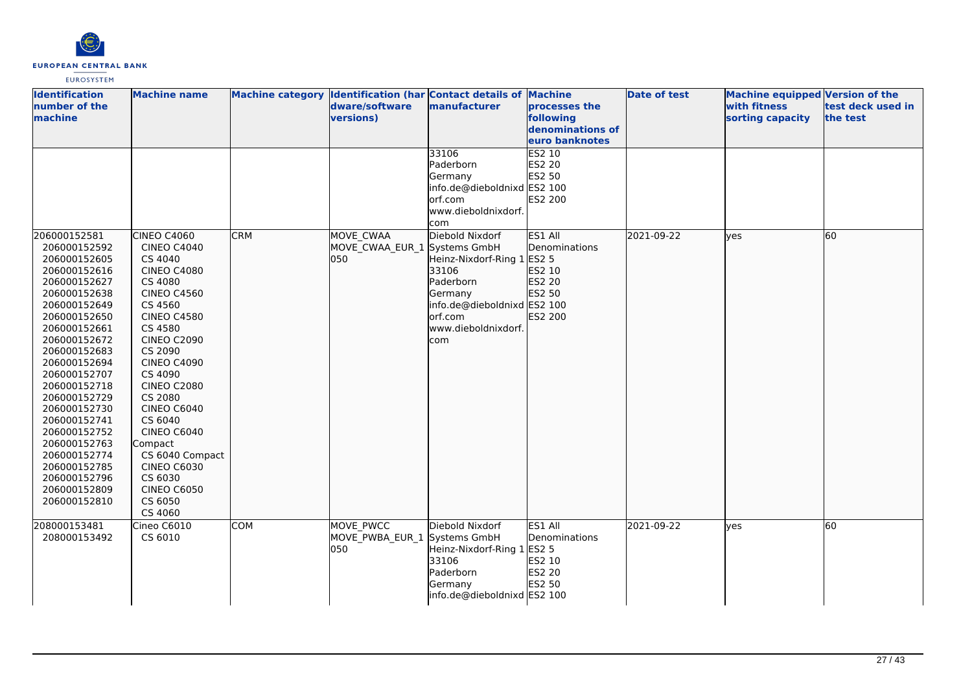

| <b>Identification</b>        | <b>Machine name</b>           | Machine category Identification (har Contact details of Machine |                              |                             |                            | <b>Date of test</b> | Machine equipped Version of the  |                               |
|------------------------------|-------------------------------|-----------------------------------------------------------------|------------------------------|-----------------------------|----------------------------|---------------------|----------------------------------|-------------------------------|
| number of the<br>machine     |                               |                                                                 | dware/software<br>versions)  | manufacturer                | processes the<br>following |                     | with fitness<br>sorting capacity | test deck used in<br>the test |
|                              |                               |                                                                 |                              |                             | denominations of           |                     |                                  |                               |
|                              |                               |                                                                 |                              |                             | euro banknotes             |                     |                                  |                               |
|                              |                               |                                                                 |                              | 33106                       | ES2 10                     |                     |                                  |                               |
|                              |                               |                                                                 |                              | Paderborn                   | <b>ES2 20</b>              |                     |                                  |                               |
|                              |                               |                                                                 |                              | Germany                     | ES2 50                     |                     |                                  |                               |
|                              |                               |                                                                 |                              | info.de@dieboldnixd ES2 100 |                            |                     |                                  |                               |
|                              |                               |                                                                 |                              | orf.com                     | ES2 200                    |                     |                                  |                               |
|                              |                               |                                                                 |                              | www.dieboldnixdorf.         |                            |                     |                                  |                               |
|                              |                               |                                                                 |                              | com                         |                            |                     |                                  |                               |
| 206000152581                 | <b>CINEO C4060</b>            | <b>CRM</b>                                                      | MOVE CWAA                    | Diebold Nixdorf             | ES1 All                    | 2021-09-22          | lyes                             | 60                            |
| 206000152592                 | <b>CINEO C4040</b>            |                                                                 | MOVE_CWAA_EUR_1 Systems GmbH |                             | Denominations              |                     |                                  |                               |
| 206000152605                 | CS 4040                       |                                                                 | 050                          | Heinz-Nixdorf-Ring 1 ES2 5  |                            |                     |                                  |                               |
| 206000152616                 | <b>CINEO C4080</b>            |                                                                 |                              | 33106                       | ES2 10                     |                     |                                  |                               |
| 206000152627                 | CS 4080                       |                                                                 |                              | Paderborn                   | ES2 20                     |                     |                                  |                               |
| 206000152638                 | <b>CINEO C4560</b>            |                                                                 |                              | Germany                     | ES2 50                     |                     |                                  |                               |
| 206000152649                 | CS 4560                       |                                                                 |                              | info.de@dieboldnixd ES2 100 |                            |                     |                                  |                               |
| 206000152650                 | <b>CINEO C4580</b>            |                                                                 |                              | orf.com                     | ES2 200                    |                     |                                  |                               |
| 206000152661                 | CS 4580                       |                                                                 |                              | www.dieboldnixdorf.         |                            |                     |                                  |                               |
| 206000152672                 | <b>CINEO C2090</b>            |                                                                 |                              | com                         |                            |                     |                                  |                               |
| 206000152683                 | CS 2090                       |                                                                 |                              |                             |                            |                     |                                  |                               |
| 206000152694                 | <b>CINEO C4090</b>            |                                                                 |                              |                             |                            |                     |                                  |                               |
| 206000152707                 | CS 4090                       |                                                                 |                              |                             |                            |                     |                                  |                               |
| 206000152718<br>206000152729 | <b>CINEO C2080</b><br>CS 2080 |                                                                 |                              |                             |                            |                     |                                  |                               |
| 206000152730                 | CINEO C6040                   |                                                                 |                              |                             |                            |                     |                                  |                               |
| 206000152741                 | CS 6040                       |                                                                 |                              |                             |                            |                     |                                  |                               |
| 206000152752                 | CINEO C6040                   |                                                                 |                              |                             |                            |                     |                                  |                               |
| 206000152763                 | Compact                       |                                                                 |                              |                             |                            |                     |                                  |                               |
| 206000152774                 | CS 6040 Compact               |                                                                 |                              |                             |                            |                     |                                  |                               |
| 206000152785                 | <b>CINEO C6030</b>            |                                                                 |                              |                             |                            |                     |                                  |                               |
| 206000152796                 | CS 6030                       |                                                                 |                              |                             |                            |                     |                                  |                               |
| 206000152809                 | <b>CINEO C6050</b>            |                                                                 |                              |                             |                            |                     |                                  |                               |
| 206000152810                 | CS 6050                       |                                                                 |                              |                             |                            |                     |                                  |                               |
|                              | CS 4060                       |                                                                 |                              |                             |                            |                     |                                  |                               |
| 208000153481                 | Cineo C6010                   | <b>COM</b>                                                      | MOVE PWCC                    | Diebold Nixdorf             | ES1 All                    | 2021-09-22          | lyes                             | 60                            |
| 208000153492                 | CS 6010                       |                                                                 | MOVE_PWBA_EUR_1 Systems GmbH |                             | Denominations              |                     |                                  |                               |
|                              |                               |                                                                 | 050                          | Heinz-Nixdorf-Ring 1        | <b>ES2 5</b>               |                     |                                  |                               |
|                              |                               |                                                                 |                              | 33106                       | ES2 10                     |                     |                                  |                               |
|                              |                               |                                                                 |                              | Paderborn                   | ES2 20                     |                     |                                  |                               |
|                              |                               |                                                                 |                              | Germany                     | ES2 50                     |                     |                                  |                               |
|                              |                               |                                                                 |                              | info.de@dieboldnixd ES2 100 |                            |                     |                                  |                               |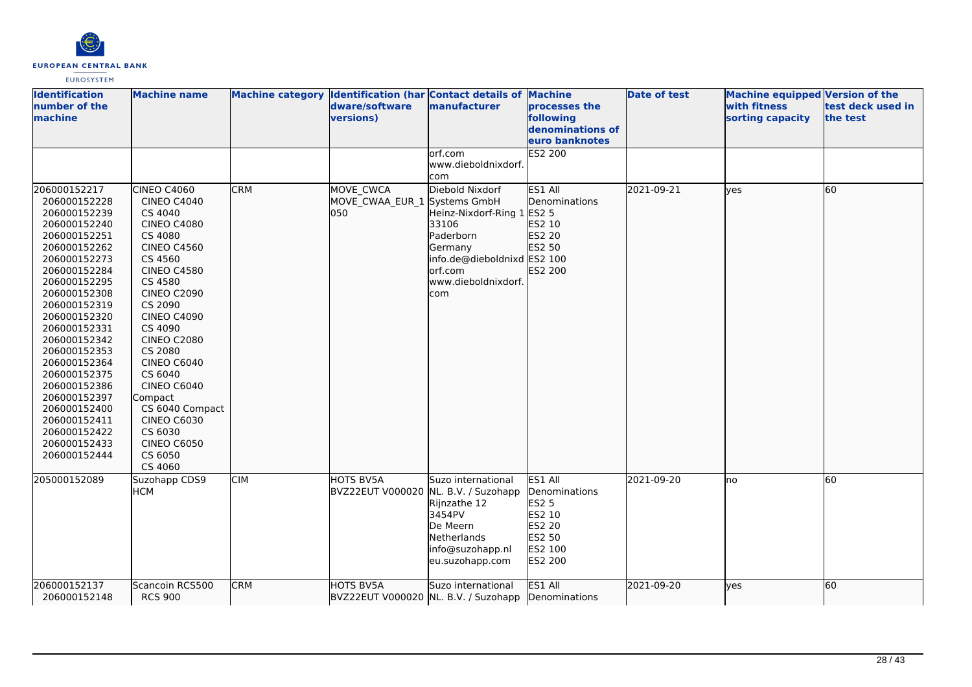

| <b>Identification</b><br>number of the<br><b>Imachine</b>                                                                                                                                                                                                                                                                                                                                    | <b>Machine name</b>                                                                                                                                                                                                                                                                                                                                                                                           |            | Machine category Identification (har Contact details of Machine<br>dware/software<br>versions) | manufacturer                                                                                                                                            | processes the<br>following<br>denominations of<br>euro banknotes                                    | <b>Date of test</b> | <b>Machine equipped Version of the</b><br>with fitness<br>sorting capacity | test deck used in<br>the test |
|----------------------------------------------------------------------------------------------------------------------------------------------------------------------------------------------------------------------------------------------------------------------------------------------------------------------------------------------------------------------------------------------|---------------------------------------------------------------------------------------------------------------------------------------------------------------------------------------------------------------------------------------------------------------------------------------------------------------------------------------------------------------------------------------------------------------|------------|------------------------------------------------------------------------------------------------|---------------------------------------------------------------------------------------------------------------------------------------------------------|-----------------------------------------------------------------------------------------------------|---------------------|----------------------------------------------------------------------------|-------------------------------|
|                                                                                                                                                                                                                                                                                                                                                                                              |                                                                                                                                                                                                                                                                                                                                                                                                               |            |                                                                                                | lorf.com<br>www.dieboldnixdorf.<br>com                                                                                                                  | <b>ES2 200</b>                                                                                      |                     |                                                                            |                               |
| 206000152217<br>206000152228<br>206000152239<br>206000152240<br>206000152251<br>206000152262<br>206000152273<br>206000152284<br>206000152295<br>206000152308<br>206000152319<br>206000152320<br>206000152331<br>206000152342<br>206000152353<br>206000152364<br>206000152375<br>206000152386<br>206000152397<br>206000152400<br>206000152411<br>206000152422<br>206000152433<br>206000152444 | CINEO C4060<br>CINEO C4040<br>CS 4040<br><b>CINEO C4080</b><br>CS 4080<br><b>CINEO C4560</b><br>CS 4560<br><b>CINEO C4580</b><br>CS 4580<br><b>CINEO C2090</b><br>CS 2090<br><b>CINEO C4090</b><br>CS 4090<br><b>CINEO C2080</b><br>CS 2080<br><b>CINEO C6040</b><br>CS 6040<br><b>CINEO C6040</b><br>Compact<br>CS 6040 Compact<br><b>CINEO C6030</b><br>CS 6030<br><b>CINEO C6050</b><br>CS 6050<br>CS 4060 | <b>CRM</b> | MOVE CWCA<br>MOVE CWAA EUR 1 Systems GmbH<br>lo50                                              | Diebold Nixdorf<br>Heinz-Nixdorf-Ring 1 ES2 5<br>33106<br>Paderborn<br>Germany<br>info.de@dieboldnixd ES2 100<br>lorf.com<br>www.dieboldnixdorf.<br>com | ES1 All<br>Denominations<br>ES2 10<br>ES2 20<br>ES2 50<br><b>ES2 200</b>                            | 2021-09-21          | lves                                                                       | 60                            |
| 205000152089                                                                                                                                                                                                                                                                                                                                                                                 | Suzohapp CDS9<br><b>HCM</b>                                                                                                                                                                                                                                                                                                                                                                                   | <b>CIM</b> | HOTS BV5A<br>BVZ22EUT V000020 NL. B.V. / Suzohapp                                              | Suzo international<br>Rijnzathe 12<br>3454PV<br>De Meern<br>Netherlands<br>info@suzohapp.nl<br>eu.suzohapp.com                                          | ES1 All<br>Denominations<br><b>ES2 5</b><br>ES2 10<br><b>ES2 20</b><br>ES2 50<br>ES2 100<br>ES2 200 | 2021-09-20          | no                                                                         | 60                            |
| 206000152137<br>206000152148                                                                                                                                                                                                                                                                                                                                                                 | Scancoin RCS500<br><b>RCS 900</b>                                                                                                                                                                                                                                                                                                                                                                             | <b>CRM</b> | HOTS BV5A                                                                                      | Suzo international<br>BVZ22EUT V000020 NL. B.V. / Suzohapp Denominations                                                                                | ES1 All                                                                                             | 2021-09-20          | ves                                                                        | 60                            |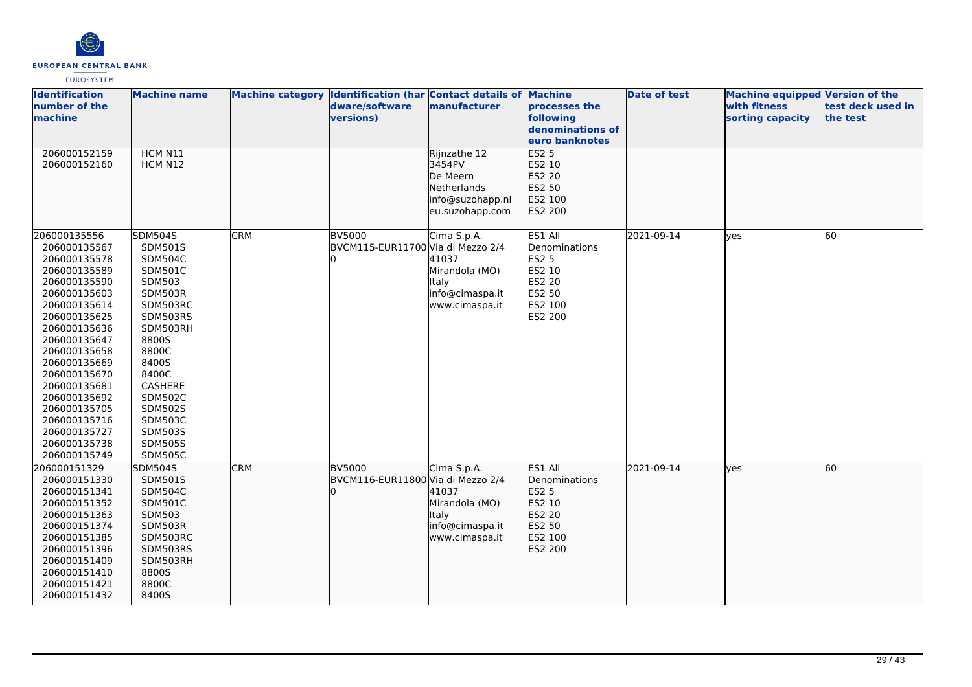

| <b>Identification</b><br>number of the<br>machine                                                                                                                                                                                                                                                                            | <b>Machine name</b>                                                                                                                                                                                                                                          |            | Machine category Identification (har Contact details of Machine<br>dware/software<br>versions) | manufacturer                                                                             | processes the<br>following<br>denominations of<br>euro banknotes                                    | Date of test | Machine equipped Version of the<br>with fitness<br>sorting capacity | test deck used in<br>the test |
|------------------------------------------------------------------------------------------------------------------------------------------------------------------------------------------------------------------------------------------------------------------------------------------------------------------------------|--------------------------------------------------------------------------------------------------------------------------------------------------------------------------------------------------------------------------------------------------------------|------------|------------------------------------------------------------------------------------------------|------------------------------------------------------------------------------------------|-----------------------------------------------------------------------------------------------------|--------------|---------------------------------------------------------------------|-------------------------------|
| 206000152159<br>206000152160                                                                                                                                                                                                                                                                                                 | HCM N11<br>HCM N12                                                                                                                                                                                                                                           |            |                                                                                                | Rijnzathe 12<br>3454PV<br>De Meern<br>Netherlands<br>info@suzohapp.nl<br>eu.suzohapp.com | <b>ES2 5</b><br>ES2 10<br>ES2 20<br>ES2 50<br>ES2 100<br>ES2 200                                    |              |                                                                     |                               |
| 206000135556<br>206000135567<br>206000135578<br>206000135589<br>206000135590<br>206000135603<br>206000135614<br>206000135625<br>206000135636<br>206000135647<br>206000135658<br>206000135669<br>206000135670<br>206000135681<br>206000135692<br>206000135705<br>206000135716<br>206000135727<br>206000135738<br>206000135749 | <b>SDM504S</b><br>SDM501S<br><b>SDM504C</b><br>SDM501C<br>SDM503<br>SDM503R<br>SDM503RC<br>SDM503RS<br>SDM503RH<br>8800S<br>8800C<br>8400S<br>8400C<br>CASHERE<br><b>SDM502C</b><br><b>SDM502S</b><br><b>SDM503C</b><br>SDM503S<br><b>SDM505S</b><br>SDM505C | <b>CRM</b> | <b>BV5000</b><br>BVCM115-EUR11700 Via di Mezzo 2/4                                             | Cima S.p.A.<br>41037<br>Mirandola (MO)<br>Italy<br>info@cimaspa.it<br>www.cimaspa.it     | ES1 All<br>Denominations<br><b>ES2 5</b><br>ES2 10<br><b>ES2 20</b><br>ES2 50<br>ES2 100<br>ES2 200 | 2021-09-14   | ves                                                                 | 60                            |
| 206000151329<br>206000151330<br>206000151341<br>206000151352<br>206000151363<br>206000151374<br>206000151385<br>206000151396<br>206000151409<br>206000151410<br>206000151421<br>206000151432                                                                                                                                 | <b>SDM504S</b><br>SDM501S<br><b>SDM504C</b><br>SDM501C<br><b>SDM503</b><br>SDM503R<br>SDM503RC<br>SDM503RS<br>SDM503RH<br>8800S<br>8800C<br>8400S                                                                                                            | <b>CRM</b> | <b>BV5000</b><br>BVCM116-EUR11800 Via di Mezzo 2/4                                             | Cima S.p.A.<br>41037<br>Mirandola (MO)<br>Italy<br>info@cimaspa.it<br>www.cimaspa.it     | ES1 All<br>Denominations<br>ES2 5<br>ES2 10<br>ES2 20<br>ES2 50<br>ES2 100<br>ES2 200               | 2021-09-14   | ves                                                                 | 60                            |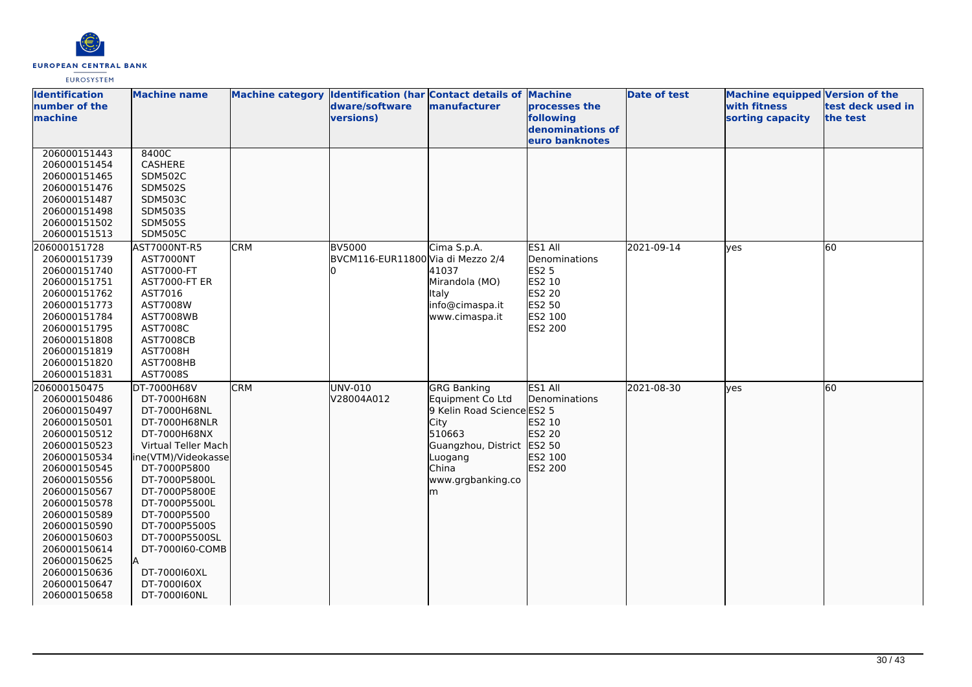

| <b>Identification</b><br>number of the | <b>Machine name</b>           |            | Machine category Identification (har Contact details of Machine<br>dware/software | manufacturer               | processes the                      | <b>Date of test</b> | Machine equipped Version of the<br>with fitness | test deck used in |
|----------------------------------------|-------------------------------|------------|-----------------------------------------------------------------------------------|----------------------------|------------------------------------|---------------------|-------------------------------------------------|-------------------|
| machine                                |                               |            | versions)                                                                         |                            | following                          |                     | sorting capacity                                | the test          |
|                                        |                               |            |                                                                                   |                            | denominations of<br>euro banknotes |                     |                                                 |                   |
| 206000151443                           | 8400C                         |            |                                                                                   |                            |                                    |                     |                                                 |                   |
| 206000151454                           | CASHERE                       |            |                                                                                   |                            |                                    |                     |                                                 |                   |
| 206000151465                           | <b>SDM502C</b>                |            |                                                                                   |                            |                                    |                     |                                                 |                   |
| 206000151476                           | <b>SDM502S</b>                |            |                                                                                   |                            |                                    |                     |                                                 |                   |
| 206000151487                           | <b>SDM503C</b>                |            |                                                                                   |                            |                                    |                     |                                                 |                   |
| 206000151498                           | SDM503S                       |            |                                                                                   |                            |                                    |                     |                                                 |                   |
| 206000151502                           | <b>SDM505S</b>                |            |                                                                                   |                            |                                    |                     |                                                 |                   |
| 206000151513                           | <b>SDM505C</b>                |            |                                                                                   |                            |                                    |                     |                                                 |                   |
| 206000151728                           | AST7000NT-R5                  | <b>CRM</b> | <b>BV5000</b>                                                                     | Cima S.p.A.                | ES1 All                            | 2021-09-14          | ves                                             | 60                |
| 206000151739                           | <b>AST7000NT</b>              |            | BVCM116-EUR11800 Via di Mezzo 2/4                                                 |                            | <b>Denominations</b>               |                     |                                                 |                   |
| 206000151740                           | AST7000-FT                    |            |                                                                                   | 41037                      | <b>ES2 5</b>                       |                     |                                                 |                   |
| 206000151751                           | AST7000-FT ER                 |            |                                                                                   | Mirandola (MO)             | ES2 10                             |                     |                                                 |                   |
| 206000151762                           | AST7016                       |            |                                                                                   | <b>Italy</b>               | ES2 20                             |                     |                                                 |                   |
| 206000151773                           | AST7008W                      |            |                                                                                   | info@cimaspa.it            | ES2 50                             |                     |                                                 |                   |
| 206000151784                           | <b>AST7008WB</b>              |            |                                                                                   | www.cimaspa.it             | ES2 100                            |                     |                                                 |                   |
| 206000151795                           | AST7008C                      |            |                                                                                   |                            | ES2 200                            |                     |                                                 |                   |
| 206000151808                           | <b>AST7008CB</b>              |            |                                                                                   |                            |                                    |                     |                                                 |                   |
| 206000151819                           | <b>AST7008H</b>               |            |                                                                                   |                            |                                    |                     |                                                 |                   |
| 206000151820                           | AST7008HB                     |            |                                                                                   |                            |                                    |                     |                                                 |                   |
| 206000151831                           | AST7008S                      |            |                                                                                   |                            |                                    |                     |                                                 |                   |
| 206000150475                           | DT-7000H68V                   | <b>CRM</b> | UNV-010                                                                           | <b>GRG Banking</b>         | ES1 All                            | 2021-08-30          | lyes                                            | 60                |
| 206000150486                           | DT-7000H68N                   |            | V28004A012                                                                        | Equipment Co Ltd           | Denominations                      |                     |                                                 |                   |
| 206000150497                           | DT-7000H68NL                  |            |                                                                                   | 9 Kelin Road Science ES2 5 |                                    |                     |                                                 |                   |
| 206000150501                           | DT-7000H68NLR                 |            |                                                                                   | City                       | ES2 10                             |                     |                                                 |                   |
| 206000150512                           | DT-7000H68NX                  |            |                                                                                   | 510663                     | ES2 20                             |                     |                                                 |                   |
| 206000150523                           | Virtual Teller Mach           |            |                                                                                   | Guangzhou, District        | ES2 50                             |                     |                                                 |                   |
| 206000150534                           | ine(VTM)/Videokasse           |            |                                                                                   | Luogang<br>China           | ES2 100<br>ES2 200                 |                     |                                                 |                   |
| 206000150545<br>206000150556           | DT-7000P5800<br>DT-7000P5800L |            |                                                                                   | www.grgbanking.co          |                                    |                     |                                                 |                   |
| 206000150567                           | DT-7000P5800E                 |            |                                                                                   | m                          |                                    |                     |                                                 |                   |
| 206000150578                           | DT-7000P5500L                 |            |                                                                                   |                            |                                    |                     |                                                 |                   |
| 206000150589                           | DT-7000P5500                  |            |                                                                                   |                            |                                    |                     |                                                 |                   |
| 206000150590                           | DT-7000P5500S                 |            |                                                                                   |                            |                                    |                     |                                                 |                   |
| 206000150603                           | DT-7000P5500SL                |            |                                                                                   |                            |                                    |                     |                                                 |                   |
| 206000150614                           | DT-7000160-COMB               |            |                                                                                   |                            |                                    |                     |                                                 |                   |
| 206000150625                           |                               |            |                                                                                   |                            |                                    |                     |                                                 |                   |
| 206000150636                           | DT-7000160XL                  |            |                                                                                   |                            |                                    |                     |                                                 |                   |
| 206000150647                           | DT-7000160X                   |            |                                                                                   |                            |                                    |                     |                                                 |                   |
| 206000150658                           | DT-7000160NL                  |            |                                                                                   |                            |                                    |                     |                                                 |                   |
|                                        |                               |            |                                                                                   |                            |                                    |                     |                                                 |                   |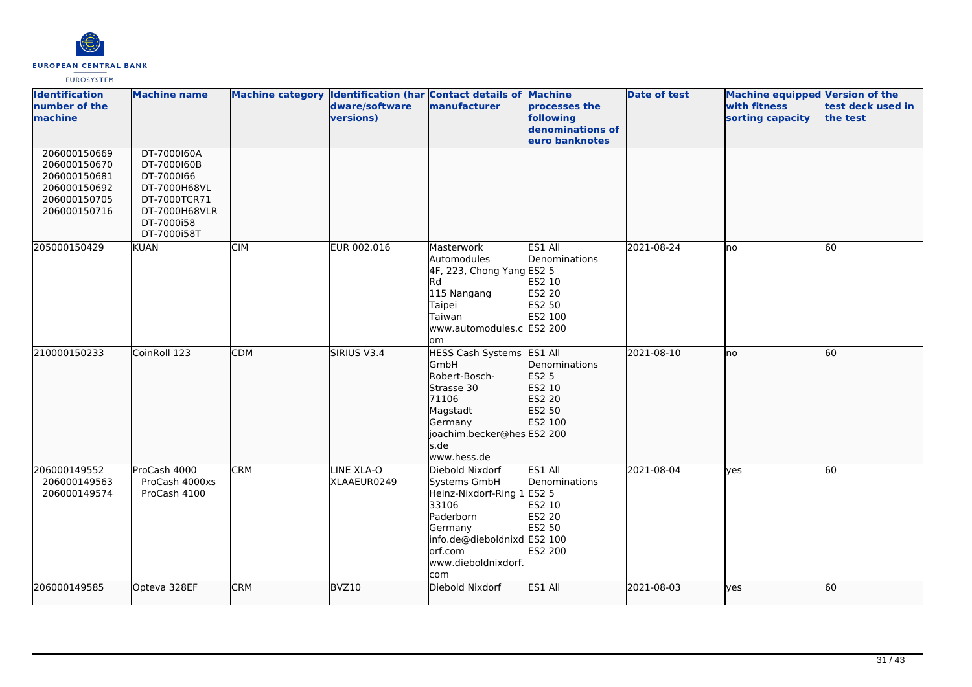

| <b>Identification</b><br>number of the<br>machine                                            | <b>Machine name</b>                                                                                                    | Machine category Identification (har Contact details of Machine | dware/software<br>versions) | manufacturer                                                                                                                                                           | processes the<br>following<br>denominations of<br>euro banknotes       | <b>Date of test</b> | Machine equipped Version of the<br>with fitness<br>sorting capacity | test deck used in<br>the test |
|----------------------------------------------------------------------------------------------|------------------------------------------------------------------------------------------------------------------------|-----------------------------------------------------------------|-----------------------------|------------------------------------------------------------------------------------------------------------------------------------------------------------------------|------------------------------------------------------------------------|---------------------|---------------------------------------------------------------------|-------------------------------|
| 206000150669<br>206000150670<br>206000150681<br>206000150692<br>206000150705<br>206000150716 | DT-7000160A<br>DT-7000160B<br>DT-7000166<br>DT-7000H68VL<br>DT-7000TCR71<br>DT-7000H68VLR<br>DT-7000i58<br>DT-7000i58T |                                                                 |                             |                                                                                                                                                                        |                                                                        |                     |                                                                     |                               |
| 205000150429                                                                                 | <b>KUAN</b>                                                                                                            | <b>CIM</b>                                                      | EUR 002.016                 | Masterwork<br>Automodules<br>4F, 223, Chong Yang ES2 5<br>Rd<br>115 Nangang<br>Taipei<br>Taiwan<br>www.automodules.c ES2 200<br>lom                                    | ES1 All<br>Denominations<br>ES2 10<br>ES2 20<br>ES2 50<br>ES2 100      | 2021-08-24          | lno                                                                 | 60                            |
| 210000150233                                                                                 | CoinRoll 123                                                                                                           | CDM                                                             | SIRIUS V3.4                 | HESS Cash Systems ES1 All<br>GmbH<br>Robert-Bosch-<br>Strasse 30<br>71106<br>Magstadt<br>Germany<br>joachim.becker@hesES2 200<br>s.de<br>www.hess.de                   | Denominations<br><b>ES2 5</b><br>ES2 10<br>ES2 20<br>ES2 50<br>ES2 100 | 2021-08-10          | lno.                                                                | 60                            |
| 206000149552<br>206000149563<br>206000149574                                                 | ProCash 4000<br>ProCash 4000xs<br>ProCash 4100                                                                         | <b>CRM</b>                                                      | LINE XLA-O<br>XLAAEUR0249   | Diebold Nixdorf<br>Systems GmbH<br>Heinz-Nixdorf-Ring 1 ES2 5<br>33106<br>Paderborn<br>Germany<br>info.de@dieboldnixd ES2 100<br>orf.com<br>www.dieboldnixdorf.<br>com | ES1 All<br>Denominations<br>ES2 10<br>ES2 20<br>ES2 50<br>ES2 200      | 2021-08-04          | lyes                                                                | 60                            |
| 206000149585                                                                                 | Opteva 328EF                                                                                                           | <b>CRM</b>                                                      | BVZ10                       | Diebold Nixdorf                                                                                                                                                        | ES1 All                                                                | 2021-08-03          | yes                                                                 | 60                            |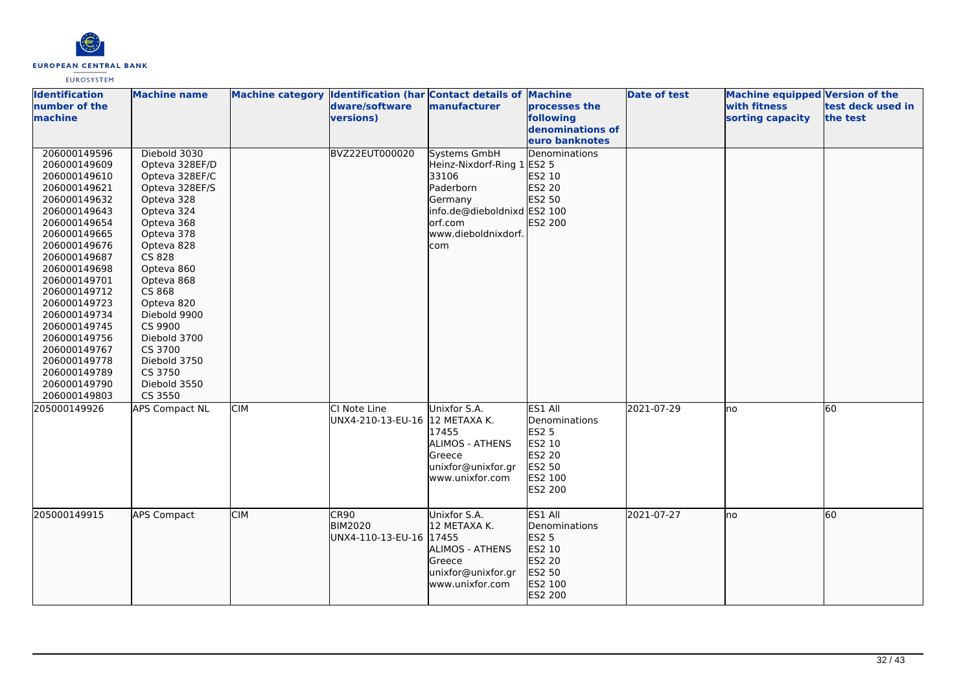

| <b>Identification</b><br>number of the<br>machine                                                                                                                                                                                                                                                                                                            | <b>Machine name</b>                                                                                                                                                                                                                                                                                                |            | dware/software<br>versions)                       | Machine category Identification (har Contact details of Machine<br>manufacturer                                                                      | processes the<br>following<br>denominations of<br>euro banknotes                                           | <b>Date of test</b> | Machine equipped Version of the<br>with fitness<br>sorting capacity | test deck used in<br>the test |
|--------------------------------------------------------------------------------------------------------------------------------------------------------------------------------------------------------------------------------------------------------------------------------------------------------------------------------------------------------------|--------------------------------------------------------------------------------------------------------------------------------------------------------------------------------------------------------------------------------------------------------------------------------------------------------------------|------------|---------------------------------------------------|------------------------------------------------------------------------------------------------------------------------------------------------------|------------------------------------------------------------------------------------------------------------|---------------------|---------------------------------------------------------------------|-------------------------------|
| 206000149596<br>206000149609<br>206000149610<br>206000149621<br>206000149632<br>206000149643<br>206000149654<br>206000149665<br>206000149676<br>206000149687<br>206000149698<br>206000149701<br>206000149712<br>206000149723<br>206000149734<br>206000149745<br>206000149756<br>206000149767<br>206000149778<br>206000149789<br>206000149790<br>206000149803 | Diebold 3030<br>Opteva 328EF/D<br>Opteva 328EF/C<br>Opteva 328EF/S<br>Opteva 328<br>Opteva 324<br>Opteva 368<br>Opteva 378<br>Opteva 828<br>CS 828<br>Opteva 860<br>Opteva 868<br>CS 868<br>Opteva 820<br>Diebold 9900<br>CS 9900<br>Diebold 3700<br>CS 3700<br>Diebold 3750<br>CS 3750<br>Diebold 3550<br>CS 3550 |            | <b>BVZ22EUT000020</b>                             | Systems GmbH<br>Heinz-Nixdorf-Ring 1 ES2 5<br>33106<br>Paderborn<br>Germany<br>info.de@dieboldnixd ES2 100<br>lorf.com<br>www.dieboldnixdorf.<br>com | <b>Denominations</b><br>ES2 10<br>ES2 20<br>ES2 50<br>ES2 200                                              |                     |                                                                     |                               |
| 205000149926                                                                                                                                                                                                                                                                                                                                                 | <b>APS Compact NL</b>                                                                                                                                                                                                                                                                                              | <b>CIM</b> | CI Note Line<br>UNX4-210-13-EU-16  12 METAXA K.   | Unixfor S.A.<br>17455<br><b>ALIMOS - ATHENS</b><br>Greece<br>unixfor@unixfor.gr<br>www.unixfor.com                                                   | ES1 All<br>Denominations<br><b>ES2 5</b><br>ES2 10<br><b>ES2 20</b><br>ES2 50<br>ES2 100<br><b>ES2 200</b> | 2021-07-29          | lno                                                                 | 60                            |
| 205000149915                                                                                                                                                                                                                                                                                                                                                 | <b>APS Compact</b>                                                                                                                                                                                                                                                                                                 | <b>CIM</b> | CR90<br><b>BIM2020</b><br>UNX4-110-13-EU-16 17455 | Unixfor S.A.<br>12 METAXA K.<br><b>ALIMOS - ATHENS</b><br>Greece<br>unixfor@unixfor.gr<br>www.unixfor.com                                            | <b>ES1 All</b><br>Denominations<br>ES2 5<br>ES2 10<br>ES2 20<br>ES2 50<br>ES2 100<br>ES2 200               | 2021-07-27          | lno                                                                 | 60                            |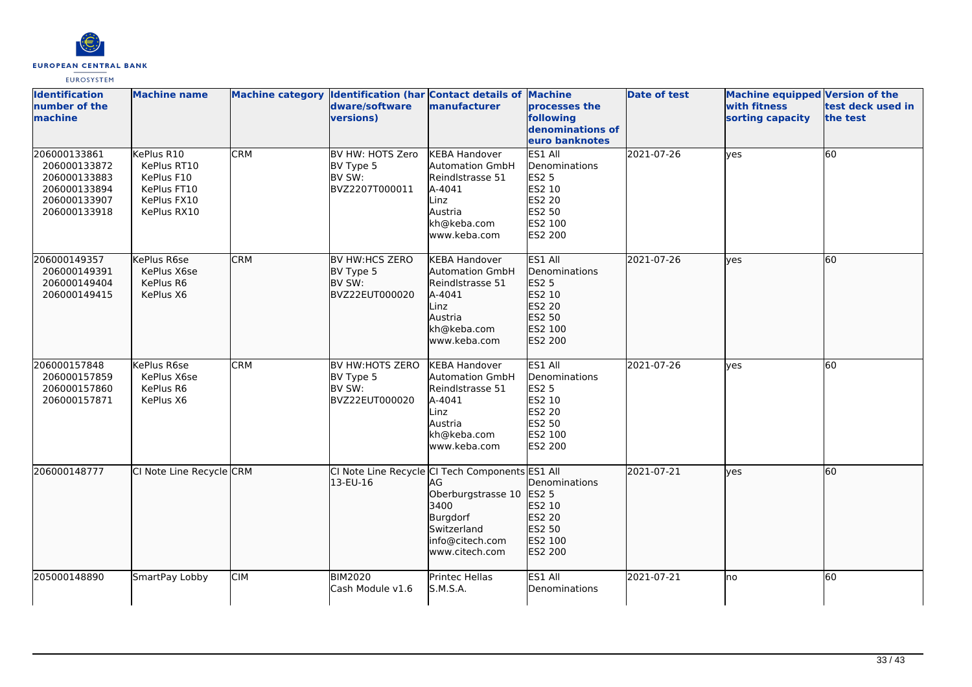

| <b>Identification</b><br>number of the<br>machine                                            | <b>Machine name</b>                                                                  |            | dware/software<br><b>versions)</b>                             | Machine category Identification (har Contact details of Machine<br>manufacturer                                                                       | processes the<br>following<br>denominations of<br>euro banknotes                             | <b>Date of test</b> | <b>Machine equipped Version of the</b><br>with fitness<br>sorting capacity | test deck used in<br>the test |
|----------------------------------------------------------------------------------------------|--------------------------------------------------------------------------------------|------------|----------------------------------------------------------------|-------------------------------------------------------------------------------------------------------------------------------------------------------|----------------------------------------------------------------------------------------------|---------------------|----------------------------------------------------------------------------|-------------------------------|
| 206000133861<br>206000133872<br>206000133883<br>206000133894<br>206000133907<br>206000133918 | KePlus R10<br>KePlus RT10<br>KePlus F10<br>KePlus FT10<br>KePlus FX10<br>KePlus RX10 | <b>CRM</b> | BV HW: HOTS Zero<br>BV Type 5<br>BV SW:<br>BVZ2207T000011      | <b>KEBA Handover</b><br><b>Automation GmbH</b><br>Reindlstrasse 51<br>A-4041<br>Linz<br>Austria<br>kh@keba.com<br>www.keba.com                        | ES1 All<br>Denominations<br><b>ES2 5</b><br>ES2 10<br>ES2 20<br>ES2 50<br>ES2 100<br>ES2 200 | 2021-07-26          | yes                                                                        | 60                            |
| 206000149357<br>206000149391<br>206000149404<br>206000149415                                 | KePlus R6se<br>KePlus X6se<br>KePlus R6<br>KePlus X6                                 | <b>CRM</b> | <b>BV HW:HCS ZERO</b><br>BV Type 5<br>BV SW:<br>BVZ22EUT000020 | <b>KEBA Handover</b><br><b>Automation GmbH</b><br>Reindlstrasse 51<br>A-4041<br>Linz<br>Austria<br>kh@keba.com<br>www.keba.com                        | ES1 All<br>Denominations<br>ES2 5<br>ES2 10<br>ES2 20<br>ES2 50<br>ES2 100<br><b>ES2 200</b> | 2021-07-26          | <b>ves</b>                                                                 | 60                            |
| 206000157848<br>206000157859<br>206000157860<br>206000157871                                 | KePlus R6se<br>KePlus X6se<br>KePlus R6<br>KePlus X6                                 | <b>CRM</b> | BV HW:HOTS ZERO<br>BV Type 5<br>BV SW:<br>BVZ22EUT000020       | <b>KEBA Handover</b><br><b>Automation GmbH</b><br>Reindlstrasse 51<br>A-4041<br>Linz<br>Austria<br>kh@keba.com<br>www.keba.com                        | ES1 All<br>Denominations<br><b>ES2 5</b><br>ES2 10<br>ES2 20<br>ES2 50<br>ES2 100<br>ES2 200 | 2021-07-26          | yes                                                                        | 60                            |
| 206000148777                                                                                 | CI Note Line Recycle CRM                                                             |            | 13-EU-16                                                       | CI Note Line Recycle CI Tech Components ES1 All<br>IAG.<br>Oberburgstrasse 10<br>3400<br>Burgdorf<br>Switzerland<br>info@citech.com<br>www.citech.com | Denominations<br><b>ES2 5</b><br>ES2 10<br>ES2 20<br>ES2 50<br>ES2 100<br>ES2 200            | 2021-07-21          | yes                                                                        | 60                            |
| 205000148890                                                                                 | SmartPay Lobby                                                                       | <b>CIM</b> | <b>BIM2020</b><br>Cash Module v1.6                             | Printec Hellas<br>S.M.S.A.                                                                                                                            | ES1 All<br>Denominations                                                                     | 2021-07-21          | lno                                                                        | 60                            |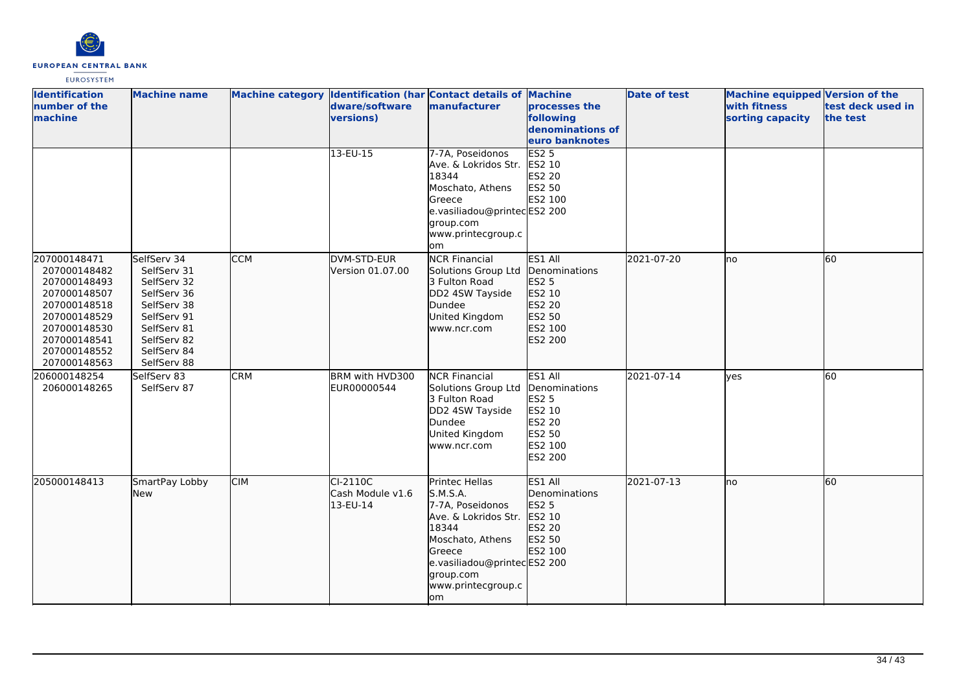

| <b>Identification</b><br>number of the<br>machine                                                                                                            | <b>Machine name</b>                                                                                                                                |            | dware/software<br>versions)                | Machine category Identification (har Contact details of Machine<br>manufacturer                                                                                                       | processes the<br>following<br>denominations of<br>euro banknotes                                    | <b>Date of test</b> | Machine equipped Version of the<br>with fitness<br>sorting capacity | test deck used in<br>the test |
|--------------------------------------------------------------------------------------------------------------------------------------------------------------|----------------------------------------------------------------------------------------------------------------------------------------------------|------------|--------------------------------------------|---------------------------------------------------------------------------------------------------------------------------------------------------------------------------------------|-----------------------------------------------------------------------------------------------------|---------------------|---------------------------------------------------------------------|-------------------------------|
|                                                                                                                                                              |                                                                                                                                                    |            | $13-EU-15$                                 | 7-7A, Poseidonos<br>Ave. & Lokridos Str.<br>18344<br>Moschato, Athens<br>Greece<br>e.vasiliadou@printecES2 200<br>group.com<br>www.printecgroup.c<br>om                               | ES2 <sub>5</sub><br>ES2 10<br>ES2 20<br>ES2 50<br>ES2 100                                           |                     |                                                                     |                               |
| 207000148471<br>207000148482<br>207000148493<br>207000148507<br>207000148518<br>207000148529<br>207000148530<br>207000148541<br>207000148552<br>207000148563 | SelfServ 34<br>SelfServ 31<br>SelfServ 32<br>SelfServ 36<br>SelfServ 38<br>SelfServ 91<br>SelfServ 81<br>SelfServ 82<br>SelfServ 84<br>SelfServ 88 | <b>CCM</b> | DVM-STD-EUR<br>Version 01.07.00            | <b>NCR Financial</b><br>Solutions Group Ltd<br>3 Fulton Road<br>DD2 4SW Tayside<br>Dundee<br>United Kingdom<br>www.ncr.com                                                            | ES1 All<br><b>I</b> Denominations<br>ES2 5<br>ES2 10<br>ES2 20<br>ES2 50<br>ES2 100<br>ES2 200      | 2021-07-20          | Ino                                                                 | <b>60</b>                     |
| 206000148254<br>206000148265                                                                                                                                 | SelfServ 83<br>SelfServ 87                                                                                                                         | <b>CRM</b> | BRM with HVD300<br>EUR00000544             | <b>NCR Financial</b><br>Solutions Group Ltd<br>3 Fulton Road<br>DD2 4SW Tayside<br>Dundee<br>United Kingdom<br>www.ncr.com                                                            | ES1 All<br>Denominations<br><b>ES2 5</b><br>ES2 10<br>ES2 20<br>ES2 50<br>ES2 100<br><b>ES2 200</b> | 2021-07-14          | <b>ves</b>                                                          | <b>60</b>                     |
| 205000148413                                                                                                                                                 | SmartPay Lobby<br><b>New</b>                                                                                                                       | <b>CIM</b> | $CI-2110C$<br>Cash Module v1.6<br>13-EU-14 | Printec Hellas<br>S.M.S.A.<br>7-7A, Poseidonos<br>Ave. & Lokridos Str.<br>18344<br>Moschato, Athens<br>Greece<br>e.vasiliadou@printecES2 200<br>group.com<br>www.printecgroup.c<br>om | ES1 All<br>Denominations<br><b>ES2 5</b><br>ES2 10<br>ES2 20<br>ES2 50<br>ES2 100                   | 2021-07-13          | lno                                                                 | 60                            |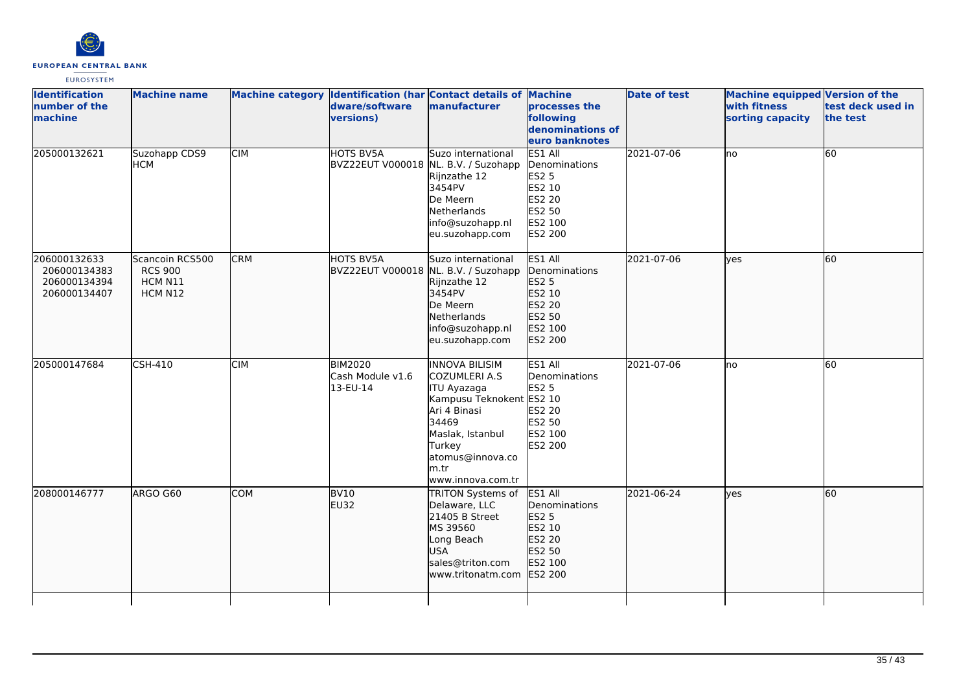

| <b>Identification</b><br>number of the<br><b>Imachine</b>    | <b>Machine name</b>                                     |            | Machine category Identification (har Contact details of Machine<br>dware/software<br>versions) | manufacturer                                                                                                                                                                                      | processes the<br>following<br>denominations of<br>euro banknotes                             | <b>Date of test</b> | Machine equipped Version of the<br>with fitness<br>sorting capacity | test deck used in<br>the test |
|--------------------------------------------------------------|---------------------------------------------------------|------------|------------------------------------------------------------------------------------------------|---------------------------------------------------------------------------------------------------------------------------------------------------------------------------------------------------|----------------------------------------------------------------------------------------------|---------------------|---------------------------------------------------------------------|-------------------------------|
| 205000132621                                                 | Suzohapp CDS9<br>НСМ                                    | <b>CIM</b> | <b>HOTS BV5A</b><br>BVZ22EUT V000018 NL. B.V. / Suzohapp                                       | Suzo international<br>Rijnzathe 12<br>3454PV<br>De Meern<br><b>Netherlands</b><br>info@suzohapp.nl<br>eu.suzohapp.com                                                                             | ES1 All<br>Denominations<br><b>ES2 5</b><br>ES2 10<br>ES2 20<br>ES2 50<br>ES2 100<br>ES2 200 | 2021-07-06          | Ino                                                                 | 60                            |
| 206000132633<br>206000134383<br>206000134394<br>206000134407 | Scancoin RCS500<br><b>RCS 900</b><br>HCM N11<br>HCM N12 | <b>CRM</b> | HOTS BV5A<br>BVZ22EUT V000018 NL. B.V. / Suzohapp                                              | Suzo international<br>Rijnzathe 12<br>3454PV<br>De Meern<br>Netherlands<br>info@suzohapp.nl<br>eu.suzohapp.com                                                                                    | ES1 All<br>Denominations<br>ES2 5<br>ES2 10<br>ES2 20<br>ES2 50<br>ES2 100<br>ES2 200        | 2021-07-06          | lves                                                                | 60                            |
| 205000147684                                                 | <b>CSH-410</b>                                          | <b>CIM</b> | <b>BIM2020</b><br>Cash Module v1.6<br>13-EU-14                                                 | <b>INNOVA BILISIM</b><br>COZUMLERI A.S<br><b>ITU Ayazaga</b><br>Kampusu Teknokent ES2 10<br>Ari 4 Binasi<br>34469<br>Maslak, Istanbul<br>Turkey<br>atomus@innova.co<br>lm.tr<br>www.innova.com.tr | ES1 All<br>Denominations<br><b>ES2 5</b><br>ES2 20<br>ES2 50<br>ES2 100<br>ES2 200           | 2021-07-06          | lno                                                                 | 60                            |
| 208000146777                                                 | ARGO G60                                                | <b>COM</b> | BV <sub>10</sub><br>EU32                                                                       | <b>TRITON Systems of</b><br>Delaware, LLC<br>21405 B Street<br>MS 39560<br>Long Beach<br><b>USA</b><br>sales@triton.com<br>www.tritonatm.com                                                      | ES1 All<br>Denominations<br>ES2 5<br>ES2 10<br>ES2 20<br>ES2 50<br>ES2 100<br>ES2 200        | 2021-06-24          | yes                                                                 | 60                            |
|                                                              |                                                         |            |                                                                                                |                                                                                                                                                                                                   |                                                                                              |                     |                                                                     |                               |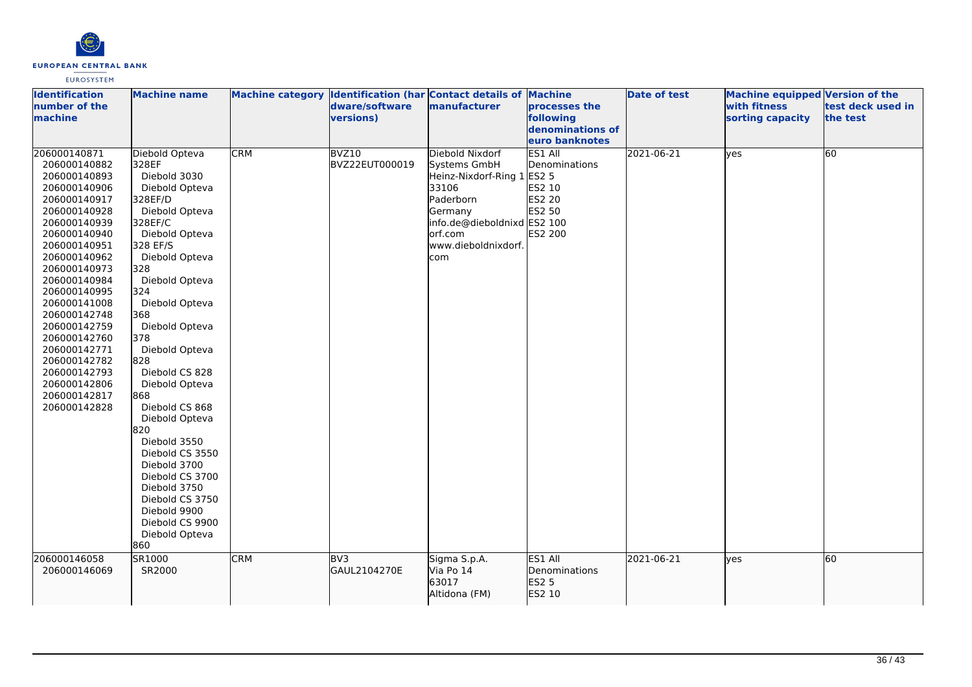

| <b>Identification</b><br>number of the<br>machine                                                                                                                                                                                                                                                                                                                            | <b>Machine name</b>                                                                                                                                                                                                                                                                                                                                                                                                                                                                                                     |            | Machine category Identification (har Contact details of Machine<br>dware/software<br>versions) | manufacturer                                                                                                                                                           | processes the<br>following<br>denominations of<br>euro banknotes         | <b>Date of test</b> | <b>Machine equipped Version of the</b><br>with fitness<br>sorting capacity | test deck used in<br>the test |
|------------------------------------------------------------------------------------------------------------------------------------------------------------------------------------------------------------------------------------------------------------------------------------------------------------------------------------------------------------------------------|-------------------------------------------------------------------------------------------------------------------------------------------------------------------------------------------------------------------------------------------------------------------------------------------------------------------------------------------------------------------------------------------------------------------------------------------------------------------------------------------------------------------------|------------|------------------------------------------------------------------------------------------------|------------------------------------------------------------------------------------------------------------------------------------------------------------------------|--------------------------------------------------------------------------|---------------------|----------------------------------------------------------------------------|-------------------------------|
| 206000140871<br>206000140882<br>206000140893<br>206000140906<br>206000140917<br>206000140928<br>206000140939<br>206000140940<br>206000140951<br>206000140962<br>206000140973<br>206000140984<br>206000140995<br>206000141008<br>206000142748<br>206000142759<br>206000142760<br>206000142771<br>206000142782<br>206000142793<br>206000142806<br>206000142817<br>206000142828 | Diebold Opteva<br>328EF<br>Diebold 3030<br>Diebold Opteva<br>328EF/D<br>Diebold Opteva<br>328EF/C<br>Diebold Opteva<br>328 EF/S<br>Diebold Opteva<br>328<br>Diebold Opteva<br>324<br>Diebold Opteva<br>368<br>Diebold Opteva<br>378<br>Diebold Opteva<br>828<br>Diebold CS 828<br>Diebold Opteva<br>868<br>Diebold CS 868<br>Diebold Opteva<br>820<br>Diebold 3550<br>Diebold CS 3550<br>Diebold 3700<br>Diebold CS 3700<br>Diebold 3750<br>Diebold CS 3750<br>Diebold 9900<br>Diebold CS 9900<br>Diebold Opteva<br>860 | <b>CRM</b> | BVZ10<br>BVZ22EUT000019                                                                        | Diebold Nixdorf<br>Systems GmbH<br>Heinz-Nixdorf-Ring 1 ES2 5<br>33106<br>Paderborn<br>Germany<br>info.de@dieboldnixd ES2 100<br>orf.com<br>www.dieboldnixdorf.<br>com | ES1 All<br>Denominations<br>ES2 10<br><b>ES2 20</b><br>ES2 50<br>ES2 200 | 2021-06-21          | yes                                                                        | 60                            |
| 206000146058<br>206000146069                                                                                                                                                                                                                                                                                                                                                 | SR1000<br>SR2000                                                                                                                                                                                                                                                                                                                                                                                                                                                                                                        | <b>CRM</b> | BV <sub>3</sub><br>GAUL2104270E                                                                | Sigma S.p.A.<br>Via Po 14<br>63017<br>Altidona (FM)                                                                                                                    | ES1 All<br>Denominations<br>ES2 5<br>ES2 10                              | 2021-06-21          | lyes                                                                       | 60                            |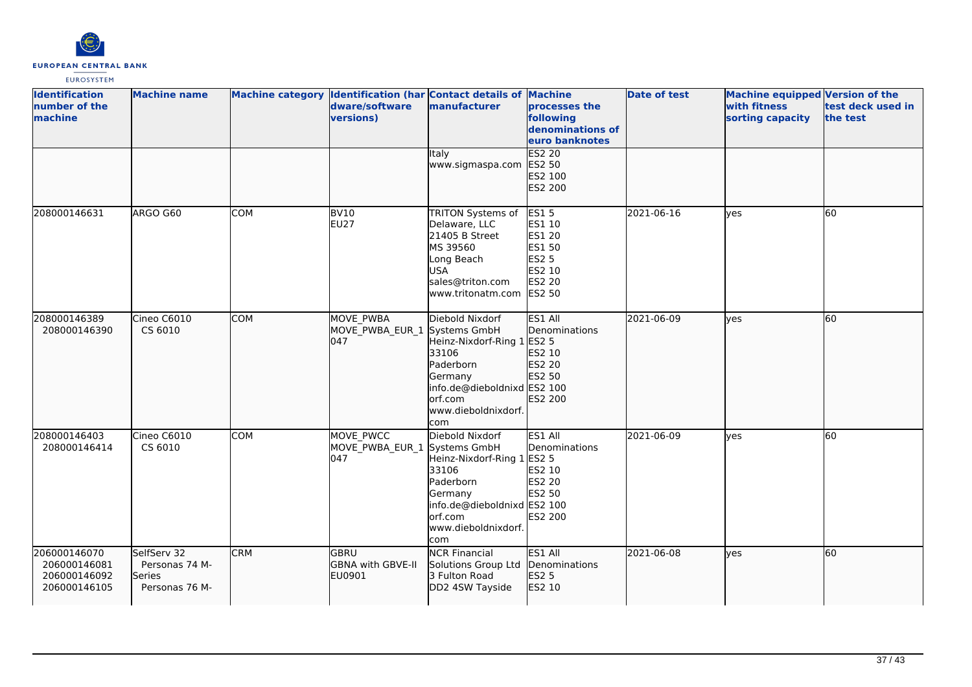

| <b>Identification</b><br>number of the<br>machine            | <b>Machine name</b>                                       |            | Machine category Identification (har Contact details of Machine<br>dware/software<br>versions) | manufacturer                                                                                                                                           | processes the<br>following<br>denominations of<br>euro banknotes                                             | <b>Date of test</b> | <b>Machine equipped Version of the</b><br>with fitness<br>sorting capacity | test deck used in<br>the test |
|--------------------------------------------------------------|-----------------------------------------------------------|------------|------------------------------------------------------------------------------------------------|--------------------------------------------------------------------------------------------------------------------------------------------------------|--------------------------------------------------------------------------------------------------------------|---------------------|----------------------------------------------------------------------------|-------------------------------|
|                                                              |                                                           |            |                                                                                                | Italy<br>www.sigmaspa.com                                                                                                                              | <b>ES2 20</b><br>ES2 50<br>ES2 100<br>ES2 200                                                                |                     |                                                                            |                               |
| 208000146631                                                 | ARGO G60                                                  | <b>COM</b> | <b>BV10</b><br><b>EU27</b>                                                                     | TRITON Systems of<br>Delaware, LLC<br>21405 B Street<br>MS 39560<br>Long Beach<br><b>USA</b><br>sales@triton.com<br>lwww.tritonatm.com                 | <b>ES15</b><br>ES1 10<br><b>ES1 20</b><br>ES1 50<br><b>ES2 5</b><br>ES2 10<br><b>ES2 20</b><br><b>ES2 50</b> | 2021-06-16          | ves                                                                        | 60                            |
| 208000146389<br>208000146390                                 | Cineo C6010<br>CS 6010                                    | <b>COM</b> | MOVE PWBA<br>MOVE_PWBA_EUR_1 Systems GmbH<br>l047                                              | Diebold Nixdorf<br>Heinz-Nixdorf-Ring 1 ES2 5<br>33106<br>Paderborn<br>Germany<br>info.de@dieboldnixd ES2 100<br>orf.com<br>www.dieboldnixdorf.<br>com | ES1 All<br>Denominations<br>ES2 10<br>ES2 20<br>ES2 50<br>ES2 200                                            | 2021-06-09          | lves                                                                       | 60                            |
| 208000146403<br>208000146414                                 | Cineo C6010<br>CS 6010                                    | <b>COM</b> | MOVE PWCC<br>MOVE_PWBA_EUR_1 Systems GmbH<br>047                                               | Diebold Nixdorf<br>Heinz-Nixdorf-Ring 1 ES2 5<br>33106<br>Paderborn<br>Germany<br>info.de@dieboldnixd ES2 100<br>orf.com<br>www.dieboldnixdorf.<br>com | ES1 All<br>Denominations<br>ES2 10<br><b>ES2 20</b><br>ES2 50<br><b>ES2 200</b>                              | 2021-06-09          | lves                                                                       | 60                            |
| 206000146070<br>206000146081<br>206000146092<br>206000146105 | SelfServ 32<br>Personas 74 M-<br>Series<br>Personas 76 M- | <b>CRM</b> | <b>GBRU</b><br><b>GBNA with GBVE-II</b><br>EU0901                                              | <b>NCR Financial</b><br>Solutions Group Ltd<br>3 Fulton Road<br>DD2 4SW Tayside                                                                        | ES1 All<br>Denominations<br><b>ES2 5</b><br>ES2 10                                                           | 2021-06-08          | lyes                                                                       | 60                            |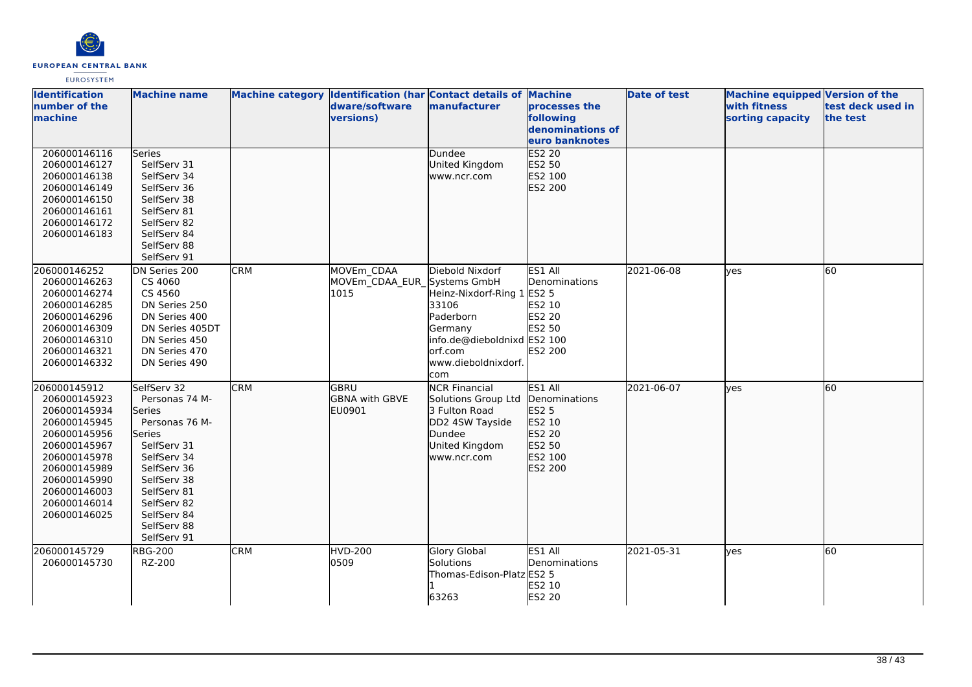

| <b>Identification</b><br>number of the<br>machine                                                                                                                                            | <b>Machine name</b>                                                                                                                                                                                               |            | dware/software<br>versions)                       | Machine category Identification (har Contact details of Machine<br>manufacturer                                                                        | processes the<br>following<br>denominations of<br>euro banknotes                             | <b>Date of test</b> | <b>Machine equipped Version of the</b><br>with fitness<br>sorting capacity | test deck used in<br>the test |
|----------------------------------------------------------------------------------------------------------------------------------------------------------------------------------------------|-------------------------------------------------------------------------------------------------------------------------------------------------------------------------------------------------------------------|------------|---------------------------------------------------|--------------------------------------------------------------------------------------------------------------------------------------------------------|----------------------------------------------------------------------------------------------|---------------------|----------------------------------------------------------------------------|-------------------------------|
| 206000146116<br>206000146127<br>206000146138<br>206000146149<br>206000146150<br>206000146161<br>206000146172<br>206000146183                                                                 | Series<br>SelfServ 31<br>SelfServ 34<br>SelfServ 36<br>SelfServ 38<br>SelfServ 81<br>SelfServ 82<br>SelfServ 84<br>SelfServ 88<br>SelfServ 91                                                                     |            |                                                   | Dundee<br>United Kingdom<br>www.ncr.com                                                                                                                | <b>ES2 20</b><br>ES2 50<br>ES2 100<br>ES2 200                                                |                     |                                                                            |                               |
| 206000146252<br>206000146263<br>206000146274<br>206000146285<br>206000146296<br>206000146309<br>206000146310<br>206000146321<br>206000146332                                                 | DN Series 200<br>CS 4060<br>CS 4560<br>DN Series 250<br>DN Series 400<br>DN Series 405DT<br>DN Series 450<br>DN Series 470<br>DN Series 490                                                                       | <b>CRM</b> | MOVEm CDAA<br>MOVEm CDAA EUR Systems GmbH<br>1015 | Diebold Nixdorf<br>Heinz-Nixdorf-Ring 1 ES2 5<br>33106<br>Paderborn<br>Germany<br>info.de@dieboldnixd ES2 100<br>orf.com<br>www.dieboldnixdorf.<br>com | ES1 All<br>Denominations<br>ES2 10<br>ES2 20<br>ES2 50<br>ES2 200                            | 2021-06-08          | <b>ves</b>                                                                 | 60                            |
| 206000145912<br>206000145923<br>206000145934<br>206000145945<br>206000145956<br>206000145967<br>206000145978<br>206000145989<br>206000145990<br>206000146003<br>206000146014<br>206000146025 | SelfServ 32<br>Personas 74 M-<br><b>Series</b><br>Personas 76 M-<br>Series<br>SelfServ 31<br>SelfServ 34<br>SelfServ 36<br>SelfServ 38<br>SelfServ 81<br>SelfServ 82<br>SelfServ 84<br>SelfServ 88<br>SelfServ 91 | <b>CRM</b> | GBRU<br><b>GBNA with GBVE</b><br>EU0901           | <b>NCR Financial</b><br>Solutions Group Ltd<br>3 Fulton Road<br>DD2 4SW Tayside<br>Dundee<br>United Kingdom<br>www.ncr.com                             | ES1 All<br>Denominations<br><b>ES2 5</b><br>ES2 10<br>ES2 20<br>ES2 50<br>ES2 100<br>ES2 200 | 2021-06-07          | lves                                                                       | 60                            |
| 206000145729<br>206000145730                                                                                                                                                                 | <b>RBG-200</b><br>RZ-200                                                                                                                                                                                          | <b>CRM</b> | <b>HVD-200</b><br>0509                            | <b>Glory Global</b><br>Solutions<br>Thomas-Edison-Platz ES2 5<br>63263                                                                                 | ES1 All<br>Denominations<br>ES2 10<br>ES2 20                                                 | 2021-05-31          | lves                                                                       | 60                            |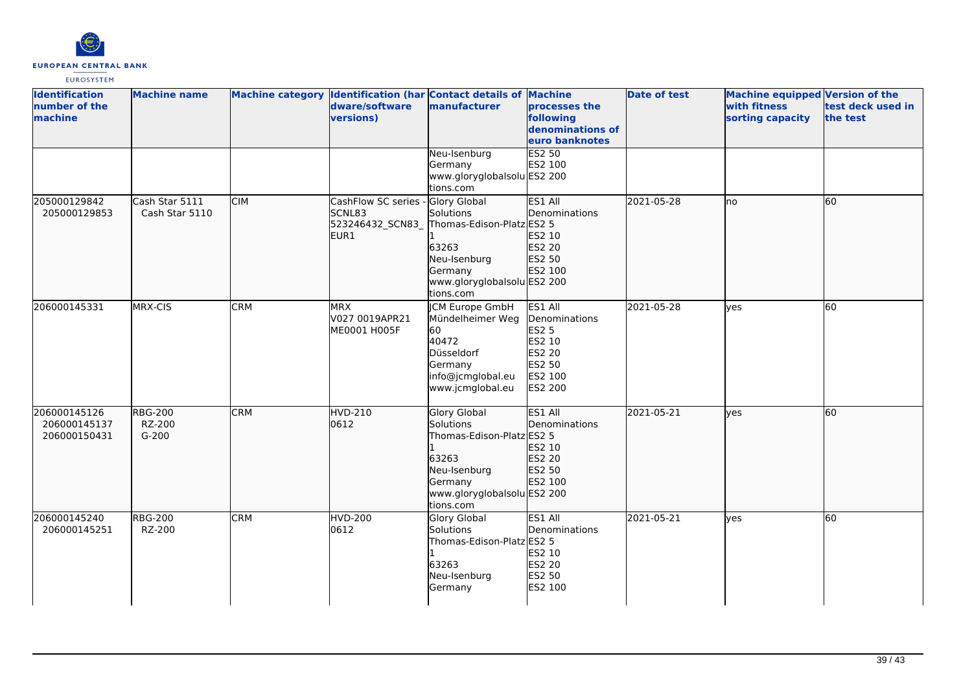

| <b>Identification</b><br>number of the<br>machine | <b>Machine name</b>                 |            | dware/software<br>versions)                              | Machine category Identification (har Contact details of Machine<br>manufacturer                                                               | processes the<br>following<br>denominations of<br>euro banknotes                      | <b>Date of test</b> | <b>Machine equipped Version of the</b><br>with fitness<br>sorting capacity | test deck used in<br>the test |
|---------------------------------------------------|-------------------------------------|------------|----------------------------------------------------------|-----------------------------------------------------------------------------------------------------------------------------------------------|---------------------------------------------------------------------------------------|---------------------|----------------------------------------------------------------------------|-------------------------------|
|                                                   |                                     |            |                                                          | Neu-Isenburg<br>Germany<br>www.gloryglobalsolu ES2 200<br>tions.com                                                                           | <b>ES2 50</b><br>ES2 100                                                              |                     |                                                                            |                               |
| 205000129842<br>205000129853                      | Cash Star 5111<br>Cash Star 5110    | <b>CIM</b> | CashFlow SC series<br>SCNL83<br>523246432_SCN83_<br>EUR1 | Glory Global<br>Solutions<br>Thomas-Edison-Platz ES2 5<br>63263<br>Neu-Isenburg<br>Germany<br>www.gloryglobalsolu ES2 200<br>tions.com        | ES1 All<br>Denominations<br>ES2 10<br>ES2 20<br>ES2 50<br>ES2 100                     | 2021-05-28          | no                                                                         | 60                            |
| 206000145331                                      | MRX-CIS                             | <b>CRM</b> | <b>MRX</b><br>V027 0019APR21<br>ME0001 H005F             | <b>CM Europe GmbH</b><br>Mündelheimer Weg<br>60<br>40472<br>Düsseldorf<br>Germany<br>info@jcmglobal.eu<br>www.jcmglobal.eu                    | ES1 All<br>Denominations<br>ES2 5<br>ES2 10<br>ES2 20<br>ES2 50<br>ES2 100<br>ES2 200 | 2021-05-28          | lves                                                                       | $\overline{60}$               |
| 206000145126<br>206000145137<br>206000150431      | <b>RBG-200</b><br>RZ-200<br>$G-200$ | <b>CRM</b> | <b>HVD-210</b><br>0612                                   | <b>Glory Global</b><br>Solutions<br>Thomas-Edison-Platz ES2 5<br>63263<br>Neu-Isenburg<br>Germany<br>www.gloryglobalsolu ES2 200<br>tions.com | ES1 All<br>Denominations<br>ES2 10<br>ES2 20<br>ES2 50<br>ES2 100                     | 2021-05-21          | ves                                                                        | 60                            |
| 206000145240<br>206000145251                      | <b>RBG-200</b><br>RZ-200            | <b>CRM</b> | <b>HVD-200</b><br>0612                                   | Glory Global<br>Solutions<br>Thomas-Edison-Platz ES2 5<br>63263<br>Neu-Isenburg<br>Germany                                                    | ES1 All<br>Denominations<br>ES2 10<br>ES2 20<br>ES2 50<br>ES2 100                     | 2021-05-21          | ves                                                                        | 60                            |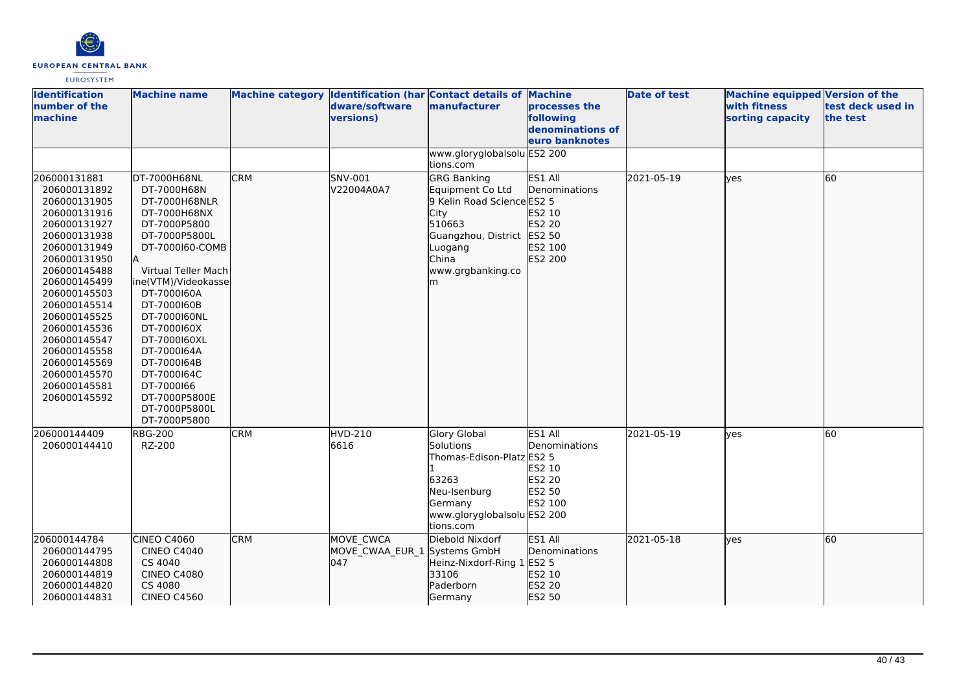

| <b>Identification</b><br>number of the<br>machine                                                                                                                                                                                                                                                                            | <b>Machine name</b>                                                                                                                                                                                                                                                                                                                                             |            | dware/software<br>versions)                      | Machine category Identification (har Contact details of Machine<br>manufacturer                                                                                    | processes the<br>following<br>denominations of<br>euro banknotes   | <b>Date of test</b> | <b>Machine equipped Version of the</b><br>with fitness<br>sorting capacity | test deck used in<br>the test |
|------------------------------------------------------------------------------------------------------------------------------------------------------------------------------------------------------------------------------------------------------------------------------------------------------------------------------|-----------------------------------------------------------------------------------------------------------------------------------------------------------------------------------------------------------------------------------------------------------------------------------------------------------------------------------------------------------------|------------|--------------------------------------------------|--------------------------------------------------------------------------------------------------------------------------------------------------------------------|--------------------------------------------------------------------|---------------------|----------------------------------------------------------------------------|-------------------------------|
|                                                                                                                                                                                                                                                                                                                              |                                                                                                                                                                                                                                                                                                                                                                 |            |                                                  | www.gloryglobalsolu ES2 200<br>tions.com                                                                                                                           |                                                                    |                     |                                                                            |                               |
| 206000131881<br>206000131892<br>206000131905<br>206000131916<br>206000131927<br>206000131938<br>206000131949<br>206000131950<br>206000145488<br>206000145499<br>206000145503<br>206000145514<br>206000145525<br>206000145536<br>206000145547<br>206000145558<br>206000145569<br>206000145570<br>206000145581<br>206000145592 | DT-7000H68NL<br>DT-7000H68N<br>DT-7000H68NLR<br>DT-7000H68NX<br>DT-7000P5800<br>DT-7000P5800L<br>DT-7000160-COMB<br>lA.<br>Virtual Teller Mach<br>ine(VTM)/Videokasse<br>DT-7000160A<br>DT-7000160B<br>DT-7000160NL<br>DT-7000160X<br>DT-7000160XL<br>DT-7000164A<br>DT-7000164B<br>DT-7000164C<br>DT-7000166<br>DT-7000P5800E<br>DT-7000P5800L<br>DT-7000P5800 | <b>CRM</b> | <b>SNV-001</b><br>V22004A0A7                     | <b>GRG Banking</b><br>Equipment Co Ltd<br>9 Kelin Road Science ES2 5<br>City<br>510663<br>Guangzhou, District ES2 50<br>Luogang<br>China<br>www.grgbanking.co<br>m | ES1 All<br>Denominations<br>ES2 10<br>ES2 20<br>ES2 100<br>ES2 200 | 2021-05-19          | ves                                                                        | 60                            |
| 206000144409<br>206000144410                                                                                                                                                                                                                                                                                                 | <b>RBG-200</b><br>RZ-200                                                                                                                                                                                                                                                                                                                                        | <b>CRM</b> | <b>HVD-210</b><br>6616                           | <b>Glory Global</b><br>Solutions<br>Thomas-Edison-Platz ES2 5<br>63263<br>Neu-Isenburg<br>Germany<br>www.gloryglobalsolu ES2 200<br>tions.com                      | ES1 All<br>Denominations<br>ES2 10<br>ES2 20<br>ES2 50<br>ES2 100  | 2021-05-19          | ves                                                                        | 60                            |
| 206000144784<br>206000144795<br>206000144808<br>206000144819<br>206000144820<br>206000144831                                                                                                                                                                                                                                 | CINEO C4060<br><b>CINEO C4040</b><br>CS 4040<br><b>CINEO C4080</b><br>CS 4080<br><b>CINEO C4560</b>                                                                                                                                                                                                                                                             | <b>CRM</b> | MOVE CWCA<br>MOVE CWAA EUR 1 Systems GmbH<br>047 | Diebold Nixdorf<br>Heinz-Nixdorf-Ring 1 ES2 5<br>33106<br>Paderborn<br>Germany                                                                                     | ES1 All<br>Denominations<br>ES2 10<br>ES2 20<br>ES2 50             | 2021-05-18          | lves                                                                       | 60                            |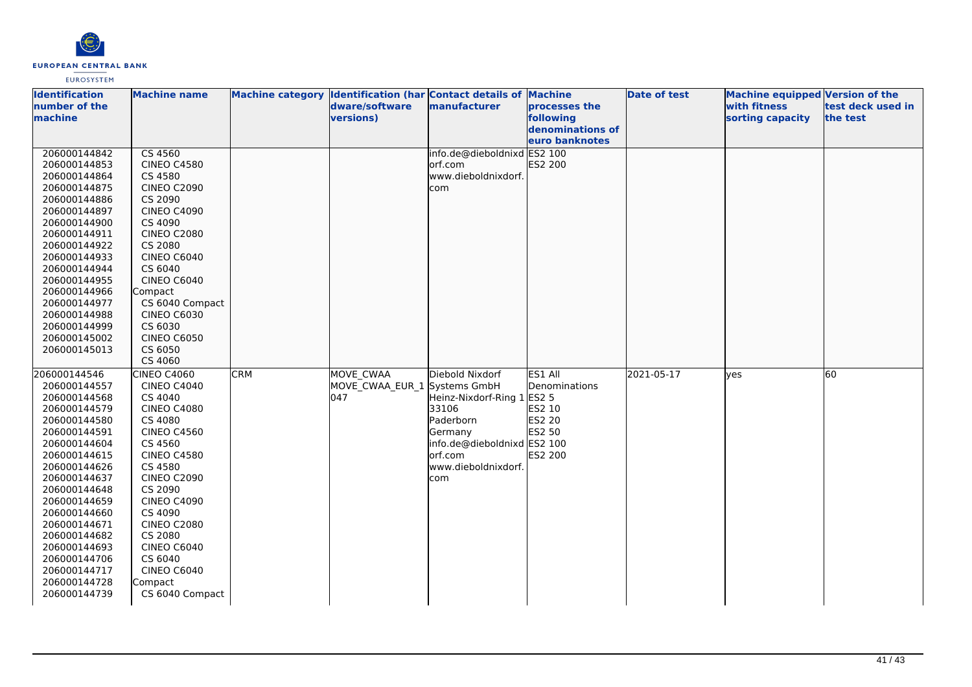

| <b>Identification</b> | <b>Machine name</b> |            |                              | Machine category Identification (har Contact details of Machine |                  | <b>Date of test</b> | Machine equipped Version of the |                   |
|-----------------------|---------------------|------------|------------------------------|-----------------------------------------------------------------|------------------|---------------------|---------------------------------|-------------------|
| number of the         |                     |            | dware/software               | manufacturer                                                    | processes the    |                     | with fitness                    | test deck used in |
| machine               |                     |            | versions)                    |                                                                 | following        |                     | sorting capacity                | the test          |
|                       |                     |            |                              |                                                                 | denominations of |                     |                                 |                   |
|                       |                     |            |                              |                                                                 | euro banknotes   |                     |                                 |                   |
| 206000144842          | CS 4560             |            |                              | info.de@dieboldnixd ES2 100                                     |                  |                     |                                 |                   |
| 206000144853          | <b>CINEO C4580</b>  |            |                              | orf.com                                                         | ES2 200          |                     |                                 |                   |
| 206000144864          | CS 4580             |            |                              | www.dieboldnixdorf.                                             |                  |                     |                                 |                   |
| 206000144875          | <b>CINEO C2090</b>  |            |                              | com                                                             |                  |                     |                                 |                   |
| 206000144886          | CS 2090             |            |                              |                                                                 |                  |                     |                                 |                   |
| 206000144897          | <b>CINEO C4090</b>  |            |                              |                                                                 |                  |                     |                                 |                   |
| 206000144900          | CS 4090             |            |                              |                                                                 |                  |                     |                                 |                   |
| 206000144911          | <b>CINEO C2080</b>  |            |                              |                                                                 |                  |                     |                                 |                   |
| 206000144922          | CS 2080             |            |                              |                                                                 |                  |                     |                                 |                   |
| 206000144933          | <b>CINEO C6040</b>  |            |                              |                                                                 |                  |                     |                                 |                   |
| 206000144944          | CS 6040             |            |                              |                                                                 |                  |                     |                                 |                   |
| 206000144955          | <b>CINEO C6040</b>  |            |                              |                                                                 |                  |                     |                                 |                   |
| 206000144966          | Compact             |            |                              |                                                                 |                  |                     |                                 |                   |
| 206000144977          | CS 6040 Compact     |            |                              |                                                                 |                  |                     |                                 |                   |
| 206000144988          | <b>CINEO C6030</b>  |            |                              |                                                                 |                  |                     |                                 |                   |
| 206000144999          | CS 6030             |            |                              |                                                                 |                  |                     |                                 |                   |
| 206000145002          | <b>CINEO C6050</b>  |            |                              |                                                                 |                  |                     |                                 |                   |
| 206000145013          | CS 6050             |            |                              |                                                                 |                  |                     |                                 |                   |
|                       | CS 4060             |            |                              |                                                                 |                  |                     |                                 |                   |
| 206000144546          | CINEO C4060         | <b>CRM</b> | MOVE CWAA                    | Diebold Nixdorf                                                 | ES1 All          | 2021-05-17          | lyes                            | 60                |
| 206000144557          | <b>CINEO C4040</b>  |            | MOVE CWAA EUR 1 Systems GmbH |                                                                 | Denominations    |                     |                                 |                   |
| 206000144568          | CS 4040             |            | 047                          | Heinz-Nixdorf-Ring 1 ES2 5                                      |                  |                     |                                 |                   |
| 206000144579          | <b>CINEO C4080</b>  |            |                              | 33106                                                           | ES2 10           |                     |                                 |                   |
| 206000144580          | CS 4080             |            |                              | Paderborn                                                       | <b>ES2 20</b>    |                     |                                 |                   |
| 206000144591          | <b>CINEO C4560</b>  |            |                              | Germany                                                         | ES2 50           |                     |                                 |                   |
| 206000144604          | CS 4560             |            |                              | info.de@dieboldnixd ES2 100                                     |                  |                     |                                 |                   |
| 206000144615          | <b>CINEO C4580</b>  |            |                              | orf.com                                                         | ES2 200          |                     |                                 |                   |
| 206000144626          | CS 4580             |            |                              | www.dieboldnixdorf.                                             |                  |                     |                                 |                   |
| 206000144637          | <b>CINEO C2090</b>  |            |                              | com                                                             |                  |                     |                                 |                   |
| 206000144648          | CS 2090             |            |                              |                                                                 |                  |                     |                                 |                   |
| 206000144659          | <b>CINEO C4090</b>  |            |                              |                                                                 |                  |                     |                                 |                   |
| 206000144660          | CS 4090             |            |                              |                                                                 |                  |                     |                                 |                   |
| 206000144671          | <b>CINEO C2080</b>  |            |                              |                                                                 |                  |                     |                                 |                   |
| 206000144682          | CS 2080             |            |                              |                                                                 |                  |                     |                                 |                   |
| 206000144693          | <b>CINEO C6040</b>  |            |                              |                                                                 |                  |                     |                                 |                   |
| 206000144706          | CS 6040             |            |                              |                                                                 |                  |                     |                                 |                   |
| 206000144717          | <b>CINEO C6040</b>  |            |                              |                                                                 |                  |                     |                                 |                   |
| 206000144728          | Compact             |            |                              |                                                                 |                  |                     |                                 |                   |
| 206000144739          | CS 6040 Compact     |            |                              |                                                                 |                  |                     |                                 |                   |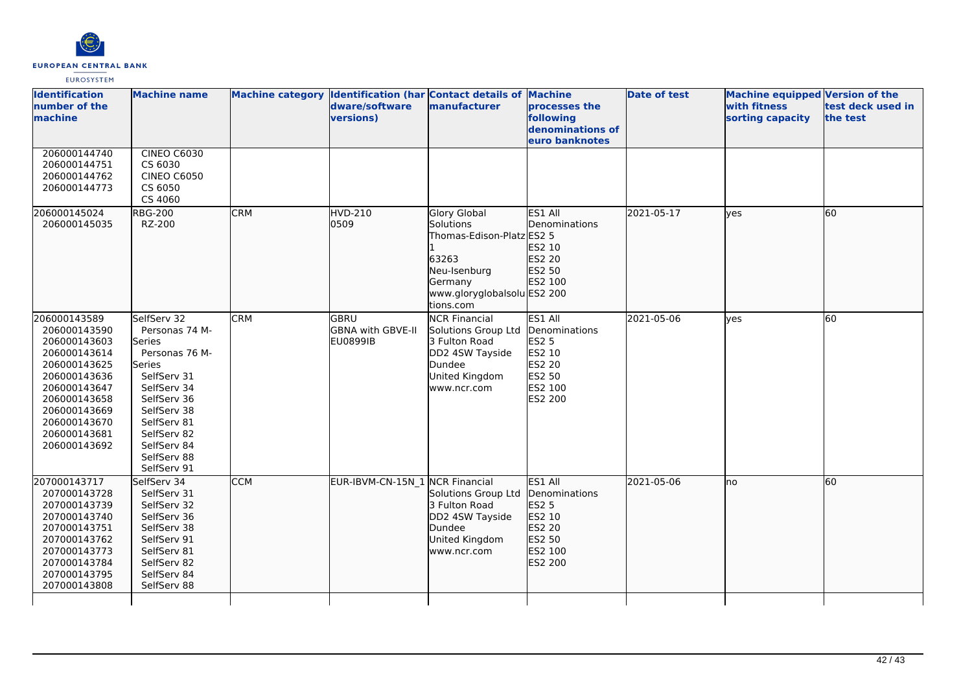

| <b>Identification</b><br>number of the<br>machine                                                                                                                                            | <b>Machine name</b>                                                                                                                                                                                                |            | dware/software<br><b>versions)</b>           | Machine category Identification (har Contact details of Machine<br><b>manufacturer</b>                                                        | processes the<br>following<br>denominations of<br>euro banknotes                             | <b>Date of test</b> | <b>Machine equipped Version of the</b><br>with fitness<br>sorting capacity | test deck used in<br>the test |
|----------------------------------------------------------------------------------------------------------------------------------------------------------------------------------------------|--------------------------------------------------------------------------------------------------------------------------------------------------------------------------------------------------------------------|------------|----------------------------------------------|-----------------------------------------------------------------------------------------------------------------------------------------------|----------------------------------------------------------------------------------------------|---------------------|----------------------------------------------------------------------------|-------------------------------|
| 206000144740<br>206000144751<br>206000144762<br>206000144773                                                                                                                                 | <b>CINEO C6030</b><br>CS 6030<br><b>CINEO C6050</b><br>CS 6050<br>CS 4060                                                                                                                                          |            |                                              |                                                                                                                                               |                                                                                              |                     |                                                                            |                               |
| 206000145024<br>206000145035                                                                                                                                                                 | <b>RBG-200</b><br>RZ-200                                                                                                                                                                                           | <b>CRM</b> | <b>HVD-210</b><br>0509                       | <b>Glory Global</b><br>Solutions<br>Thomas-Edison-Platz ES2 5<br>63263<br>Neu-Isenburg<br>Germany<br>www.gloryglobalsolu ES2 200<br>tions.com | ES1 All<br>Denominations<br>ES2 10<br>ES2 20<br>ES2 50<br>ES2 100                            | 2021-05-17          | lves                                                                       | 60                            |
| 206000143589<br>206000143590<br>206000143603<br>206000143614<br>206000143625<br>206000143636<br>206000143647<br>206000143658<br>206000143669<br>206000143670<br>206000143681<br>206000143692 | SelfServ 32<br>Personas 74 M-<br>lSeries<br>Personas 76 M-<br><b>Series</b><br>SelfServ 31<br>SelfServ 34<br>SelfServ 36<br>SelfServ 38<br>SelfServ 81<br>SelfServ 82<br>SelfServ 84<br>SelfServ 88<br>SelfServ 91 | <b>CRM</b> | GBRU<br>GBNA with GBVE-II<br><b>EU0899IB</b> | <b>NCR Financial</b><br>Solutions Group Ltd<br>3 Fulton Road<br>DD2 4SW Tayside<br>Dundee<br>United Kingdom<br>www.ncr.com                    | ES1 All<br>Denominations<br>ES2 5<br>ES2 10<br>ES2 20<br>ES2 50<br>ES2 100<br>ES2 200        | 2021-05-06          | ves                                                                        | 60                            |
| 207000143717<br>207000143728<br>207000143739<br>207000143740<br>207000143751<br>207000143762<br>207000143773<br>207000143784<br>207000143795<br>207000143808                                 | SelfServ 34<br>SelfServ 31<br>SelfServ 32<br>SelfServ 36<br>SelfServ 38<br>SelfServ 91<br>SelfServ 81<br>SelfServ 82<br>SelfServ 84<br>SelfServ 88                                                                 | <b>CCM</b> | EUR-IBVM-CN-15N_1 NCR Financial              | Solutions Group Ltd<br>3 Fulton Road<br>DD2 4SW Tayside<br>Dundee<br>United Kingdom<br>www.ncr.com                                            | ES1 All<br>Denominations<br>ES2 5<br>ES2 10<br>ES2 20<br>ES2 50<br>ES2 100<br><b>ES2 200</b> | 2021-05-06          | Ino                                                                        | 60                            |
|                                                                                                                                                                                              |                                                                                                                                                                                                                    |            |                                              |                                                                                                                                               |                                                                                              |                     |                                                                            |                               |